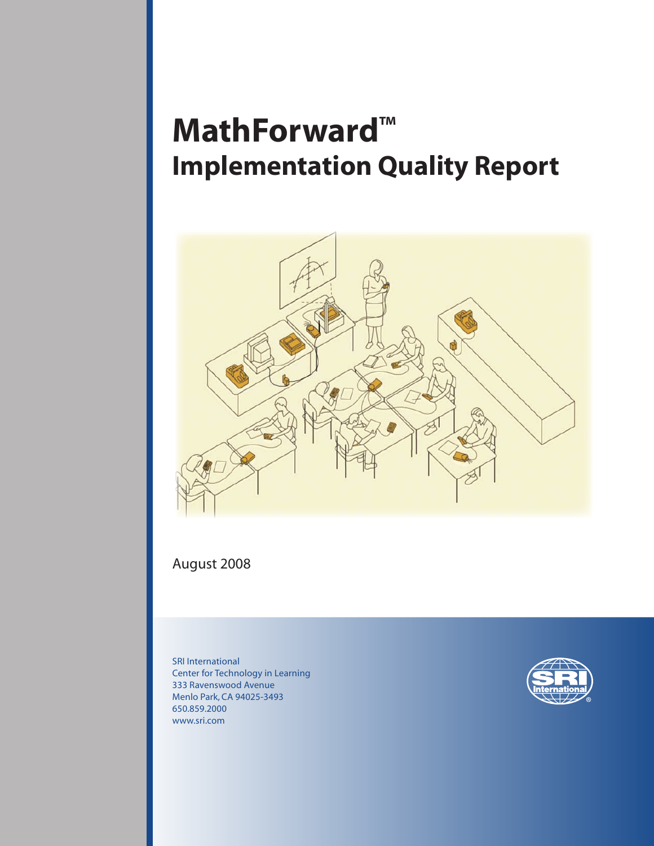# **MathForward™ Implementation Quality Report**



# August 2008

SRI International Center for Technology in Learning 333 Ravenswood Avenue Menlo Park, CA 94025-3493 650.859.2000 www.sri.com

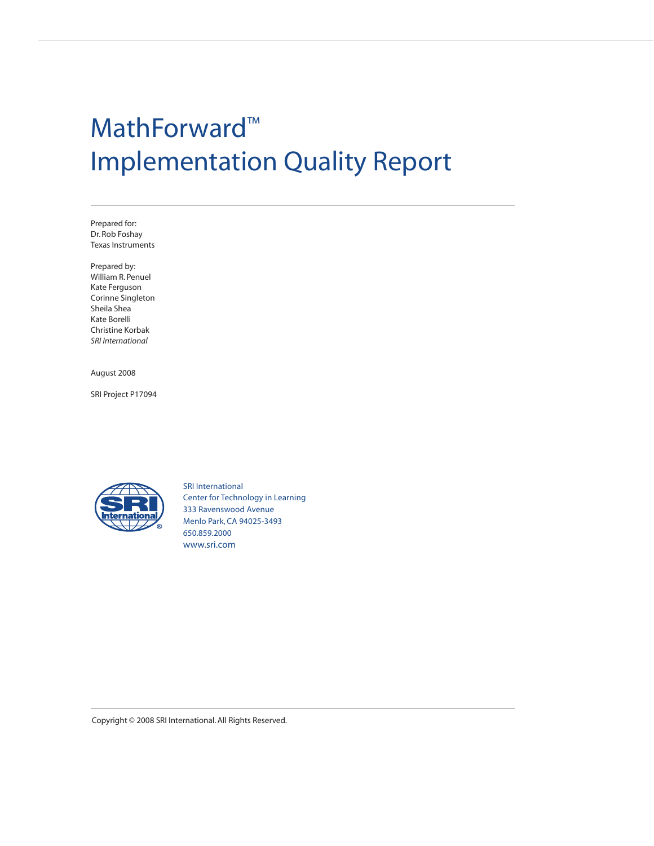# MathForward™ Implementation Quality Report

Prepared for: Dr. Rob Foshay Texas Instruments

Prepared by: William R. Penuel Kate Ferguson Corinne Singleton Sheila Shea Kate Borelli Christine Korbak *SRI International*

August 2008

SRI Project P17094



SRI International Center for Technology in Learning 333 Ravenswood Avenue Menlo Park, CA 94025-3493 650.859.2000 www.sri.com

Copyright © 2008 SRI International. All Rights Reserved.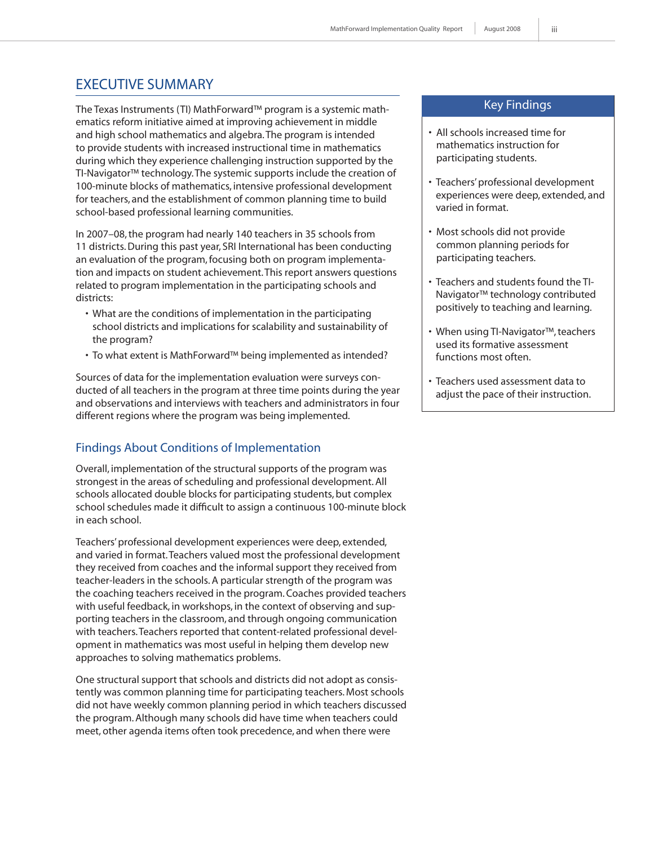# EXECUTIVE SUMMARY

The Texas Instruments (TI) MathForward™ program is a systemic mathematics reform initiative aimed at improving achievement in middle and high school mathematics and algebra. The program is intended to provide students with increased instructional time in mathematics during which they experience challenging instruction supported by the TI-Navigator™ technology. The systemic supports include the creation of 100-minute blocks of mathematics, intensive professional development for teachers, and the establishment of common planning time to build school-based professional learning communities.

In 2007–08, the program had nearly 140 teachers in 35 schools from 11 districts. During this past year, SRI International has been conducting an evaluation of the program, focusing both on program implementation and impacts on student achievement. This report answers questions related to program implementation in the participating schools and districts:

- What are the conditions of implementation in the participating school districts and implications for scalability and sustainability of the program?
- To what extent is MathForward™ being implemented as intended?

Sources of data for the implementation evaluation were surveys conducted of all teachers in the program at three time points during the year and observations and interviews with teachers and administrators in four different regions where the program was being implemented.

# Findings About Conditions of Implementation

Overall, implementation of the structural supports of the program was strongest in the areas of scheduling and professional development. All schools allocated double blocks for participating students, but complex school schedules made it difficult to assign a continuous 100-minute block in each school.

Teachers' professional development experiences were deep, extended, and varied in format. Teachers valued most the professional development they received from coaches and the informal support they received from teacher-leaders in the schools. A particular strength of the program was the coaching teachers received in the program. Coaches provided teachers with useful feedback, in workshops, in the context of observing and supporting teachers in the classroom, and through ongoing communication with teachers. Teachers reported that content-related professional development in mathematics was most useful in helping them develop new approaches to solving mathematics problems.

One structural support that schools and districts did not adopt as consistently was common planning time for participating teachers. Most schools did not have weekly common planning period in which teachers discussed the program. Although many schools did have time when teachers could meet, other agenda items often took precedence, and when there were

#### Key Findings

- All schools increased time for mathematics instruction for participating students.
- Teachers' professional development experiences were deep, extended, and varied in format.
- Most schools did not provide common planning periods for participating teachers.
- Teachers and students found the TI-Navigator™ technology contributed positively to teaching and learning.
- When using TI-Navigator™, teachers used its formative assessment functions most often.
- Teachers used assessment data to adjust the pace of their instruction.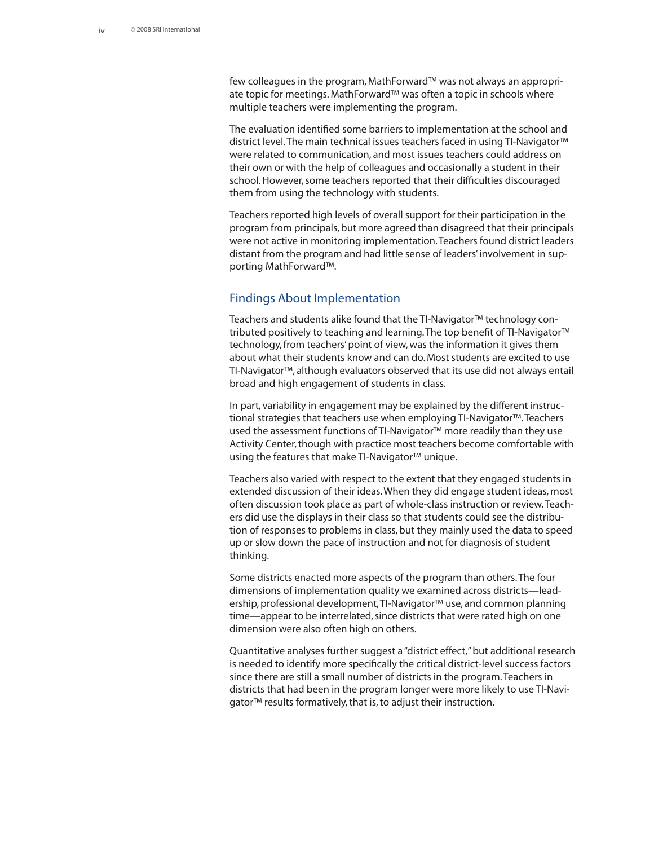few colleagues in the program, MathForward™ was not always an appropriate topic for meetings. MathForward™ was often a topic in schools where multiple teachers were implementing the program.

The evaluation identified some barriers to implementation at the school and district level. The main technical issues teachers faced in using TI-Navigator™ were related to communication, and most issues teachers could address on their own or with the help of colleagues and occasionally a student in their school. However, some teachers reported that their difficulties discouraged them from using the technology with students.

Teachers reported high levels of overall support for their participation in the program from principals, but more agreed than disagreed that their principals were not active in monitoring implementation. Teachers found district leaders distant from the program and had little sense of leaders' involvement in supporting MathForward™.

#### Findings About Implementation

Teachers and students alike found that the TI-Navigator™ technology contributed positively to teaching and learning. The top benefit of TI-Navigator™ technology, from teachers' point of view, was the information it gives them about what their students know and can do. Most students are excited to use TI-Navigator™, although evaluators observed that its use did not always entail broad and high engagement of students in class.

In part, variability in engagement may be explained by the different instructional strategies that teachers use when employing TI-Navigator™. Teachers used the assessment functions of TI-Navigator™ more readily than they use Activity Center, though with practice most teachers become comfortable with using the features that make TI-Navigator™ unique.

Teachers also varied with respect to the extent that they engaged students in extended discussion of their ideas. When they did engage student ideas, most often discussion took place as part of whole-class instruction or review. Teachers did use the displays in their class so that students could see the distribution of responses to problems in class, but they mainly used the data to speed up or slow down the pace of instruction and not for diagnosis of student thinking.

Some districts enacted more aspects of the program than others. The four dimensions of implementation quality we examined across districts—leadership, professional development, TI-Navigator™ use, and common planning time—appear to be interrelated, since districts that were rated high on one dimension were also often high on others.

Quantitative analyses further suggest a "district effect," but additional research is needed to identify more specifically the critical district-level success factors since there are still a small number of districts in the program. Teachers in districts that had been in the program longer were more likely to use TI-Navigator<sup>™</sup> results formatively, that is, to adjust their instruction.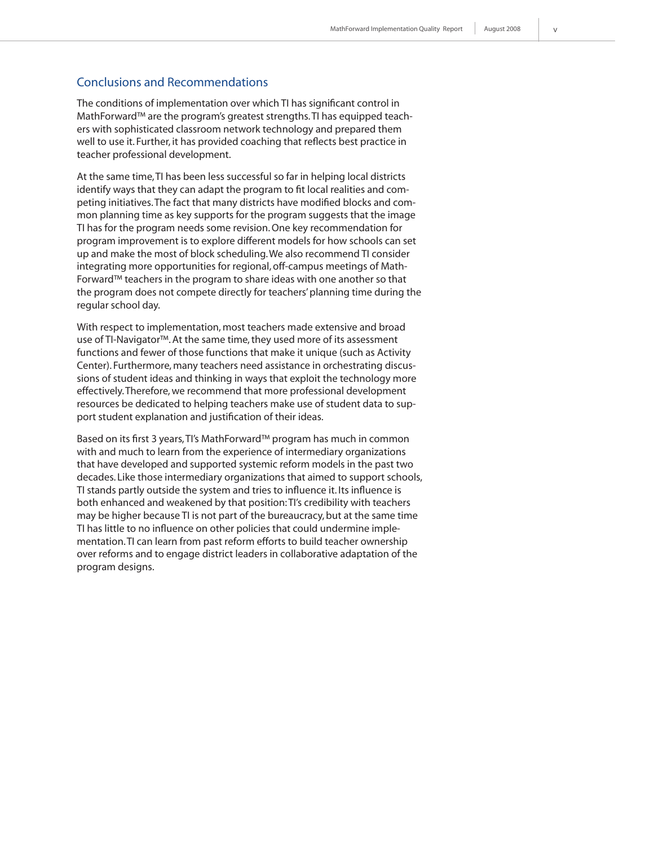#### Conclusions and Recommendations

The conditions of implementation over which TI has significant control in MathForward™ are the program's greatest strengths. TI has equipped teachers with sophisticated classroom network technology and prepared them well to use it. Further, it has provided coaching that reflects best practice in teacher professional development.

At the same time, TI has been less successful so far in helping local districts identify ways that they can adapt the program to fit local realities and competing initiatives. The fact that many districts have modified blocks and common planning time as key supports for the program suggests that the image TI has for the program needs some revision. One key recommendation for program improvement is to explore different models for how schools can set up and make the most of block scheduling. We also recommend TI consider integrating more opportunities for regional, off-campus meetings of Math-Forward™ teachers in the program to share ideas with one another so that the program does not compete directly for teachers' planning time during the regular school day.

With respect to implementation, most teachers made extensive and broad use of TI-Navigator™. At the same time, they used more of its assessment functions and fewer of those functions that make it unique (such as Activity Center). Furthermore, many teachers need assistance in orchestrating discussions of student ideas and thinking in ways that exploit the technology more effectively. Therefore, we recommend that more professional development resources be dedicated to helping teachers make use of student data to support student explanation and justification of their ideas.

Based on its first 3 years, TI's MathForward™ program has much in common with and much to learn from the experience of intermediary organizations that have developed and supported systemic reform models in the past two decades. Like those intermediary organizations that aimed to support schools, TI stands partly outside the system and tries to influence it. Its influence is both enhanced and weakened by that position: TI's credibility with teachers may be higher because TI is not part of the bureaucracy, but at the same time TI has little to no influence on other policies that could undermine implementation. TI can learn from past reform efforts to build teacher ownership over reforms and to engage district leaders in collaborative adaptation of the program designs.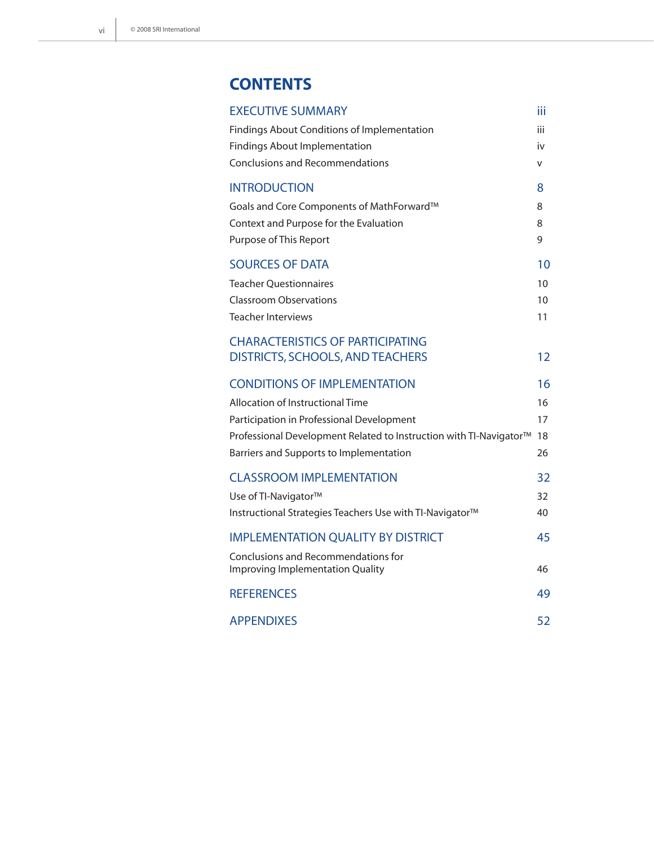# **CONTENTS**

| <b>EXECUTIVE SUMMARY</b>                                           | Шi  |
|--------------------------------------------------------------------|-----|
| Findings About Conditions of Implementation                        | iii |
| Findings About Implementation                                      | iv  |
| <b>Conclusions and Recommendations</b>                             | v   |
| <b>INTRODUCTION</b>                                                | 8   |
| Goals and Core Components of MathForward™                          | 8   |
| Context and Purpose for the Evaluation                             | 8   |
| Purpose of This Report                                             | 9   |
| <b>SOURCES OF DATA</b>                                             | 10  |
| <b>Teacher Questionnaires</b>                                      | 10  |
| <b>Classroom Observations</b>                                      | 10  |
| <b>Teacher Interviews</b>                                          | 11  |
| <b>CHARACTERISTICS OF PARTICIPATING</b>                            |     |
| <b>DISTRICTS, SCHOOLS, AND TEACHERS</b>                            | 12  |
| <b>CONDITIONS OF IMPLEMENTATION</b>                                | 16  |
| Allocation of Instructional Time                                   | 16  |
| Participation in Professional Development                          | 17  |
| Professional Development Related to Instruction with TI-Navigator™ | 18  |
| Barriers and Supports to Implementation                            | 26  |
| <b>CLASSROOM IMPLEMENTATION</b>                                    | 32  |
| Use of TI-Navigator™                                               | 32  |
| Instructional Strategies Teachers Use with TI-Navigator™           | 40  |
| <b>IMPLEMENTATION QUALITY BY DISTRICT</b>                          | 45  |
| Conclusions and Recommendations for                                |     |
| Improving Implementation Quality                                   | 46  |
| <b>REFERENCES</b>                                                  | 49  |
| <b>APPENDIXES</b>                                                  | 52  |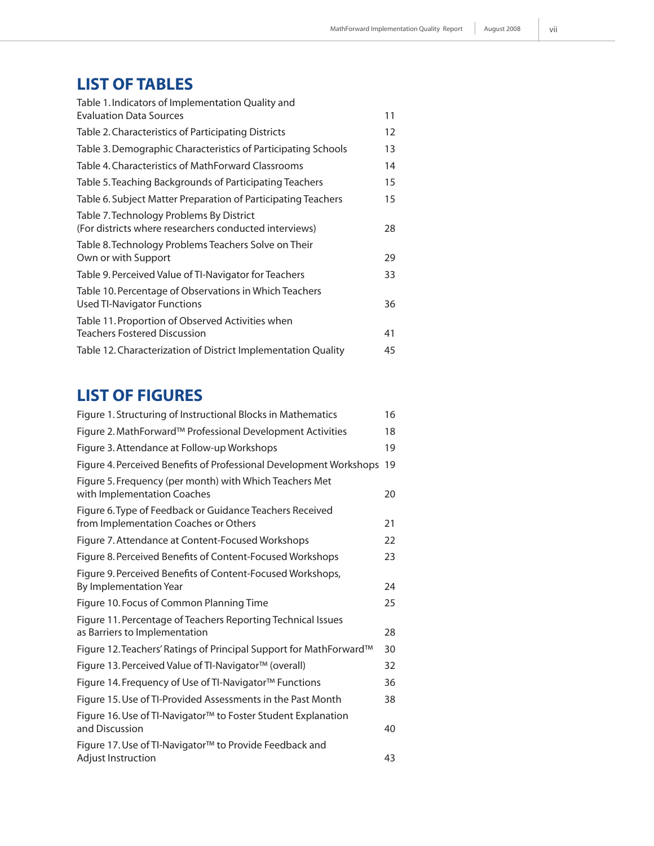# **LIST OF TABLES**

| Table 1. Indicators of Implementation Quality and                                                  |    |
|----------------------------------------------------------------------------------------------------|----|
| <b>Evaluation Data Sources</b>                                                                     | 11 |
| Table 2. Characteristics of Participating Districts                                                | 12 |
| Table 3. Demographic Characteristics of Participating Schools                                      | 13 |
| Table 4. Characteristics of MathForward Classrooms                                                 | 14 |
| Table 5. Teaching Backgrounds of Participating Teachers                                            | 15 |
| Table 6. Subject Matter Preparation of Participating Teachers                                      | 15 |
| Table 7. Technology Problems By District<br>(For districts where researchers conducted interviews) | 28 |
| Table 8. Technology Problems Teachers Solve on Their<br>Own or with Support                        | 29 |
| Table 9. Perceived Value of TI-Navigator for Teachers                                              | 33 |
| Table 10. Percentage of Observations in Which Teachers<br>Used TI-Navigator Functions              | 36 |
| Table 11. Proportion of Observed Activities when<br><b>Teachers Fostered Discussion</b>            | 41 |
| Table 12. Characterization of District Implementation Quality                                      | 45 |
|                                                                                                    |    |

# **LIST OF FIGURES**

| Figure 1. Structuring of Instructional Blocks in Mathematics                                      | 16 |
|---------------------------------------------------------------------------------------------------|----|
| Figure 2. MathForward™ Professional Development Activities                                        | 18 |
| Figure 3. Attendance at Follow-up Workshops                                                       | 19 |
| Figure 4. Perceived Benefits of Professional Development Workshops                                | 19 |
| Figure 5. Frequency (per month) with Which Teachers Met<br>with Implementation Coaches            | 20 |
| Figure 6. Type of Feedback or Guidance Teachers Received<br>from Implementation Coaches or Others | 21 |
| Figure 7. Attendance at Content-Focused Workshops                                                 | 22 |
| Figure 8. Perceived Benefits of Content-Focused Workshops                                         | 23 |
| Figure 9. Perceived Benefits of Content-Focused Workshops,<br>By Implementation Year              | 24 |
| Figure 10. Focus of Common Planning Time                                                          | 25 |
| Figure 11. Percentage of Teachers Reporting Technical Issues<br>as Barriers to Implementation     | 28 |
| Figure 12. Teachers' Ratings of Principal Support for MathForward™                                | 30 |
| Figure 13. Perceived Value of TI-Navigator™ (overall)                                             | 32 |
| Figure 14. Frequency of Use of TI-Navigator™ Functions                                            | 36 |
| Figure 15. Use of TI-Provided Assessments in the Past Month                                       | 38 |
| Figure 16. Use of TI-Navigator™ to Foster Student Explanation<br>and Discussion                   | 40 |
| Figure 17. Use of TI-Navigator™ to Provide Feedback and<br><b>Adjust Instruction</b>              | 43 |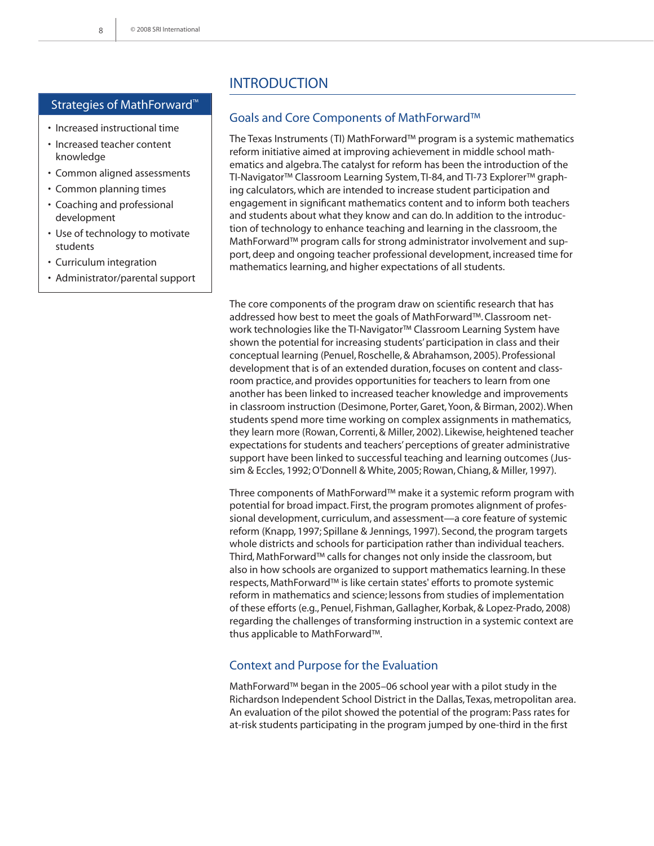#### Strategies of MathForward™

- Increased instructional time
- Increased teacher content knowledge
- Common aligned assessments
- Common planning times
- Coaching and professional development
- Use of technology to motivate students
- Curriculum integration
- Administrator/parental support

# **INTRODUCTION**

#### Goals and Core Components of MathForward™

The Texas Instruments (TI) MathForward™ program is a systemic mathematics reform initiative aimed at improving achievement in middle school mathematics and algebra. The catalyst for reform has been the introduction of the TI-Navigator™ Classroom Learning System, TI-84, and TI-73 Explorer™ graphing calculators, which are intended to increase student participation and engagement in significant mathematics content and to inform both teachers and students about what they know and can do. In addition to the introduction of technology to enhance teaching and learning in the classroom, the MathForward™ program calls for strong administrator involvement and support, deep and ongoing teacher professional development, increased time for mathematics learning, and higher expectations of all students.

The core components of the program draw on scientific research that has addressed how best to meet the goals of MathForward™. Classroom network technologies like the TI-Navigator™ Classroom Learning System have shown the potential for increasing students' participation in class and their conceptual learning (Penuel, Roschelle, & Abrahamson, 2005). Professional development that is of an extended duration, focuses on content and classroom practice, and provides opportunities for teachers to learn from one another has been linked to increased teacher knowledge and improvements in classroom instruction (Desimone, Porter, Garet, Yoon, & Birman, 2002). When students spend more time working on complex assignments in mathematics, they learn more (Rowan, Correnti, & Miller, 2002). Likewise, heightened teacher expectations for students and teachers' perceptions of greater administrative support have been linked to successful teaching and learning outcomes (Jussim & Eccles, 1992; O'Donnell & White, 2005; Rowan, Chiang, & Miller, 1997).

Three components of MathForward™ make it a systemic reform program with potential for broad impact. First, the program promotes alignment of professional development, curriculum, and assessment—a core feature of systemic reform (Knapp, 1997; Spillane & Jennings, 1997). Second, the program targets whole districts and schools for participation rather than individual teachers. Third, MathForward™ calls for changes not only inside the classroom, but also in how schools are organized to support mathematics learning. In these respects, MathForward™ is like certain states' efforts to promote systemic reform in mathematics and science; lessons from studies of implementation of these efforts (e.g., Penuel, Fishman, Gallagher, Korbak, & Lopez-Prado, 2008) regarding the challenges of transforming instruction in a systemic context are thus applicable to MathForward™.

#### Context and Purpose for the Evaluation

MathForward™ began in the 2005–06 school year with a pilot study in the Richardson Independent School District in the Dallas, Texas, metropolitan area. An evaluation of the pilot showed the potential of the program: Pass rates for at-risk students participating in the program jumped by one-third in the first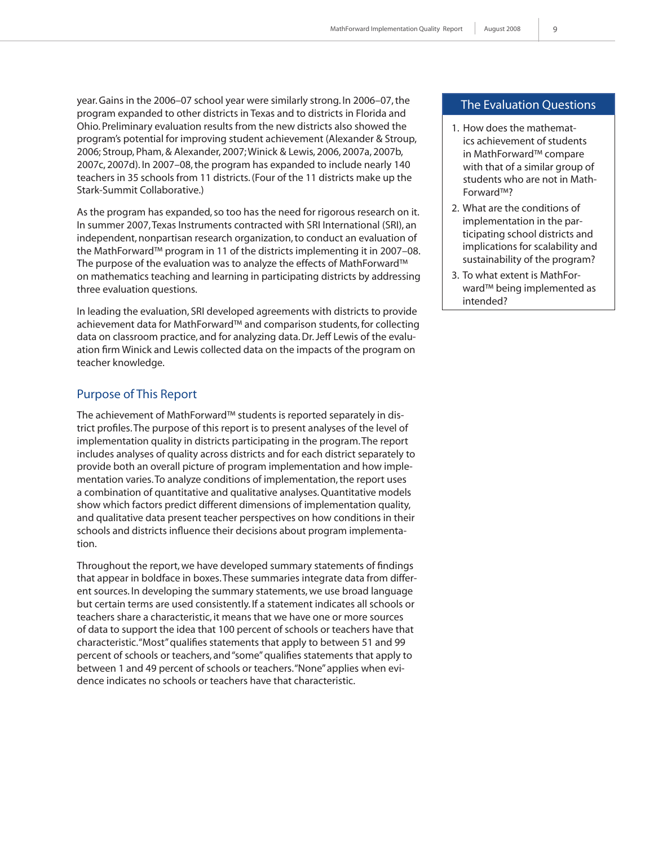year. Gains in the 2006–07 school year were similarly strong. In 2006–07, the program expanded to other districts in Texas and to districts in Florida and Ohio. Preliminary evaluation results from the new districts also showed the program's potential for improving student achievement (Alexander & Stroup, 2006; Stroup, Pham, & Alexander, 2007; Winick & Lewis, 2006, 2007a, 2007b, 2007c, 2007d). In 2007–08, the program has expanded to include nearly 140 teachers in 35 schools from 11 districts. (Four of the 11 districts make up the Stark-Summit Collaborative.)

As the program has expanded, so too has the need for rigorous research on it. In summer 2007, Texas Instruments contracted with SRI International (SRI), an independent, nonpartisan research organization, to conduct an evaluation of the MathForward™ program in 11 of the districts implementing it in 2007–08. The purpose of the evaluation was to analyze the effects of MathForward™ on mathematics teaching and learning in participating districts by addressing three evaluation questions.

In leading the evaluation, SRI developed agreements with districts to provide achievement data for MathForward™ and comparison students, for collecting data on classroom practice, and for analyzing data. Dr. Jeff Lewis of the evaluation firm Winick and Lewis collected data on the impacts of the program on teacher knowledge.

# Purpose of This Report

The achievement of MathForward™ students is reported separately in district profiles. The purpose of this report is to present analyses of the level of implementation quality in districts participating in the program. The report includes analyses of quality across districts and for each district separately to provide both an overall picture of program implementation and how implementation varies. To analyze conditions of implementation, the report uses a combination of quantitative and qualitative analyses. Quantitative models show which factors predict different dimensions of implementation quality, and qualitative data present teacher perspectives on how conditions in their schools and districts influence their decisions about program implementation.

Throughout the report, we have developed summary statements of findings that appear in boldface in boxes. These summaries integrate data from different sources. In developing the summary statements, we use broad language but certain terms are used consistently. If a statement indicates all schools or teachers share a characteristic, it means that we have one or more sources of data to support the idea that 100 percent of schools or teachers have that characteristic. "Most" qualifies statements that apply to between 51 and 99 percent of schools or teachers, and "some" qualifies statements that apply to between 1 and 49 percent of schools or teachers. "None" applies when evidence indicates no schools or teachers have that characteristic.

#### The Evaluation Questions

- 1. How does the mathematics achievement of students in MathForward™ compare with that of a similar group of students who are not in Math-Forward™?
- 2. What are the conditions of implementation in the participating school districts and implications for scalability and sustainability of the program?
- 3. To what extent is MathForward™ being implemented as intended?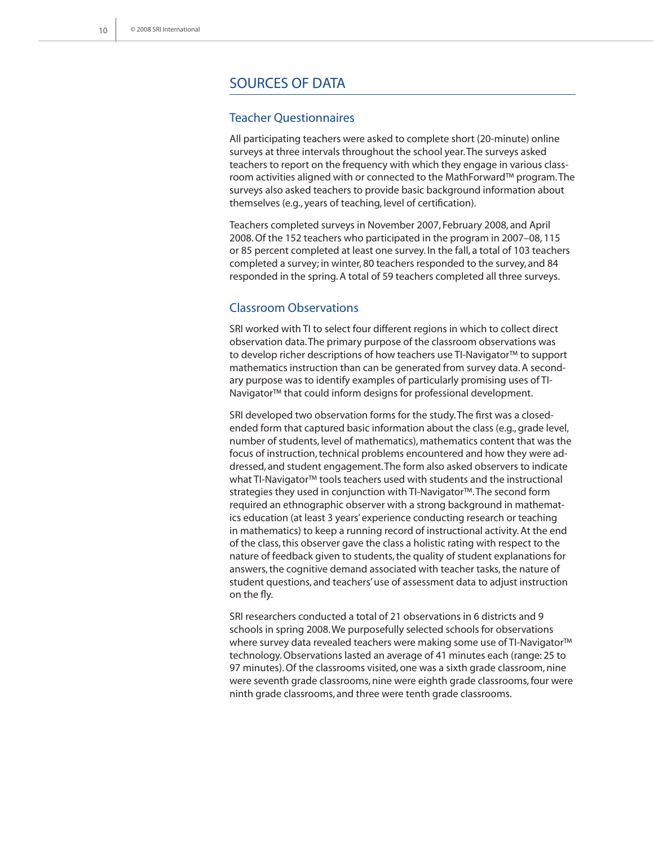# Sources of Data

#### Teacher Questionnaires

All participating teachers were asked to complete short (20-minute) online surveys at three intervals throughout the school year. The surveys asked teachers to report on the frequency with which they engage in various classroom activities aligned with or connected to the MathForward™ program. The surveys also asked teachers to provide basic background information about themselves (e.g., years of teaching, level of certification).

Teachers completed surveys in November 2007, February 2008, and April 2008. Of the 152 teachers who participated in the program in 2007–08, 115 or 85 percent completed at least one survey. In the fall, a total of 103 teachers completed a survey; in winter, 80 teachers responded to the survey, and 84 responded in the spring. A total of 59 teachers completed all three surveys.

#### Classroom Observations

SRI worked with TI to select four different regions in which to collect direct observation data. The primary purpose of the classroom observations was to develop richer descriptions of how teachers use TI-Navigator™ to support mathematics instruction than can be generated from survey data. A secondary purpose was to identify examples of particularly promising uses of TI-Navigator™ that could inform designs for professional development.

SRI developed two observation forms for the study. The first was a closedended form that captured basic information about the class (e.g., grade level, number of students, level of mathematics), mathematics content that was the focus of instruction, technical problems encountered and how they were addressed, and student engagement. The form also asked observers to indicate what TI-Navigator™ tools teachers used with students and the instructional strategies they used in conjunction with TI-Navigator™. The second form required an ethnographic observer with a strong background in mathematics education (at least 3 years' experience conducting research or teaching in mathematics) to keep a running record of instructional activity. At the end of the class, this observer gave the class a holistic rating with respect to the nature of feedback given to students, the quality of student explanations for answers, the cognitive demand associated with teacher tasks, the nature of student questions, and teachers' use of assessment data to adjust instruction on the fly.

SRI researchers conducted a total of 21 observations in 6 districts and 9 schools in spring 2008. We purposefully selected schools for observations where survey data revealed teachers were making some use of TI-Navigator™ technology. Observations lasted an average of 41 minutes each (range: 25 to 97 minutes). Of the classrooms visited, one was a sixth grade classroom, nine were seventh grade classrooms, nine were eighth grade classrooms, four were ninth grade classrooms, and three were tenth grade classrooms.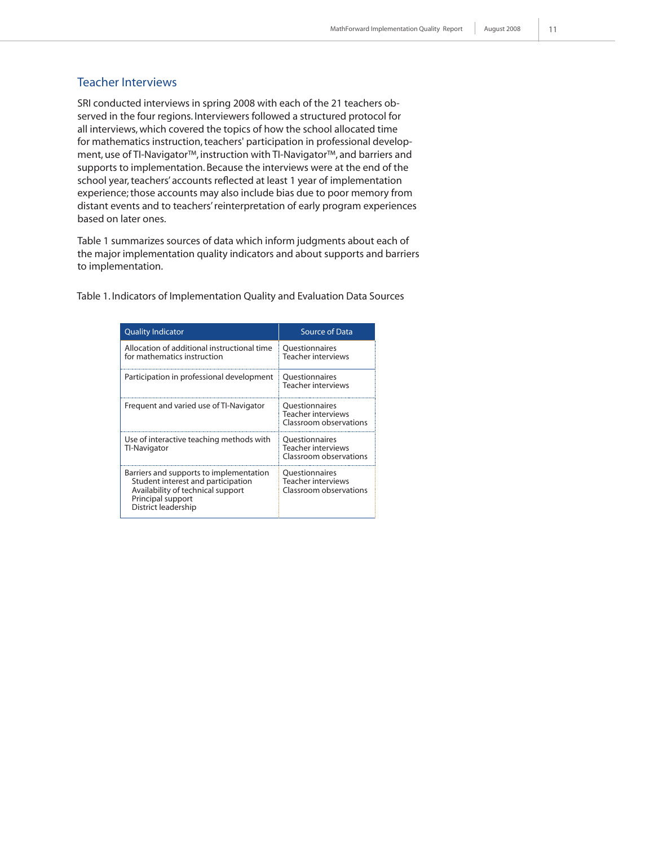### Teacher Interviews

SRI conducted interviews in spring 2008 with each of the 21 teachers observed in the four regions. Interviewers followed a structured protocol for all interviews, which covered the topics of how the school allocated time for mathematics instruction, teachers' participation in professional development, use of TI-Navigator™, instruction with TI-Navigator™, and barriers and supports to implementation. Because the interviews were at the end of the school year, teachers' accounts reflected at least 1 year of implementation experience; those accounts may also include bias due to poor memory from distant events and to teachers' reinterpretation of early program experiences based on later ones.

Table 1 summarizes sources of data which inform judgments about each of the major implementation quality indicators and about supports and barriers to implementation.

Table 1. Indicators of Implementation Quality and Evaluation Data Sources

| <b>Quality Indicator</b>                                                                                                                                       | Source of Data                                                        |
|----------------------------------------------------------------------------------------------------------------------------------------------------------------|-----------------------------------------------------------------------|
| Allocation of additional instructional time<br>for mathematics instruction                                                                                     | <b>Ouestionnaires</b><br><b>Teacher interviews</b>                    |
| Participation in professional development                                                                                                                      | <b>Ouestionnaires</b><br><b>Teacher interviews</b>                    |
| Frequent and varied use of TI-Navigator                                                                                                                        | <b>Ouestionnaires</b><br>Teacher interviews<br>Classroom observations |
| Use of interactive teaching methods with<br>Tl-Navigator                                                                                                       | Questionnaires<br><b>Teacher interviews</b><br>Classroom observations |
| Barriers and supports to implementation<br>Student interest and participation<br>Availability of technical support<br>Principal support<br>District leadership | <b>Ouestionnaires</b><br>Teacher interviews<br>Classroom observations |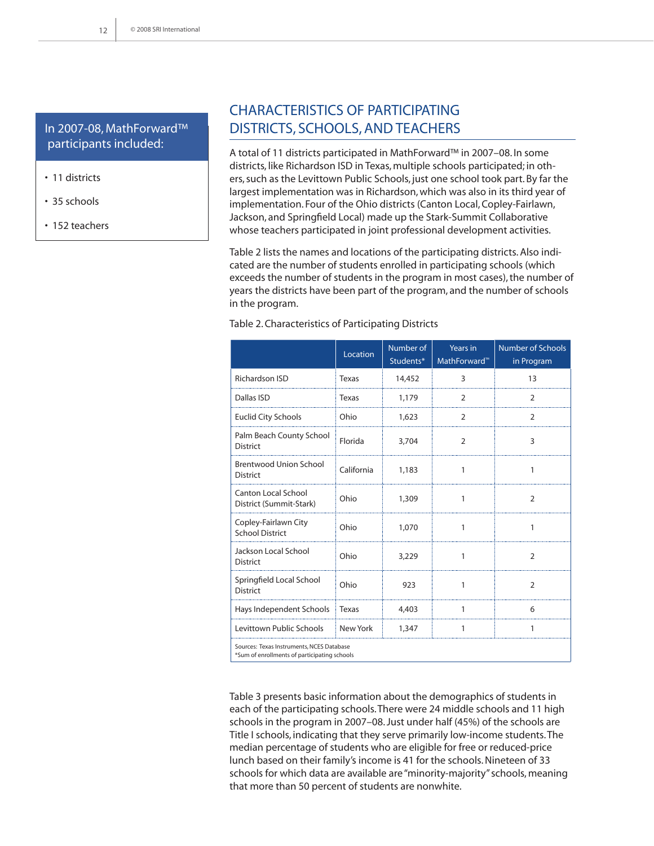# In 2007-08, MathForward™ participants included:

- 11 districts
- 35 schools
- 152 teachers

# Characteristics of Participating Districts, Schools, and Teachers

A total of 11 districts participated in MathForward™ in 2007–08. In some districts, like Richardson ISD in Texas, multiple schools participated; in others, such as the Levittown Public Schools, just one school took part. By far the largest implementation was in Richardson, which was also in its third year of implementation. Four of the Ohio districts (Canton Local, Copley-Fairlawn, Jackson, and Springfield Local) made up the Stark-Summit Collaborative whose teachers participated in joint professional development activities.

Table 2 lists the names and locations of the participating districts. Also indicated are the number of students enrolled in participating schools (which exceeds the number of students in the program in most cases), the number of years the districts have been part of the program, and the number of schools in the program.

|                                                       | Location   | Number of<br>Students* | Years in<br>MathForward <sup>™</sup> | <b>Number of Schools</b><br>in Program |
|-------------------------------------------------------|------------|------------------------|--------------------------------------|----------------------------------------|
| Richardson ISD                                        | Texas      | 14,452                 | 3                                    | 13                                     |
| Dallas ISD                                            | Texas      | 1,179                  | 2                                    | 2                                      |
| <b>Euclid City Schools</b>                            | Ohio       | 1,623                  | 2                                    | $\overline{2}$                         |
| Palm Beach County School<br><b>District</b>           | Florida    | 3,704                  | 2                                    | 3                                      |
| <b>Brentwood Union School</b><br><b>District</b>      | California | 1,183                  | 1                                    | 1                                      |
| <b>Canton Local School</b><br>District (Summit-Stark) | Ohio       | 1,309                  | 1                                    | 2                                      |
| Copley-Fairlawn City<br><b>School District</b>        | Ohio       | 1,070                  | 1                                    | 1                                      |
| Jackson Local School<br><b>District</b>               | Ohio       | 3,229                  | 1                                    | 2                                      |
| Springfield Local School<br><b>District</b>           | Ohio       | 923                    | 1                                    | $\overline{2}$                         |
| Hays Independent Schools                              | Texas      | 4,403                  | 1                                    | 6                                      |
| Levittown Public Schools                              | New York   | 1,347                  | 1                                    | 1                                      |
| Sources: Texas Instruments, NCES Database             |            |                        |                                      |                                        |

Table 2. Characteristics of Participating Districts

Sum of enrollments of participating schools

Table 3 presents basic information about the demographics of students in each of the participating schools. There were 24 middle schools and 11 high schools in the program in 2007–08. Just under half (45%) of the schools are Title I schools, indicating that they serve primarily low-income students. The median percentage of students who are eligible for free or reduced-price lunch based on their family's income is 41 for the schools. Nineteen of 33 schools for which data are available are "minority-majority" schools, meaning that more than 50 percent of students are nonwhite.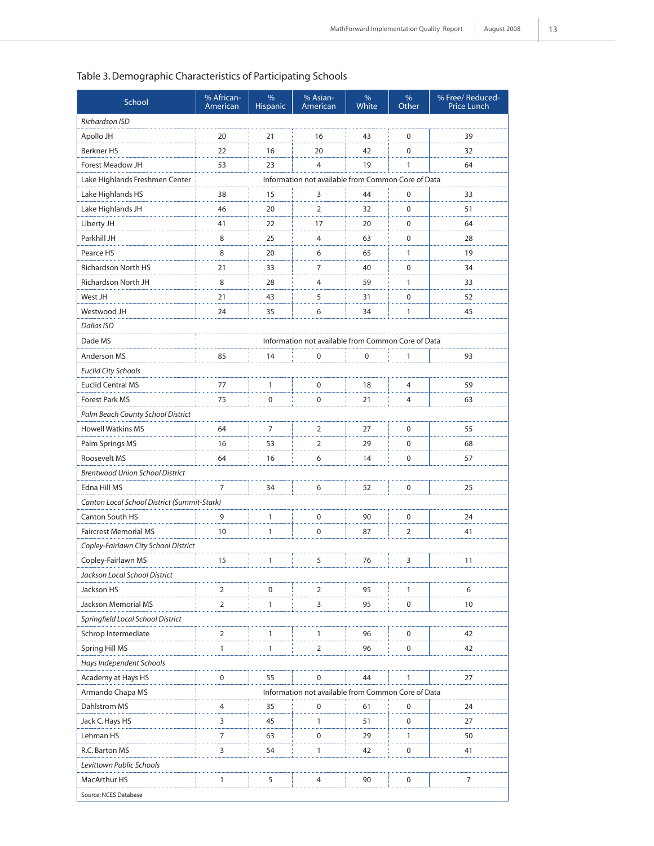# Table 3. Demographic Characteristics of Participating Schools

| Richardson ISD<br>Apollo JH<br>20<br>21<br>16<br>43<br>$\mathbf 0$<br>39<br>$\mathbf 0$<br>Berkner HS<br>22<br>16<br>20<br>42<br>32<br>Forest Meadow JH<br>53<br>23<br>4<br>19<br>1<br>64<br>Information not available from Common Core of Data<br>Lake Highlands Freshmen Center<br>Lake Highlands HS<br>38<br>15<br>3<br>44<br>0<br>33<br>20<br>$\overline{2}$<br>$\mathbf 0$<br>Lake Highlands JH<br>46<br>32<br>51<br>22<br>$\mathbf 0$<br>Liberty JH<br>41<br>17<br>20<br>64<br>Parkhill JH<br>0<br>8<br>25<br>4<br>63<br>28<br>8<br>$\mathbf{1}$<br>Pearce HS<br>20<br>6<br>65<br>19<br>Richardson North HS<br>21<br>33<br>7<br>40<br>0<br>34<br>8<br>1<br>Richardson North JH<br>28<br>4<br>59<br>33<br>West JH<br>21<br>43<br>5<br>31<br>0<br>52<br>Westwood JH<br>24<br>35<br>6<br>34<br>1<br>45<br>Dallas ISD<br>Dade MS<br>Information not available from Common Core of Data<br><b>Anderson MS</b><br>85<br>14<br>0<br>0<br>1<br>93<br>Euclid City Schools<br><b>Euclid Central MS</b><br>77<br>1<br>0<br>4<br>59<br>18<br>75<br>0<br>$\pmb{0}$<br>4<br><b>Forest Park MS</b><br>21<br>63<br>Palm Beach County School District<br>7<br>$\overline{2}$<br><b>Howell Watkins MS</b><br>64<br>27<br>0<br>55<br>Palm Springs MS<br>16<br>53<br>2<br>29<br>0<br>68<br>Roosevelt MS<br>64<br>16<br>6<br>14<br>0<br>57<br><b>Brentwood Union School District</b><br>Edna Hill MS<br>7<br>34<br>6<br>52<br>0<br>25<br>Canton Local School District (Summit-Stark)<br>Canton South HS<br>9<br>1<br>0<br>90<br>0<br>24<br>$\mathbf{1}$<br>0<br>$\overline{2}$<br><b>Faircrest Memorial MS</b><br>10<br>87<br>41<br>Copley-Fairlawn City School District<br>Copley-Fairlawn MS<br>15<br>$\mathbf{1}$<br>5<br>3<br>76<br>11<br>Jackson Local School District<br>Jackson HS<br>2<br>0<br>2<br>95<br>$\mathbf{1}$<br>6<br>Jackson Memorial MS<br>2<br>1<br>3<br>95<br>0<br>10<br>Springfield Local School District<br>Schrop Intermediate<br>2<br>1<br>1<br>96<br>0<br>42<br>Spring Hill MS<br>1<br>$\mathbf{1}$<br>2<br>96<br>0<br>42<br>Hays Independent Schools<br>Academy at Hays HS<br>$\mathbf 0$<br>55<br>$\mathbf 0$<br>44<br>1<br>27<br>Information not available from Common Core of Data<br>Armando Chapa MS<br>Dahlstrom MS<br>4<br>35<br>0<br>61<br>24<br>0<br>Jack C. Hays HS<br>0<br>3<br>45<br>1<br>51<br>27<br>Lehman HS<br>7<br>63<br>0<br>29<br>1<br>50<br>R.C. Barton MS<br>3<br>54<br>0<br>41<br>1<br>42<br>Levittown Public Schools<br>MacArthur HS<br>5<br>4<br>90<br>0<br>7<br>1 | School                | % African-<br>American | %<br><b>Hispanic</b> | % Asian-<br>American | %<br>White | %<br>Other | % Free/ Reduced-<br><b>Price Lunch</b> |  |  |
|--------------------------------------------------------------------------------------------------------------------------------------------------------------------------------------------------------------------------------------------------------------------------------------------------------------------------------------------------------------------------------------------------------------------------------------------------------------------------------------------------------------------------------------------------------------------------------------------------------------------------------------------------------------------------------------------------------------------------------------------------------------------------------------------------------------------------------------------------------------------------------------------------------------------------------------------------------------------------------------------------------------------------------------------------------------------------------------------------------------------------------------------------------------------------------------------------------------------------------------------------------------------------------------------------------------------------------------------------------------------------------------------------------------------------------------------------------------------------------------------------------------------------------------------------------------------------------------------------------------------------------------------------------------------------------------------------------------------------------------------------------------------------------------------------------------------------------------------------------------------------------------------------------------------------------------------------------------------------------------------------------------------------------------------------------------------------------------------------------------------------------------------------------------------------------------------------------------------------------------------------------------------------------------------------------------------------------------------------------------------------------------------------------------------------------------------------------------------------------------------------------|-----------------------|------------------------|----------------------|----------------------|------------|------------|----------------------------------------|--|--|
|                                                                                                                                                                                                                                                                                                                                                                                                                                                                                                                                                                                                                                                                                                                                                                                                                                                                                                                                                                                                                                                                                                                                                                                                                                                                                                                                                                                                                                                                                                                                                                                                                                                                                                                                                                                                                                                                                                                                                                                                                                                                                                                                                                                                                                                                                                                                                                                                                                                                                                        |                       |                        |                      |                      |            |            |                                        |  |  |
|                                                                                                                                                                                                                                                                                                                                                                                                                                                                                                                                                                                                                                                                                                                                                                                                                                                                                                                                                                                                                                                                                                                                                                                                                                                                                                                                                                                                                                                                                                                                                                                                                                                                                                                                                                                                                                                                                                                                                                                                                                                                                                                                                                                                                                                                                                                                                                                                                                                                                                        |                       |                        |                      |                      |            |            |                                        |  |  |
|                                                                                                                                                                                                                                                                                                                                                                                                                                                                                                                                                                                                                                                                                                                                                                                                                                                                                                                                                                                                                                                                                                                                                                                                                                                                                                                                                                                                                                                                                                                                                                                                                                                                                                                                                                                                                                                                                                                                                                                                                                                                                                                                                                                                                                                                                                                                                                                                                                                                                                        |                       |                        |                      |                      |            |            |                                        |  |  |
|                                                                                                                                                                                                                                                                                                                                                                                                                                                                                                                                                                                                                                                                                                                                                                                                                                                                                                                                                                                                                                                                                                                                                                                                                                                                                                                                                                                                                                                                                                                                                                                                                                                                                                                                                                                                                                                                                                                                                                                                                                                                                                                                                                                                                                                                                                                                                                                                                                                                                                        |                       |                        |                      |                      |            |            |                                        |  |  |
|                                                                                                                                                                                                                                                                                                                                                                                                                                                                                                                                                                                                                                                                                                                                                                                                                                                                                                                                                                                                                                                                                                                                                                                                                                                                                                                                                                                                                                                                                                                                                                                                                                                                                                                                                                                                                                                                                                                                                                                                                                                                                                                                                                                                                                                                                                                                                                                                                                                                                                        |                       |                        |                      |                      |            |            |                                        |  |  |
|                                                                                                                                                                                                                                                                                                                                                                                                                                                                                                                                                                                                                                                                                                                                                                                                                                                                                                                                                                                                                                                                                                                                                                                                                                                                                                                                                                                                                                                                                                                                                                                                                                                                                                                                                                                                                                                                                                                                                                                                                                                                                                                                                                                                                                                                                                                                                                                                                                                                                                        |                       |                        |                      |                      |            |            |                                        |  |  |
|                                                                                                                                                                                                                                                                                                                                                                                                                                                                                                                                                                                                                                                                                                                                                                                                                                                                                                                                                                                                                                                                                                                                                                                                                                                                                                                                                                                                                                                                                                                                                                                                                                                                                                                                                                                                                                                                                                                                                                                                                                                                                                                                                                                                                                                                                                                                                                                                                                                                                                        |                       |                        |                      |                      |            |            |                                        |  |  |
|                                                                                                                                                                                                                                                                                                                                                                                                                                                                                                                                                                                                                                                                                                                                                                                                                                                                                                                                                                                                                                                                                                                                                                                                                                                                                                                                                                                                                                                                                                                                                                                                                                                                                                                                                                                                                                                                                                                                                                                                                                                                                                                                                                                                                                                                                                                                                                                                                                                                                                        |                       |                        |                      |                      |            |            |                                        |  |  |
|                                                                                                                                                                                                                                                                                                                                                                                                                                                                                                                                                                                                                                                                                                                                                                                                                                                                                                                                                                                                                                                                                                                                                                                                                                                                                                                                                                                                                                                                                                                                                                                                                                                                                                                                                                                                                                                                                                                                                                                                                                                                                                                                                                                                                                                                                                                                                                                                                                                                                                        |                       |                        |                      |                      |            |            |                                        |  |  |
|                                                                                                                                                                                                                                                                                                                                                                                                                                                                                                                                                                                                                                                                                                                                                                                                                                                                                                                                                                                                                                                                                                                                                                                                                                                                                                                                                                                                                                                                                                                                                                                                                                                                                                                                                                                                                                                                                                                                                                                                                                                                                                                                                                                                                                                                                                                                                                                                                                                                                                        |                       |                        |                      |                      |            |            |                                        |  |  |
|                                                                                                                                                                                                                                                                                                                                                                                                                                                                                                                                                                                                                                                                                                                                                                                                                                                                                                                                                                                                                                                                                                                                                                                                                                                                                                                                                                                                                                                                                                                                                                                                                                                                                                                                                                                                                                                                                                                                                                                                                                                                                                                                                                                                                                                                                                                                                                                                                                                                                                        |                       |                        |                      |                      |            |            |                                        |  |  |
|                                                                                                                                                                                                                                                                                                                                                                                                                                                                                                                                                                                                                                                                                                                                                                                                                                                                                                                                                                                                                                                                                                                                                                                                                                                                                                                                                                                                                                                                                                                                                                                                                                                                                                                                                                                                                                                                                                                                                                                                                                                                                                                                                                                                                                                                                                                                                                                                                                                                                                        |                       |                        |                      |                      |            |            |                                        |  |  |
|                                                                                                                                                                                                                                                                                                                                                                                                                                                                                                                                                                                                                                                                                                                                                                                                                                                                                                                                                                                                                                                                                                                                                                                                                                                                                                                                                                                                                                                                                                                                                                                                                                                                                                                                                                                                                                                                                                                                                                                                                                                                                                                                                                                                                                                                                                                                                                                                                                                                                                        |                       |                        |                      |                      |            |            |                                        |  |  |
|                                                                                                                                                                                                                                                                                                                                                                                                                                                                                                                                                                                                                                                                                                                                                                                                                                                                                                                                                                                                                                                                                                                                                                                                                                                                                                                                                                                                                                                                                                                                                                                                                                                                                                                                                                                                                                                                                                                                                                                                                                                                                                                                                                                                                                                                                                                                                                                                                                                                                                        |                       |                        |                      |                      |            |            |                                        |  |  |
|                                                                                                                                                                                                                                                                                                                                                                                                                                                                                                                                                                                                                                                                                                                                                                                                                                                                                                                                                                                                                                                                                                                                                                                                                                                                                                                                                                                                                                                                                                                                                                                                                                                                                                                                                                                                                                                                                                                                                                                                                                                                                                                                                                                                                                                                                                                                                                                                                                                                                                        |                       |                        |                      |                      |            |            |                                        |  |  |
|                                                                                                                                                                                                                                                                                                                                                                                                                                                                                                                                                                                                                                                                                                                                                                                                                                                                                                                                                                                                                                                                                                                                                                                                                                                                                                                                                                                                                                                                                                                                                                                                                                                                                                                                                                                                                                                                                                                                                                                                                                                                                                                                                                                                                                                                                                                                                                                                                                                                                                        |                       |                        |                      |                      |            |            |                                        |  |  |
|                                                                                                                                                                                                                                                                                                                                                                                                                                                                                                                                                                                                                                                                                                                                                                                                                                                                                                                                                                                                                                                                                                                                                                                                                                                                                                                                                                                                                                                                                                                                                                                                                                                                                                                                                                                                                                                                                                                                                                                                                                                                                                                                                                                                                                                                                                                                                                                                                                                                                                        |                       |                        |                      |                      |            |            |                                        |  |  |
|                                                                                                                                                                                                                                                                                                                                                                                                                                                                                                                                                                                                                                                                                                                                                                                                                                                                                                                                                                                                                                                                                                                                                                                                                                                                                                                                                                                                                                                                                                                                                                                                                                                                                                                                                                                                                                                                                                                                                                                                                                                                                                                                                                                                                                                                                                                                                                                                                                                                                                        |                       |                        |                      |                      |            |            |                                        |  |  |
|                                                                                                                                                                                                                                                                                                                                                                                                                                                                                                                                                                                                                                                                                                                                                                                                                                                                                                                                                                                                                                                                                                                                                                                                                                                                                                                                                                                                                                                                                                                                                                                                                                                                                                                                                                                                                                                                                                                                                                                                                                                                                                                                                                                                                                                                                                                                                                                                                                                                                                        |                       |                        |                      |                      |            |            |                                        |  |  |
|                                                                                                                                                                                                                                                                                                                                                                                                                                                                                                                                                                                                                                                                                                                                                                                                                                                                                                                                                                                                                                                                                                                                                                                                                                                                                                                                                                                                                                                                                                                                                                                                                                                                                                                                                                                                                                                                                                                                                                                                                                                                                                                                                                                                                                                                                                                                                                                                                                                                                                        |                       |                        |                      |                      |            |            |                                        |  |  |
|                                                                                                                                                                                                                                                                                                                                                                                                                                                                                                                                                                                                                                                                                                                                                                                                                                                                                                                                                                                                                                                                                                                                                                                                                                                                                                                                                                                                                                                                                                                                                                                                                                                                                                                                                                                                                                                                                                                                                                                                                                                                                                                                                                                                                                                                                                                                                                                                                                                                                                        |                       |                        |                      |                      |            |            |                                        |  |  |
|                                                                                                                                                                                                                                                                                                                                                                                                                                                                                                                                                                                                                                                                                                                                                                                                                                                                                                                                                                                                                                                                                                                                                                                                                                                                                                                                                                                                                                                                                                                                                                                                                                                                                                                                                                                                                                                                                                                                                                                                                                                                                                                                                                                                                                                                                                                                                                                                                                                                                                        |                       |                        |                      |                      |            |            |                                        |  |  |
|                                                                                                                                                                                                                                                                                                                                                                                                                                                                                                                                                                                                                                                                                                                                                                                                                                                                                                                                                                                                                                                                                                                                                                                                                                                                                                                                                                                                                                                                                                                                                                                                                                                                                                                                                                                                                                                                                                                                                                                                                                                                                                                                                                                                                                                                                                                                                                                                                                                                                                        |                       |                        |                      |                      |            |            |                                        |  |  |
|                                                                                                                                                                                                                                                                                                                                                                                                                                                                                                                                                                                                                                                                                                                                                                                                                                                                                                                                                                                                                                                                                                                                                                                                                                                                                                                                                                                                                                                                                                                                                                                                                                                                                                                                                                                                                                                                                                                                                                                                                                                                                                                                                                                                                                                                                                                                                                                                                                                                                                        |                       |                        |                      |                      |            |            |                                        |  |  |
|                                                                                                                                                                                                                                                                                                                                                                                                                                                                                                                                                                                                                                                                                                                                                                                                                                                                                                                                                                                                                                                                                                                                                                                                                                                                                                                                                                                                                                                                                                                                                                                                                                                                                                                                                                                                                                                                                                                                                                                                                                                                                                                                                                                                                                                                                                                                                                                                                                                                                                        |                       |                        |                      |                      |            |            |                                        |  |  |
|                                                                                                                                                                                                                                                                                                                                                                                                                                                                                                                                                                                                                                                                                                                                                                                                                                                                                                                                                                                                                                                                                                                                                                                                                                                                                                                                                                                                                                                                                                                                                                                                                                                                                                                                                                                                                                                                                                                                                                                                                                                                                                                                                                                                                                                                                                                                                                                                                                                                                                        |                       |                        |                      |                      |            |            |                                        |  |  |
|                                                                                                                                                                                                                                                                                                                                                                                                                                                                                                                                                                                                                                                                                                                                                                                                                                                                                                                                                                                                                                                                                                                                                                                                                                                                                                                                                                                                                                                                                                                                                                                                                                                                                                                                                                                                                                                                                                                                                                                                                                                                                                                                                                                                                                                                                                                                                                                                                                                                                                        |                       |                        |                      |                      |            |            |                                        |  |  |
|                                                                                                                                                                                                                                                                                                                                                                                                                                                                                                                                                                                                                                                                                                                                                                                                                                                                                                                                                                                                                                                                                                                                                                                                                                                                                                                                                                                                                                                                                                                                                                                                                                                                                                                                                                                                                                                                                                                                                                                                                                                                                                                                                                                                                                                                                                                                                                                                                                                                                                        |                       |                        |                      |                      |            |            |                                        |  |  |
|                                                                                                                                                                                                                                                                                                                                                                                                                                                                                                                                                                                                                                                                                                                                                                                                                                                                                                                                                                                                                                                                                                                                                                                                                                                                                                                                                                                                                                                                                                                                                                                                                                                                                                                                                                                                                                                                                                                                                                                                                                                                                                                                                                                                                                                                                                                                                                                                                                                                                                        |                       |                        |                      |                      |            |            |                                        |  |  |
|                                                                                                                                                                                                                                                                                                                                                                                                                                                                                                                                                                                                                                                                                                                                                                                                                                                                                                                                                                                                                                                                                                                                                                                                                                                                                                                                                                                                                                                                                                                                                                                                                                                                                                                                                                                                                                                                                                                                                                                                                                                                                                                                                                                                                                                                                                                                                                                                                                                                                                        |                       |                        |                      |                      |            |            |                                        |  |  |
|                                                                                                                                                                                                                                                                                                                                                                                                                                                                                                                                                                                                                                                                                                                                                                                                                                                                                                                                                                                                                                                                                                                                                                                                                                                                                                                                                                                                                                                                                                                                                                                                                                                                                                                                                                                                                                                                                                                                                                                                                                                                                                                                                                                                                                                                                                                                                                                                                                                                                                        |                       |                        |                      |                      |            |            |                                        |  |  |
|                                                                                                                                                                                                                                                                                                                                                                                                                                                                                                                                                                                                                                                                                                                                                                                                                                                                                                                                                                                                                                                                                                                                                                                                                                                                                                                                                                                                                                                                                                                                                                                                                                                                                                                                                                                                                                                                                                                                                                                                                                                                                                                                                                                                                                                                                                                                                                                                                                                                                                        |                       |                        |                      |                      |            |            |                                        |  |  |
|                                                                                                                                                                                                                                                                                                                                                                                                                                                                                                                                                                                                                                                                                                                                                                                                                                                                                                                                                                                                                                                                                                                                                                                                                                                                                                                                                                                                                                                                                                                                                                                                                                                                                                                                                                                                                                                                                                                                                                                                                                                                                                                                                                                                                                                                                                                                                                                                                                                                                                        |                       |                        |                      |                      |            |            |                                        |  |  |
|                                                                                                                                                                                                                                                                                                                                                                                                                                                                                                                                                                                                                                                                                                                                                                                                                                                                                                                                                                                                                                                                                                                                                                                                                                                                                                                                                                                                                                                                                                                                                                                                                                                                                                                                                                                                                                                                                                                                                                                                                                                                                                                                                                                                                                                                                                                                                                                                                                                                                                        |                       |                        |                      |                      |            |            |                                        |  |  |
|                                                                                                                                                                                                                                                                                                                                                                                                                                                                                                                                                                                                                                                                                                                                                                                                                                                                                                                                                                                                                                                                                                                                                                                                                                                                                                                                                                                                                                                                                                                                                                                                                                                                                                                                                                                                                                                                                                                                                                                                                                                                                                                                                                                                                                                                                                                                                                                                                                                                                                        |                       |                        |                      |                      |            |            |                                        |  |  |
|                                                                                                                                                                                                                                                                                                                                                                                                                                                                                                                                                                                                                                                                                                                                                                                                                                                                                                                                                                                                                                                                                                                                                                                                                                                                                                                                                                                                                                                                                                                                                                                                                                                                                                                                                                                                                                                                                                                                                                                                                                                                                                                                                                                                                                                                                                                                                                                                                                                                                                        |                       |                        |                      |                      |            |            |                                        |  |  |
|                                                                                                                                                                                                                                                                                                                                                                                                                                                                                                                                                                                                                                                                                                                                                                                                                                                                                                                                                                                                                                                                                                                                                                                                                                                                                                                                                                                                                                                                                                                                                                                                                                                                                                                                                                                                                                                                                                                                                                                                                                                                                                                                                                                                                                                                                                                                                                                                                                                                                                        |                       |                        |                      |                      |            |            |                                        |  |  |
|                                                                                                                                                                                                                                                                                                                                                                                                                                                                                                                                                                                                                                                                                                                                                                                                                                                                                                                                                                                                                                                                                                                                                                                                                                                                                                                                                                                                                                                                                                                                                                                                                                                                                                                                                                                                                                                                                                                                                                                                                                                                                                                                                                                                                                                                                                                                                                                                                                                                                                        |                       |                        |                      |                      |            |            |                                        |  |  |
|                                                                                                                                                                                                                                                                                                                                                                                                                                                                                                                                                                                                                                                                                                                                                                                                                                                                                                                                                                                                                                                                                                                                                                                                                                                                                                                                                                                                                                                                                                                                                                                                                                                                                                                                                                                                                                                                                                                                                                                                                                                                                                                                                                                                                                                                                                                                                                                                                                                                                                        |                       |                        |                      |                      |            |            |                                        |  |  |
|                                                                                                                                                                                                                                                                                                                                                                                                                                                                                                                                                                                                                                                                                                                                                                                                                                                                                                                                                                                                                                                                                                                                                                                                                                                                                                                                                                                                                                                                                                                                                                                                                                                                                                                                                                                                                                                                                                                                                                                                                                                                                                                                                                                                                                                                                                                                                                                                                                                                                                        |                       |                        |                      |                      |            |            |                                        |  |  |
|                                                                                                                                                                                                                                                                                                                                                                                                                                                                                                                                                                                                                                                                                                                                                                                                                                                                                                                                                                                                                                                                                                                                                                                                                                                                                                                                                                                                                                                                                                                                                                                                                                                                                                                                                                                                                                                                                                                                                                                                                                                                                                                                                                                                                                                                                                                                                                                                                                                                                                        |                       |                        |                      |                      |            |            |                                        |  |  |
|                                                                                                                                                                                                                                                                                                                                                                                                                                                                                                                                                                                                                                                                                                                                                                                                                                                                                                                                                                                                                                                                                                                                                                                                                                                                                                                                                                                                                                                                                                                                                                                                                                                                                                                                                                                                                                                                                                                                                                                                                                                                                                                                                                                                                                                                                                                                                                                                                                                                                                        |                       |                        |                      |                      |            |            |                                        |  |  |
|                                                                                                                                                                                                                                                                                                                                                                                                                                                                                                                                                                                                                                                                                                                                                                                                                                                                                                                                                                                                                                                                                                                                                                                                                                                                                                                                                                                                                                                                                                                                                                                                                                                                                                                                                                                                                                                                                                                                                                                                                                                                                                                                                                                                                                                                                                                                                                                                                                                                                                        |                       |                        |                      |                      |            |            |                                        |  |  |
|                                                                                                                                                                                                                                                                                                                                                                                                                                                                                                                                                                                                                                                                                                                                                                                                                                                                                                                                                                                                                                                                                                                                                                                                                                                                                                                                                                                                                                                                                                                                                                                                                                                                                                                                                                                                                                                                                                                                                                                                                                                                                                                                                                                                                                                                                                                                                                                                                                                                                                        |                       |                        |                      |                      |            |            |                                        |  |  |
|                                                                                                                                                                                                                                                                                                                                                                                                                                                                                                                                                                                                                                                                                                                                                                                                                                                                                                                                                                                                                                                                                                                                                                                                                                                                                                                                                                                                                                                                                                                                                                                                                                                                                                                                                                                                                                                                                                                                                                                                                                                                                                                                                                                                                                                                                                                                                                                                                                                                                                        |                       |                        |                      |                      |            |            |                                        |  |  |
|                                                                                                                                                                                                                                                                                                                                                                                                                                                                                                                                                                                                                                                                                                                                                                                                                                                                                                                                                                                                                                                                                                                                                                                                                                                                                                                                                                                                                                                                                                                                                                                                                                                                                                                                                                                                                                                                                                                                                                                                                                                                                                                                                                                                                                                                                                                                                                                                                                                                                                        |                       |                        |                      |                      |            |            |                                        |  |  |
|                                                                                                                                                                                                                                                                                                                                                                                                                                                                                                                                                                                                                                                                                                                                                                                                                                                                                                                                                                                                                                                                                                                                                                                                                                                                                                                                                                                                                                                                                                                                                                                                                                                                                                                                                                                                                                                                                                                                                                                                                                                                                                                                                                                                                                                                                                                                                                                                                                                                                                        | Source: NCES Database |                        |                      |                      |            |            |                                        |  |  |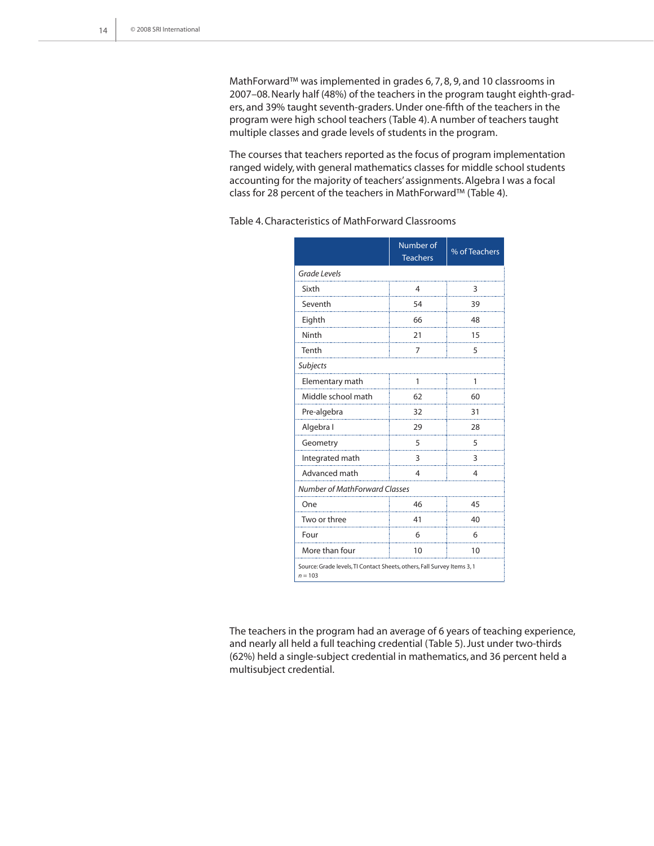MathForward™ was implemented in grades 6, 7, 8, 9, and 10 classrooms in 2007–08. Nearly half (48%) of the teachers in the program taught eighth-graders, and 39% taught seventh-graders. Under one-fifth of the teachers in the program were high school teachers (Table 4). A number of teachers taught multiple classes and grade levels of students in the program.

The courses that teachers reported as the focus of program implementation ranged widely, with general mathematics classes for middle school students accounting for the majority of teachers' assignments. Algebra I was a focal class for 28 percent of the teachers in MathForward™ (Table 4).

Table 4. Characteristics of MathForward Classrooms

|                                                                                      | Number of<br><b>Teachers</b> | % of Teachers |  |  |  |
|--------------------------------------------------------------------------------------|------------------------------|---------------|--|--|--|
| <b>Grade Levels</b>                                                                  |                              |               |  |  |  |
| Sixth                                                                                | 4                            | 3             |  |  |  |
| Seventh                                                                              | 54                           | 39            |  |  |  |
| Eighth                                                                               | 66                           | 48            |  |  |  |
| Ninth                                                                                | 21                           | 15            |  |  |  |
| Tenth                                                                                | 7                            | 5             |  |  |  |
| Subjects                                                                             |                              |               |  |  |  |
| Elementary math                                                                      | 1                            | 1             |  |  |  |
| Middle school math                                                                   | 62                           | 60            |  |  |  |
| Pre-algebra                                                                          | 32                           | 31            |  |  |  |
| Algebra I                                                                            | 29                           | 28            |  |  |  |
| Geometry                                                                             | 5                            | 5             |  |  |  |
| Integrated math                                                                      | 3                            | 3             |  |  |  |
| Advanced math                                                                        | 4                            | 4             |  |  |  |
| Number of MathForward Classes                                                        |                              |               |  |  |  |
| One                                                                                  | 46                           | 45            |  |  |  |
| Two or three                                                                         | 41                           | 40            |  |  |  |
| Four                                                                                 | 6                            | 6             |  |  |  |
| More than four                                                                       | 10                           | 10            |  |  |  |
| Source: Grade levels, TI Contact Sheets, others, Fall Survey Items 3, 1<br>$n = 103$ |                              |               |  |  |  |

The teachers in the program had an average of 6 years of teaching experience, and nearly all held a full teaching credential (Table 5). Just under two-thirds (62%) held a single-subject credential in mathematics, and 36 percent held a multisubject credential.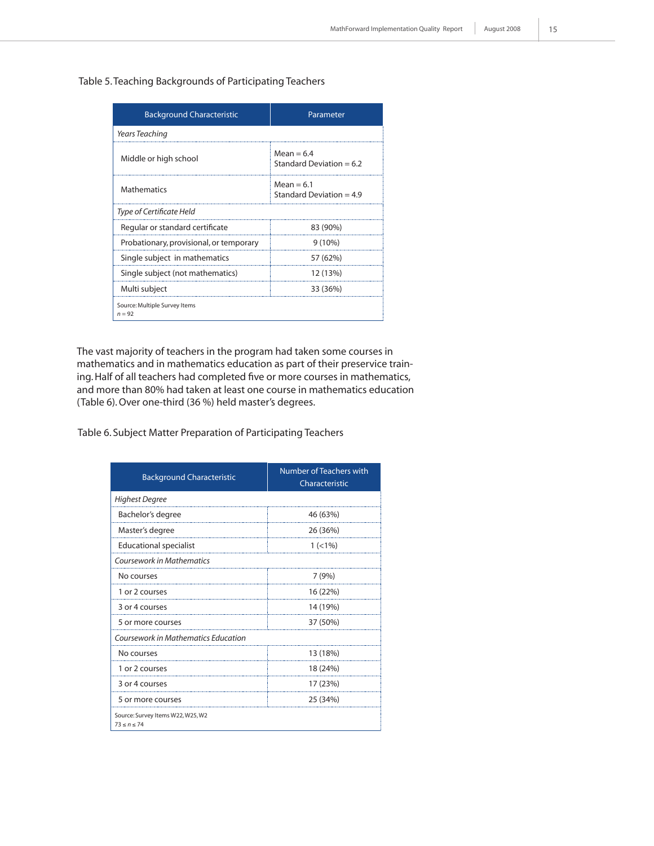#### Table 5. Teaching Backgrounds of Participating Teachers

| <b>Background Characteristic</b>          | Parameter                                  |  |  |  |  |
|-------------------------------------------|--------------------------------------------|--|--|--|--|
| <b>Years Teaching</b>                     |                                            |  |  |  |  |
| Middle or high school                     | $Mean = 6.4$<br>Standard Deviation $= 6.2$ |  |  |  |  |
| <b>Mathematics</b>                        | $Mean = 6.1$<br>Standard Deviation = $4.9$ |  |  |  |  |
| Type of Certificate Held                  |                                            |  |  |  |  |
| Regular or standard certificate           | 83 (90%)                                   |  |  |  |  |
| Probationary, provisional, or temporary   | $9(10\%)$                                  |  |  |  |  |
| Single subject in mathematics             | 57 (62%)                                   |  |  |  |  |
| Single subject (not mathematics)          | 12 (13%)                                   |  |  |  |  |
| Multi subject                             | 33 (36%)                                   |  |  |  |  |
| Source: Multiple Survey Items<br>$n = 92$ |                                            |  |  |  |  |

The vast majority of teachers in the program had taken some courses in mathematics and in mathematics education as part of their preservice training. Half of all teachers had completed five or more courses in mathematics, and more than 80% had taken at least one course in mathematics education (Table 6). Over one-third (36 %) held master's degrees.

Table 6. Subject Matter Preparation of Participating Teachers

| <b>Background Characteristic</b>                       | Number of Teachers with<br>Characteristic |
|--------------------------------------------------------|-------------------------------------------|
| <b>Highest Degree</b>                                  |                                           |
| Bachelor's degree                                      | 46 (63%)                                  |
| Master's degree                                        | 26 (36%)                                  |
| <b>Educational specialist</b>                          | $1 (< 1\%)$                               |
| Coursework in Mathematics                              |                                           |
| No courses                                             | 7(9%)                                     |
| 1 or 2 courses                                         | 16 (22%)                                  |
| 3 or 4 courses                                         | 14 (19%)                                  |
| 5 or more courses                                      | 37 (50%)                                  |
| <b>Coursework in Mathematics Education</b>             |                                           |
| No courses                                             | 13 (18%)                                  |
| 1 or 2 courses                                         | 18 (24%)                                  |
| 3 or 4 courses                                         | 17 (23%)                                  |
| 5 or more courses                                      | 25 (34%)                                  |
| Source: Survey Items W22, W25, W2<br>$73 \le n \le 74$ |                                           |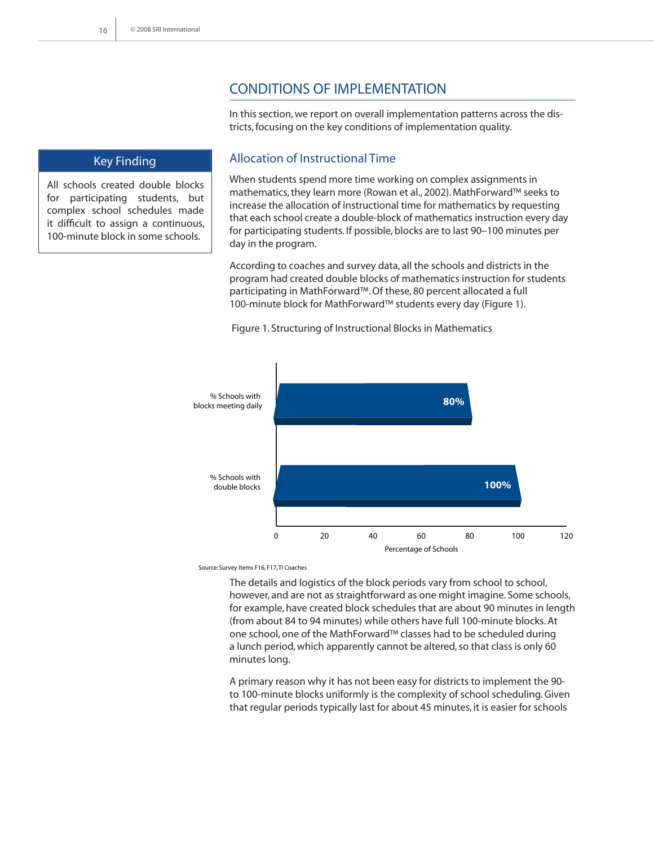# Conditions of Implementation

In this section, we report on overall implementation patterns across the districts, focusing on the key conditions of implementation quality.

#### Key Finding

All schools created double blocks for participating students, but complex school schedules made it difficult to assign a continuous, 100-minute block in some schools.

### Allocation of Instructional Time

When students spend more time working on complex assignments in mathematics, they learn more (Rowan et al., 2002). MathForward™ seeks to increase the allocation of instructional time for mathematics by requesting that each school create a double-block of mathematics instruction every day for participating students. If possible, blocks are to last 90–100 minutes per day in the program.

According to coaches and survey data, all the schools and districts in the program had created double blocks of mathematics instruction for students participating in MathForward™. Of these, 80 percent allocated a full 100-minute block for MathForward™ students every day (Figure 1).



Figure 1. Structuring of Instructional Blocks in Mathematics

Source: Survey Items F16, F17, TI Coaches

The details and logistics of the block periods vary from school to school, however, and are not as straightforward as one might imagine. Some schools, for example, have created block schedules that are about 90 minutes in length (from about 84 to 94 minutes) while others have full 100-minute blocks. At one school, one of the MathForward™ classes had to be scheduled during a lunch period, which apparently cannot be altered, so that class is only 60 minutes long.

A primary reason why it has not been easy for districts to implement the 90 to 100-minute blocks uniformly is the complexity of school scheduling. Given that regular periods typically last for about 45 minutes, it is easier for schools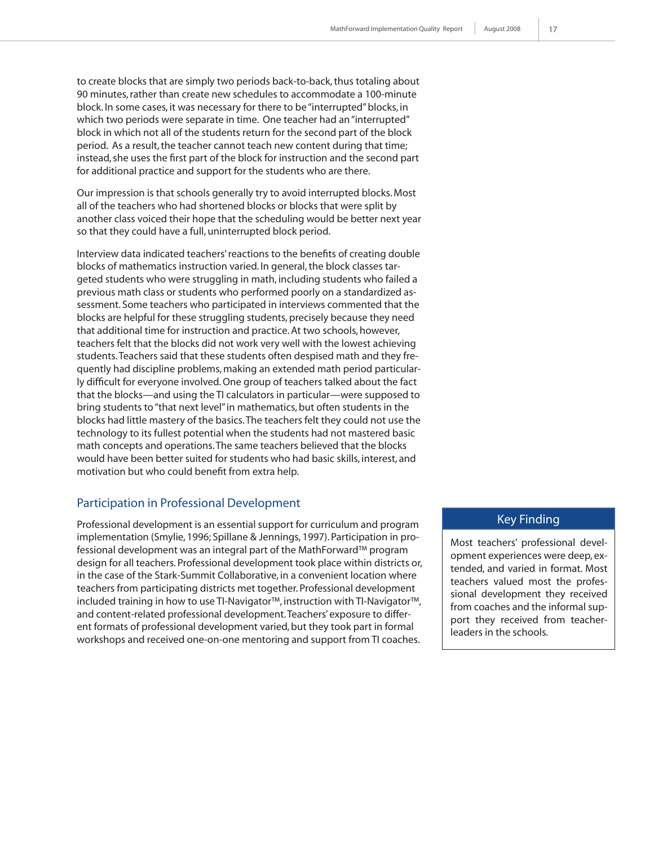to create blocks that are simply two periods back-to-back, thus totaling about 90 minutes, rather than create new schedules to accommodate a 100-minute block. In some cases, it was necessary for there to be "interrupted" blocks, in which two periods were separate in time. One teacher had an "interrupted" block in which not all of the students return for the second part of the block period. As a result, the teacher cannot teach new content during that time; instead, she uses the first part of the block for instruction and the second part for additional practice and support for the students who are there.

Our impression is that schools generally try to avoid interrupted blocks. Most all of the teachers who had shortened blocks or blocks that were split by another class voiced their hope that the scheduling would be better next year so that they could have a full, uninterrupted block period.

Interview data indicated teachers' reactions to the benefits of creating double blocks of mathematics instruction varied. In general, the block classes targeted students who were struggling in math, including students who failed a previous math class or students who performed poorly on a standardized assessment. Some teachers who participated in interviews commented that the blocks are helpful for these struggling students, precisely because they need that additional time for instruction and practice. At two schools, however, teachers felt that the blocks did not work very well with the lowest achieving students. Teachers said that these students often despised math and they frequently had discipline problems, making an extended math period particularly difficult for everyone involved. One group of teachers talked about the fact that the blocks—and using the TI calculators in particular—were supposed to bring students to "that next level" in mathematics, but often students in the blocks had little mastery of the basics. The teachers felt they could not use the technology to its fullest potential when the students had not mastered basic math concepts and operations. The same teachers believed that the blocks would have been better suited for students who had basic skills, interest, and motivation but who could benefit from extra help.

#### Participation in Professional Development

Professional development is an essential support for curriculum and program implementation (Smylie, 1996; Spillane & Jennings, 1997). Participation in professional development was an integral part of the MathForward™ program design for all teachers. Professional development took place within districts or, in the case of the Stark-Summit Collaborative, in a convenient location where teachers from participating districts met together. Professional development included training in how to use TI-Navigator™, instruction with TI-Navigator™, and content-related professional development. Teachers' exposure to different formats of professional development varied, but they took part in formal workshops and received one-on-one mentoring and support from TI coaches.

#### Key Finding

Most teachers' professional development experiences were deep, extended, and varied in format. Most teachers valued most the professional development they received from coaches and the informal support they received from teacherleaders in the schools.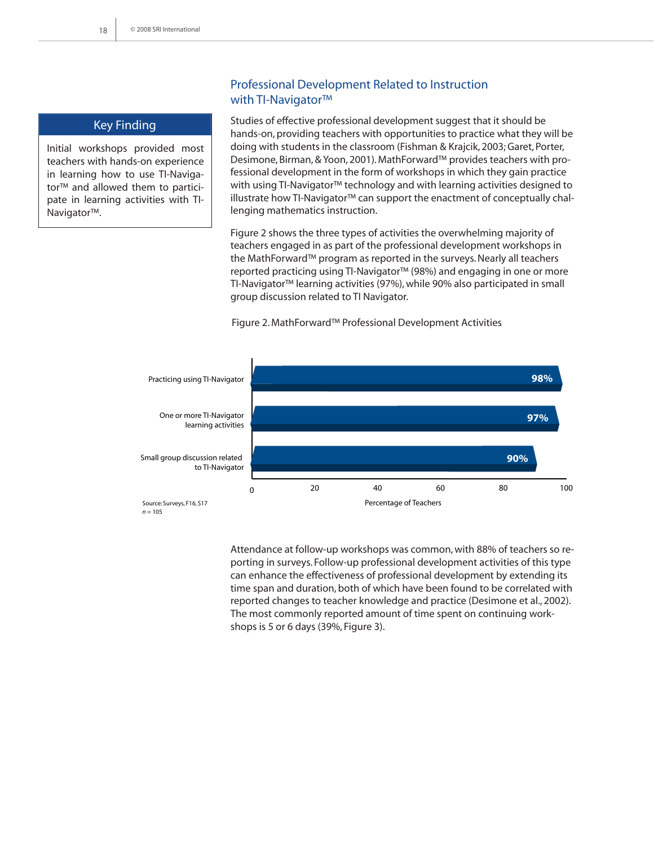#### Key Finding

Initial workshops provided most teachers with hands-on experience in learning how to use TI-Navigator™ and allowed them to participate in learning activities with TI-Navigator™.

#### Professional Development Related to Instruction with TI-Navigator™

Studies of effective professional development suggest that it should be hands-on, providing teachers with opportunities to practice what they will be doing with students in the classroom (Fishman & Krajcik, 2003; Garet, Porter, Desimone, Birman, & Yoon, 2001). MathForward™ provides teachers with professional development in the form of workshops in which they gain practice with using TI-Navigator™ technology and with learning activities designed to illustrate how TI-Navigator™ can support the enactment of conceptually challenging mathematics instruction.

Figure 2 shows the three types of activities the overwhelming majority of teachers engaged in as part of the professional development workshops in the MathForward™ program as reported in the surveys. Nearly all teachers reported practicing using TI-Navigator™ (98%) and engaging in one or more TI-Navigator™ learning activities (97%), while 90% also participated in small group discussion related to TI Navigator.





Attendance at follow-up workshops was common, with 88% of teachers so reporting in surveys. Follow-up professional development activities of this type can enhance the effectiveness of professional development by extending its time span and duration, both of which have been found to be correlated with reported changes to teacher knowledge and practice (Desimone et al., 2002). The most commonly reported amount of time spent on continuing workshops is 5 or 6 days (39%, Figure 3).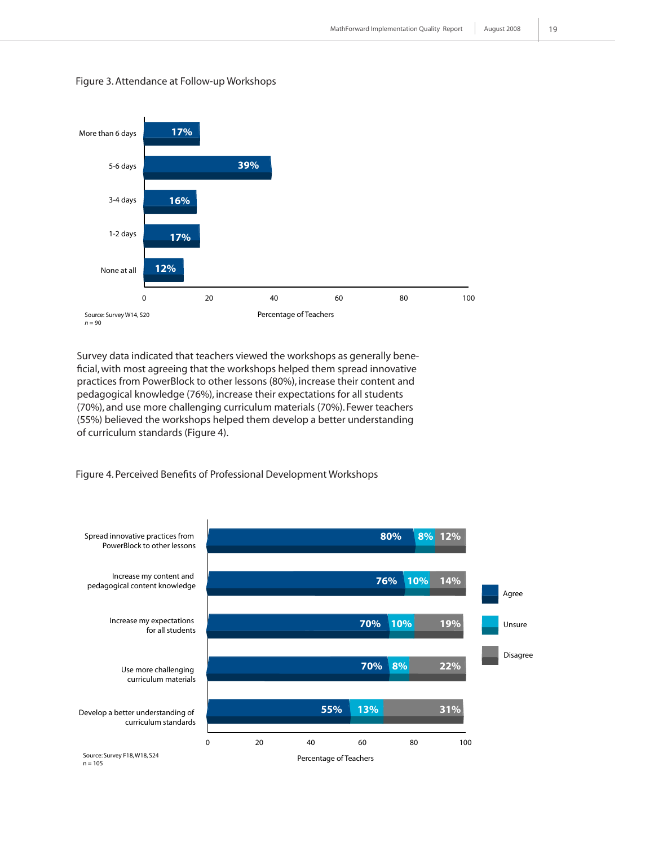

#### Figure 3. Attendance at Follow-up Workshops

Survey data indicated that teachers viewed the workshops as generally beneficial, with most agreeing that the workshops helped them spread innovative practices from PowerBlock to other lessons (80%), increase their content and pedagogical knowledge (76%), increase their expectations for all students (70%), and use more challenging curriculum materials (70%). Fewer teachers (55%) believed the workshops helped them develop a better understanding of curriculum standards (Figure 4).

Figure 4. Perceived Benefits of Professional Development Workshops

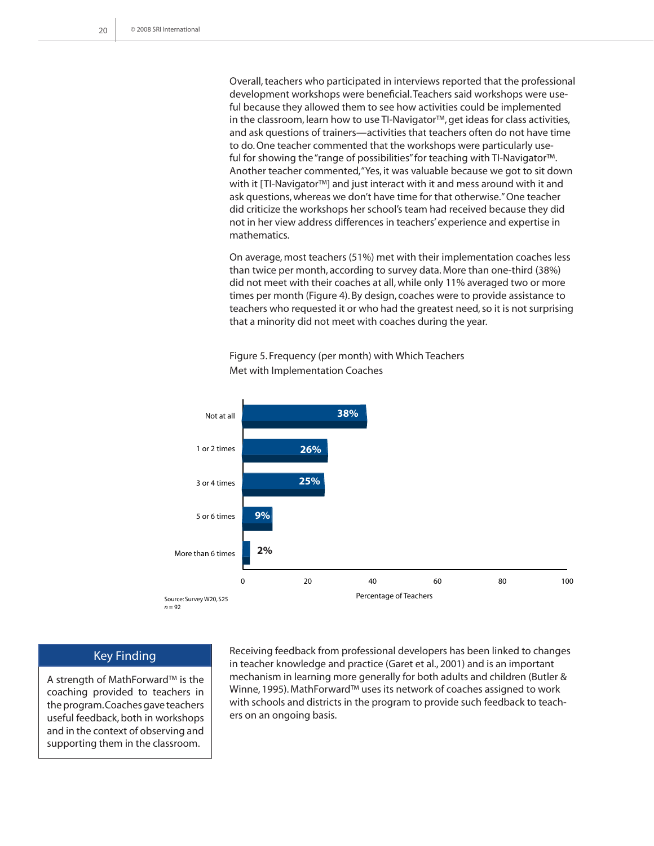Overall, teachers who participated in interviews reported that the professional development workshops were beneficial. Teachers said workshops were useful because they allowed them to see how activities could be implemented in the classroom, learn how to use TI-Navigator™, get ideas for class activities, and ask questions of trainers—activities that teachers often do not have time to do. One teacher commented that the workshops were particularly useful for showing the "range of possibilities" for teaching with TI-Navigator™. Another teacher commented, "Yes, it was valuable because we got to sit down with it [TI-Navigator™] and just interact with it and mess around with it and ask questions, whereas we don't have time for that otherwise." One teacher did criticize the workshops her school's team had received because they did not in her view address differences in teachers' experience and expertise in mathematics.

On average, most teachers (51%) met with their implementation coaches less than twice per month, according to survey data. More than one-third (38%) did not meet with their coaches at all, while only 11% averaged two or more times per month (Figure 4). By design, coaches were to provide assistance to teachers who requested it or who had the greatest need, so it is not surprising that a minority did not meet with coaches during the year.

Figure 5. Frequency (per month) with Which Teachers Met with Implementation Coaches



#### Key Finding

A strength of MathForward™ is the coaching provided to teachers in the program. Coaches gave teachers useful feedback, both in workshops and in the context of observing and supporting them in the classroom.

Receiving feedback from professional developers has been linked to changes in teacher knowledge and practice (Garet et al., 2001) and is an important mechanism in learning more generally for both adults and children (Butler & Winne, 1995). MathForward™ uses its network of coaches assigned to work with schools and districts in the program to provide such feedback to teachers on an ongoing basis.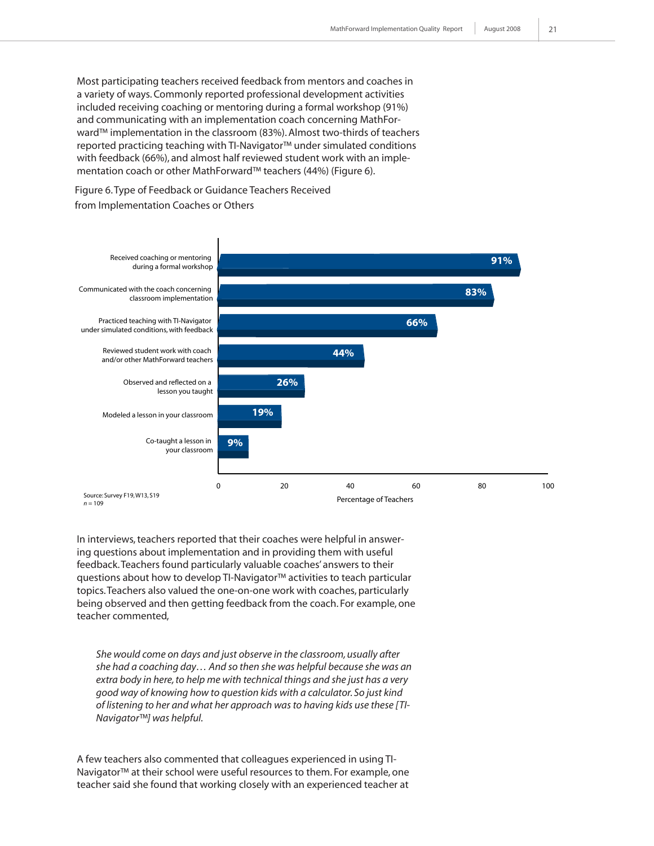Most participating teachers received feedback from mentors and coaches in a variety of ways. Commonly reported professional development activities included receiving coaching or mentoring during a formal workshop (91%) and communicating with an implementation coach concerning MathForward™ implementation in the classroom (83%). Almost two-thirds of teachers reported practicing teaching with TI-Navigator™ under simulated conditions with feedback (66%), and almost half reviewed student work with an implementation coach or other MathForward™ teachers (44%) (Figure 6).

Figure 6. Type of Feedback or Guidance Teachers Received from Implementation Coaches or Others



In interviews, teachers reported that their coaches were helpful in answering questions about implementation and in providing them with useful feedback. Teachers found particularly valuable coaches' answers to their questions about how to develop TI-Navigator™ activities to teach particular topics. Teachers also valued the one-on-one work with coaches, particularly being observed and then getting feedback from the coach. For example, one teacher commented,

*She would come on days and just observe in the classroom, usually after she had a coaching day… And so then she was helpful because she was an extra body in here, to help me with technical things and she just has a very good way of knowing how to question kids with a calculator. So just kind of listening to her and what her approach was to having kids use these [TI-Navigator™] was helpful.*

A few teachers also commented that colleagues experienced in using TI-Navigator™ at their school were useful resources to them. For example, one teacher said she found that working closely with an experienced teacher at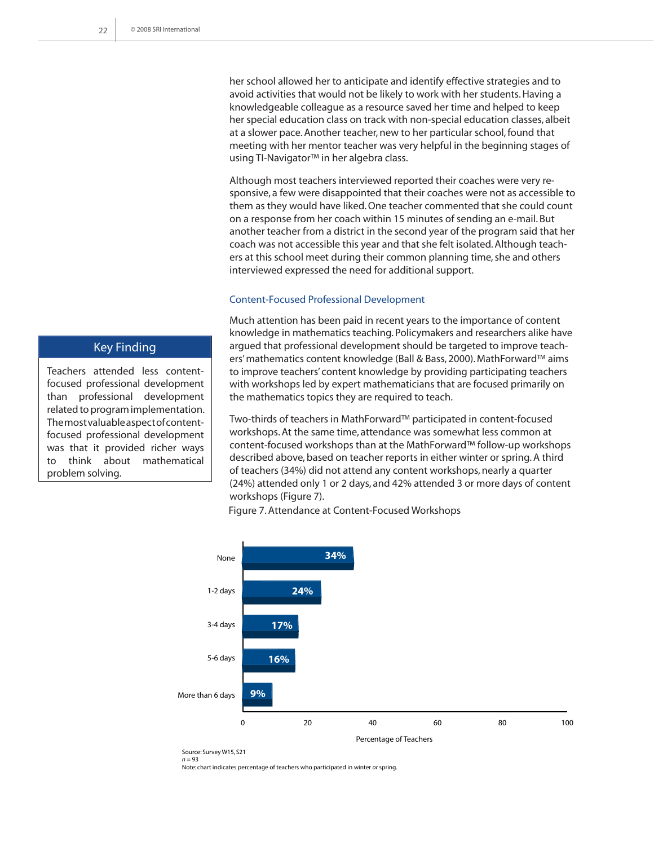her school allowed her to anticipate and identify effective strategies and to avoid activities that would not be likely to work with her students. Having a knowledgeable colleague as a resource saved her time and helped to keep her special education class on track with non-special education classes, albeit at a slower pace. Another teacher, new to her particular school, found that meeting with her mentor teacher was very helpful in the beginning stages of using TI-Navigator™ in her algebra class.

Although most teachers interviewed reported their coaches were very responsive, a few were disappointed that their coaches were not as accessible to them as they would have liked. One teacher commented that she could count on a response from her coach within 15 minutes of sending an e-mail. But another teacher from a district in the second year of the program said that her coach was not accessible this year and that she felt isolated. Although teachers at this school meet during their common planning time, she and others interviewed expressed the need for additional support.

#### Content-Focused Professional Development

Much attention has been paid in recent years to the importance of content knowledge in mathematics teaching. Policymakers and researchers alike have argued that professional development should be targeted to improve teachers' mathematics content knowledge (Ball & Bass, 2000). MathForward™ aims to improve teachers' content knowledge by providing participating teachers with workshops led by expert mathematicians that are focused primarily on the mathematics topics they are required to teach.

Two-thirds of teachers in MathForward™ participated in content-focused workshops. At the same time, attendance was somewhat less common at content-focused workshops than at the MathForward™ follow-up workshops described above, based on teacher reports in either winter or spring. A third of teachers (34%) did not attend any content workshops, nearly a quarter (24%) attended only 1 or 2 days, and 42% attended 3 or more days of content workshops (Figure 7).



Figure 7. Attendance at Content-Focused Workshops

Note: chart indicates percentage of teachers who participated in winter *or* spring.



Teachers attended less contentfocused professional development than professional development related to program implementation. The most valuable aspect of contentfocused professional development was that it provided richer ways to think about mathematical problem solving.

Source: Survey W15, S21  $n = 93$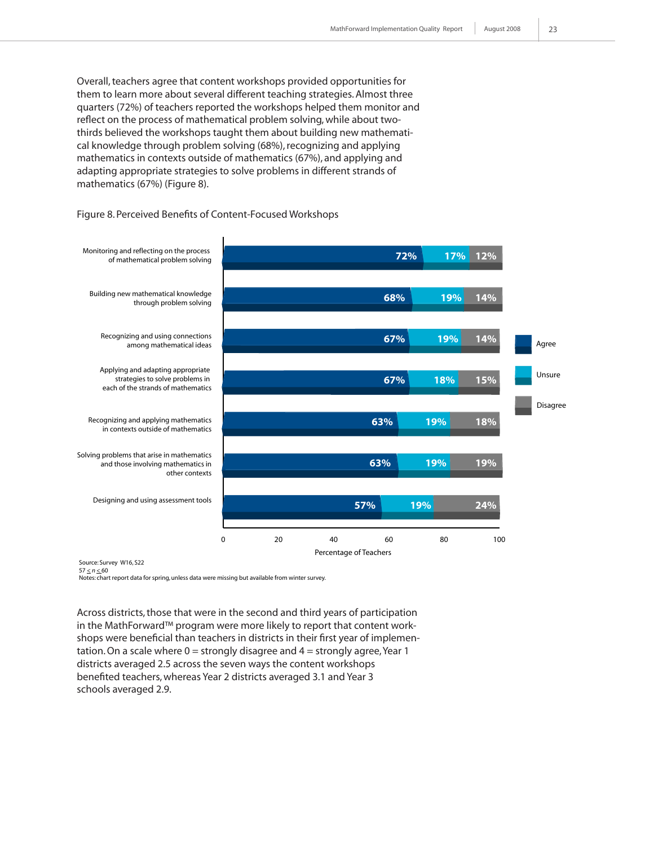Overall, teachers agree that content workshops provided opportunities for them to learn more about several different teaching strategies. Almost three quarters (72%) of teachers reported the workshops helped them monitor and reflect on the process of mathematical problem solving, while about twothirds believed the workshops taught them about building new mathematical knowledge through problem solving (68%), recognizing and applying mathematics in contexts outside of mathematics (67%), and applying and adapting appropriate strategies to solve problems in different strands of mathematics (67%) (Figure 8).

#### Figure 8. Perceived Benefits of Content-Focused Workshops



Source: Survey W16, S22  $57 < n < 60$ 

Notes: chart report data for spring, unless data were missing but available from winter survey.

Across districts, those that were in the second and third years of participation in the MathForward™ program were more likely to report that content workshops were beneficial than teachers in districts in their first year of implementation. On a scale where  $0 =$  strongly disagree and  $4 =$  strongly agree, Year 1 districts averaged 2.5 across the seven ways the content workshops benefited teachers, whereas Year 2 districts averaged 3.1 and Year 3 schools averaged 2.9.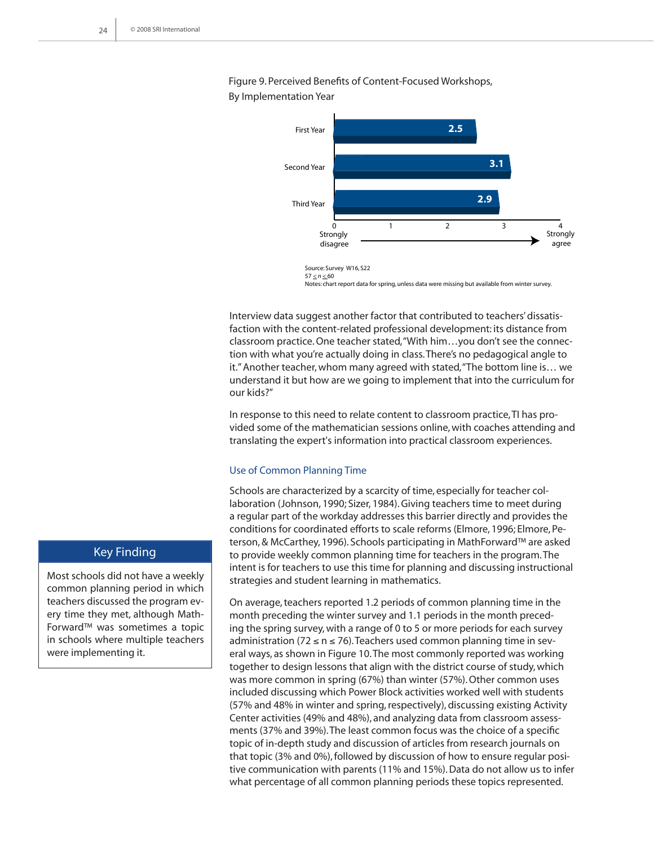Figure 9. Perceived Benefits of Content-Focused Workshops, By Implementation Year



Source: Survey W16, S22  $57 \le n \le 60$ Notes: chart report data for spring, unless data were missing but available from winter survey.

Interview data suggest another factor that contributed to teachers' dissatisfaction with the content-related professional development: its distance from classroom practice. One teacher stated, "With him…you don't see the connection with what you're actually doing in class. There's no pedagogical angle to it." Another teacher, whom many agreed with stated, "The bottom line is… we understand it but how are we going to implement that into the curriculum for our kids?"

In response to this need to relate content to classroom practice, TI has provided some of the mathematician sessions online, with coaches attending and translating the expert's information into practical classroom experiences.

#### Use of Common Planning Time

Schools are characterized by a scarcity of time, especially for teacher collaboration (Johnson, 1990; Sizer, 1984). Giving teachers time to meet during a regular part of the workday addresses this barrier directly and provides the conditions for coordinated efforts to scale reforms (Elmore, 1996; Elmore, Peterson, & McCarthey, 1996). Schools participating in MathForward™ are asked to provide weekly common planning time for teachers in the program. The intent is for teachers to use this time for planning and discussing instructional strategies and student learning in mathematics.

On average, teachers reported 1.2 periods of common planning time in the month preceding the winter survey and 1.1 periods in the month preceding the spring survey, with a range of 0 to 5 or more periods for each survey administration (72  $\leq$  n  $\leq$  76). Teachers used common planning time in several ways, as shown in Figure 10. The most commonly reported was working together to design lessons that align with the district course of study, which was more common in spring (67%) than winter (57%). Other common uses included discussing which Power Block activities worked well with students (57% and 48% in winter and spring, respectively), discussing existing Activity Center activities (49% and 48%), and analyzing data from classroom assessments (37% and 39%). The least common focus was the choice of a specific topic of in-depth study and discussion of articles from research journals on that topic (3% and 0%), followed by discussion of how to ensure regular positive communication with parents (11% and 15%). Data do not allow us to infer what percentage of all common planning periods these topics represented.

#### Key Finding

Most schools did not have a weekly common planning period in which teachers discussed the program every time they met, although Math-Forward™ was sometimes a topic in schools where multiple teachers were implementing it.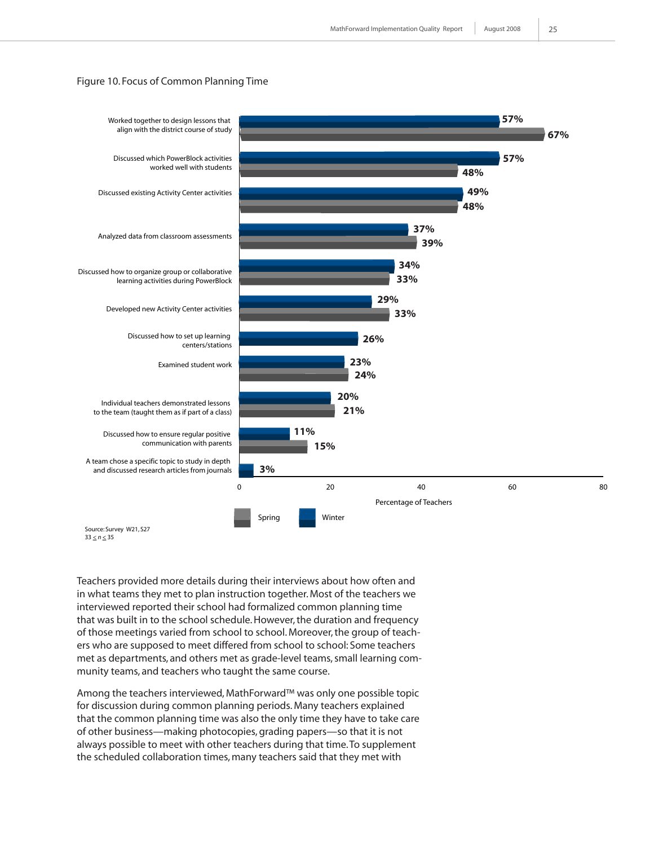#### Figure 10. Focus of Common Planning Time



 $33 \le n \le 35$ 

Teachers provided more details during their interviews about how often and in what teams they met to plan instruction together. Most of the teachers we interviewed reported their school had formalized common planning time that was built in to the school schedule. However, the duration and frequency of those meetings varied from school to school. Moreover, the group of teachers who are supposed to meet differed from school to school: Some teachers met as departments, and others met as grade-level teams, small learning community teams, and teachers who taught the same course.

Among the teachers interviewed, MathForward™ was only one possible topic for discussion during common planning periods. Many teachers explained that the common planning time was also the only time they have to take care of other business—making photocopies, grading papers—so that it is not always possible to meet with other teachers during that time. To supplement the scheduled collaboration times, many teachers said that they met with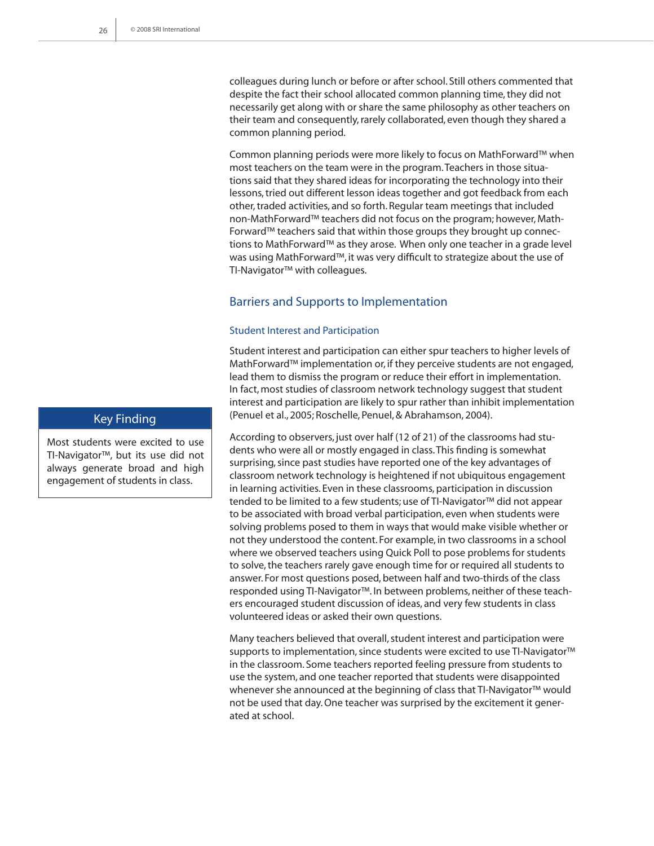colleagues during lunch or before or after school. Still others commented that despite the fact their school allocated common planning time, they did not necessarily get along with or share the same philosophy as other teachers on their team and consequently, rarely collaborated, even though they shared a common planning period.

Common planning periods were more likely to focus on MathForward™ when most teachers on the team were in the program. Teachers in those situations said that they shared ideas for incorporating the technology into their lessons, tried out different lesson ideas together and got feedback from each other, traded activities, and so forth. Regular team meetings that included non-MathForward™ teachers did not focus on the program; however, Math-Forward™ teachers said that within those groups they brought up connections to MathForward™ as they arose. When only one teacher in a grade level was using MathForward™, it was very difficult to strategize about the use of TI-Navigator™ with colleagues.

#### Barriers and Supports to Implementation

#### Student Interest and Participation

Student interest and participation can either spur teachers to higher levels of MathForward™ implementation or, if they perceive students are not engaged, lead them to dismiss the program or reduce their effort in implementation. In fact, most studies of classroom network technology suggest that student interest and participation are likely to spur rather than inhibit implementation (Penuel et al., 2005; Roschelle, Penuel, & Abrahamson, 2004).

According to observers, just over half (12 of 21) of the classrooms had students who were all or mostly engaged in class. This finding is somewhat surprising, since past studies have reported one of the key advantages of classroom network technology is heightened if not ubiquitous engagement in learning activities. Even in these classrooms, participation in discussion tended to be limited to a few students; use of TI-Navigator™ did not appear to be associated with broad verbal participation, even when students were solving problems posed to them in ways that would make visible whether or not they understood the content. For example, in two classrooms in a school where we observed teachers using Quick Poll to pose problems for students to solve, the teachers rarely gave enough time for or required all students to answer. For most questions posed, between half and two-thirds of the class responded using TI-Navigator™. In between problems, neither of these teachers encouraged student discussion of ideas, and very few students in class volunteered ideas or asked their own questions.

Many teachers believed that overall, student interest and participation were supports to implementation, since students were excited to use TI-Navigator™ in the classroom. Some teachers reported feeling pressure from students to use the system, and one teacher reported that students were disappointed whenever she announced at the beginning of class that TI-Navigator™ would not be used that day. One teacher was surprised by the excitement it generated at school.

### Key Finding

Most students were excited to use TI-Navigator™, but its use did not always generate broad and high engagement of students in class.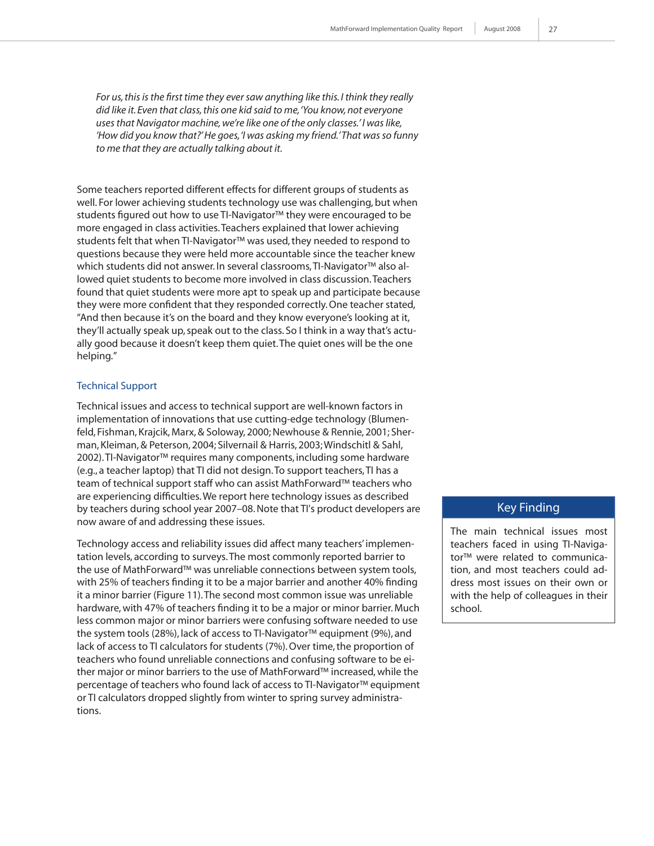*For us, this is the first time they ever saw anything like this. I think they really did like it. Even that class, this one kid said to me, 'You know, not everyone uses that Navigator machine, we're like one of the only classes.' I was like, 'How did you know that?' He goes, 'I was asking my friend.' That was so funny to me that they are actually talking about it.*

Some teachers reported different effects for different groups of students as well. For lower achieving students technology use was challenging, but when students figured out how to use TI-Navigator™ they were encouraged to be more engaged in class activities. Teachers explained that lower achieving students felt that when TI-Navigator™ was used, they needed to respond to questions because they were held more accountable since the teacher knew which students did not answer. In several classrooms, TI-Navigator™ also allowed quiet students to become more involved in class discussion. Teachers found that quiet students were more apt to speak up and participate because they were more confident that they responded correctly. One teacher stated, "And then because it's on the board and they know everyone's looking at it, they'll actually speak up, speak out to the class. So I think in a way that's actually good because it doesn't keep them quiet. The quiet ones will be the one helping."

#### Technical Support

Technical issues and access to technical support are well-known factors in implementation of innovations that use cutting-edge technology (Blumenfeld, Fishman, Krajcik, Marx, & Soloway, 2000; Newhouse & Rennie, 2001; Sherman, Kleiman, & Peterson, 2004; Silvernail & Harris, 2003; Windschitl & Sahl, 2002). TI-Navigator™ requires many components, including some hardware (e.g., a teacher laptop) that TI did not design. To support teachers, TI has a team of technical support staff who can assist MathForward™ teachers who are experiencing difficulties. We report here technology issues as described by teachers during school year 2007–08. Note that TI's product developers are now aware of and addressing these issues.

Technology access and reliability issues did affect many teachers' implementation levels, according to surveys. The most commonly reported barrier to the use of MathForward™ was unreliable connections between system tools, with 25% of teachers finding it to be a major barrier and another 40% finding it a minor barrier (Figure 11). The second most common issue was unreliable hardware, with 47% of teachers finding it to be a major or minor barrier. Much less common major or minor barriers were confusing software needed to use the system tools (28%), lack of access to TI-Navigator™ equipment (9%), and lack of access to TI calculators for students (7%). Over time, the proportion of teachers who found unreliable connections and confusing software to be either major or minor barriers to the use of MathForward™ increased, while the percentage of teachers who found lack of access to TI-Navigator™ equipment or TI calculators dropped slightly from winter to spring survey administrations.

#### Key Finding

The main technical issues most teachers faced in using TI-Navigator™ were related to communication, and most teachers could address most issues on their own or with the help of colleagues in their school.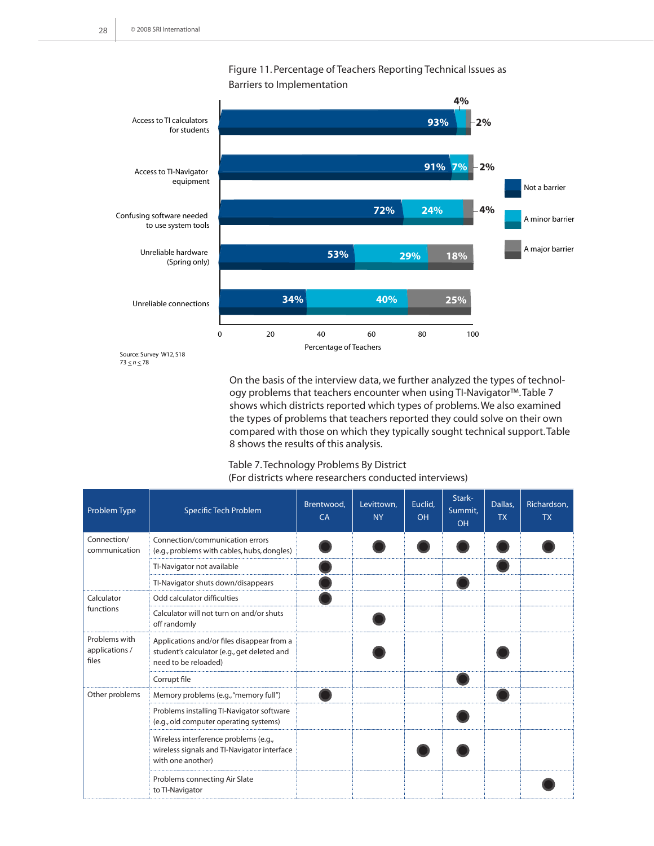

Figure 11. Percentage of Teachers Reporting Technical Issues as Barriers to Implementation

Source: Survey W12, S18 73 *< n <* 78

> On the basis of the interview data, we further analyzed the types of technology problems that teachers encounter when using TI-Navigator™. Table 7 shows which districts reported which types of problems. We also examined the types of problems that teachers reported they could solve on their own compared with those on which they typically sought technical support. Table 8 shows the results of this analysis.

#### Table 7. Technology Problems By District (For districts where researchers conducted interviews)

| Problem Type                             | Specific Tech Problem                                                                                             | Brentwood,<br>CA | Levittown,<br><b>NY</b> | Euclid,<br><b>OH</b> | Stark-<br>Summit.<br><b>OH</b> | Dallas,<br><b>TX</b> | Richardson,<br><b>TX</b> |
|------------------------------------------|-------------------------------------------------------------------------------------------------------------------|------------------|-------------------------|----------------------|--------------------------------|----------------------|--------------------------|
| Connection/<br>communication             | Connection/communication errors<br>(e.g., problems with cables, hubs, dongles)                                    |                  |                         |                      |                                |                      |                          |
|                                          | TI-Navigator not available                                                                                        |                  |                         |                      |                                |                      |                          |
|                                          | TI-Navigator shuts down/disappears                                                                                |                  |                         |                      |                                |                      |                          |
| Calculator                               | Odd calculator difficulties                                                                                       |                  |                         |                      |                                |                      |                          |
| functions                                | Calculator will not turn on and/or shuts<br>off randomly                                                          |                  |                         |                      |                                |                      |                          |
| Problems with<br>applications /<br>files | Applications and/or files disappear from a<br>student's calculator (e.g., get deleted and<br>need to be reloaded) |                  |                         |                      |                                |                      |                          |
|                                          | Corrupt file                                                                                                      |                  |                         |                      |                                |                      |                          |
| Other problems                           | Memory problems (e.g., "memory full")                                                                             |                  |                         |                      |                                |                      |                          |
|                                          | Problems installing TI-Navigator software<br>(e.g., old computer operating systems)                               |                  |                         |                      |                                |                      |                          |
|                                          | Wireless interference problems (e.g.,<br>wireless signals and TI-Navigator interface<br>with one another)         |                  |                         |                      |                                |                      |                          |
|                                          | Problems connecting Air Slate<br>to TI-Navigator                                                                  |                  |                         |                      |                                |                      |                          |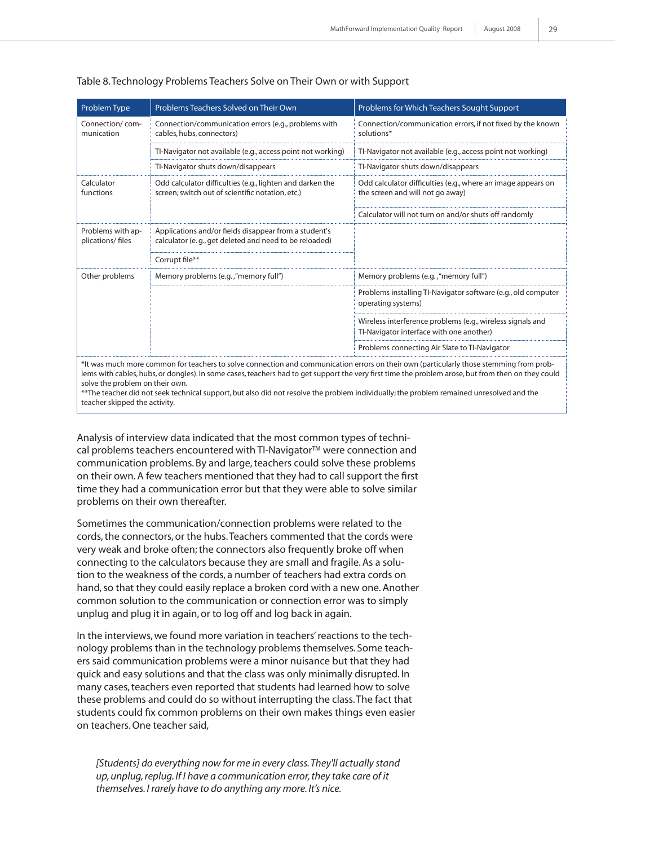| Problem Type                          | Problems Teachers Solved on Their Own                                                                           | Problems for Which Teachers Sought Support                                                             |
|---------------------------------------|-----------------------------------------------------------------------------------------------------------------|--------------------------------------------------------------------------------------------------------|
| Connection/com-<br>munication         | Connection/communication errors (e.g., problems with<br>cables, hubs, connectors)                               | Connection/communication errors, if not fixed by the known<br>solutions*                               |
|                                       | TI-Navigator not available (e.g., access point not working)                                                     | TI-Navigator not available (e.g., access point not working)                                            |
|                                       | TI-Navigator shuts down/disappears                                                                              | TI-Navigator shuts down/disappears                                                                     |
| Calculator<br>functions               | Odd calculator difficulties (e.g., lighten and darken the<br>screen; switch out of scientific notation, etc.)   | Odd calculator difficulties (e.g., where an image appears on<br>the screen and will not go away)       |
|                                       |                                                                                                                 | Calculator will not turn on and/or shuts off randomly                                                  |
| Problems with ap-<br>plications/files | Applications and/or fields disappear from a student's<br>calculator (e.g., get deleted and need to be reloaded) |                                                                                                        |
|                                       | Corrupt file**                                                                                                  |                                                                                                        |
| Other problems                        | Memory problems (e.g., "memory full")                                                                           | Memory problems (e.g., "memory full")                                                                  |
|                                       |                                                                                                                 | Problems installing TI-Navigator software (e.g., old computer<br>operating systems)                    |
|                                       |                                                                                                                 | Wireless interference problems (e.g., wireless signals and<br>TI-Navigator interface with one another) |
|                                       |                                                                                                                 | Problems connecting Air Slate to Tl-Navigator                                                          |

#### Table 8. Technology Problems Teachers Solve on Their Own or with Support

\*It was much more common for teachers to solve connection and communication errors on their own (particularly those stemming from problems with cables, hubs, or dongles). In some cases, teachers had to get support the very first time the problem arose, but from then on they could solve the problem on their own.

\*\*The teacher did not seek technical support, but also did not resolve the problem individually; the problem remained unresolved and the teacher skipped the activity.

Analysis of interview data indicated that the most common types of technical problems teachers encountered with TI-Navigator™ were connection and communication problems. By and large, teachers could solve these problems on their own. A few teachers mentioned that they had to call support the first time they had a communication error but that they were able to solve similar problems on their own thereafter.

Sometimes the communication/connection problems were related to the cords, the connectors, or the hubs. Teachers commented that the cords were very weak and broke often; the connectors also frequently broke off when connecting to the calculators because they are small and fragile. As a solution to the weakness of the cords, a number of teachers had extra cords on hand, so that they could easily replace a broken cord with a new one. Another common solution to the communication or connection error was to simply unplug and plug it in again, or to log off and log back in again.

In the interviews, we found more variation in teachers' reactions to the technology problems than in the technology problems themselves. Some teachers said communication problems were a minor nuisance but that they had quick and easy solutions and that the class was only minimally disrupted. In many cases, teachers even reported that students had learned how to solve these problems and could do so without interrupting the class. The fact that students could fix common problems on their own makes things even easier on teachers. One teacher said,

[Students] do everything now for me in every class. They'll actually stand *up, unplug, replug. If I have a communication error, they take care of it themselves. I rarely have to do anything any more. It's nice.*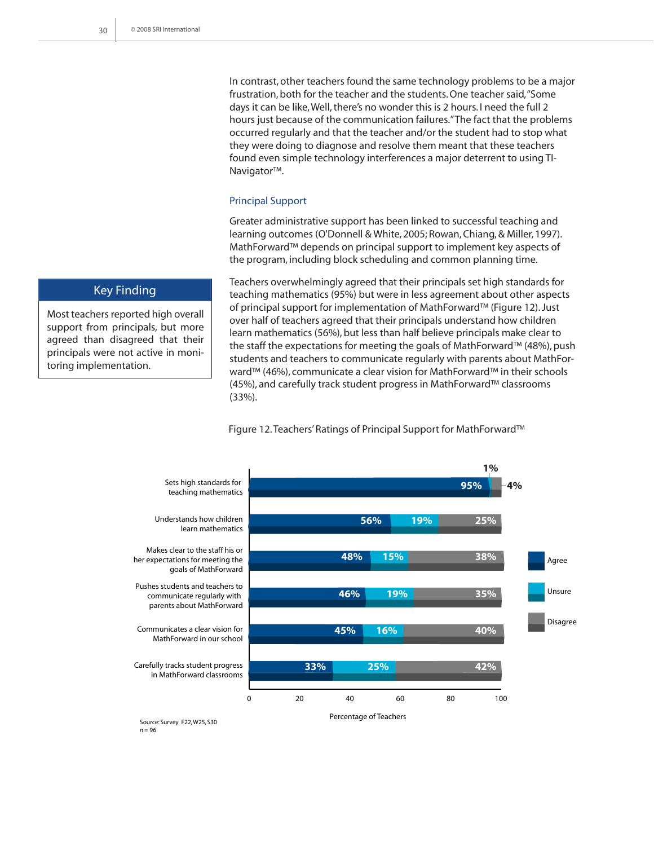In contrast, other teachers found the same technology problems to be a major frustration, both for the teacher and the students. One teacher said, "Some days it can be like, Well, there's no wonder this is 2 hours. I need the full 2 hours just because of the communication failures." The fact that the problems occurred regularly and that the teacher and/or the student had to stop what they were doing to diagnose and resolve them meant that these teachers found even simple technology interferences a major deterrent to using TI-Navigator™.

#### Principal Support

Greater administrative support has been linked to successful teaching and learning outcomes (O'Donnell & White, 2005; Rowan, Chiang, & Miller, 1997). MathForward™ depends on principal support to implement key aspects of the program, including block scheduling and common planning time.

Teachers overwhelmingly agreed that their principals set high standards for teaching mathematics (95%) but were in less agreement about other aspects of principal support for implementation of MathForward™ (Figure 12). Just over half of teachers agreed that their principals understand how children learn mathematics (56%), but less than half believe principals make clear to the staff the expectations for meeting the goals of MathForward™ (48%), push students and teachers to communicate regularly with parents about MathForward™ (46%), communicate a clear vision for MathForward™ in their schools (45%), and carefully track student progress in MathForward™ classrooms (33%).

Agree Unsure Disagree Percentage of Teachers Sets high standards for teaching mathematics Understands how children learn mathematics Makes clear to the staff his or her expectations for meeting the goals of MathForward Pushes students and teachers to communicate regularly with parents about MathForward Communicates a clear vision for MathForward in our school Carefully tracks student progress in MathForward classrooms **4%** 0 20 40 60 80 100 **95% 56% 48% 19% 15% 25% 38% 35% 40% 33% 25% 42% 45% 16% 46% 19% 1%**

#### Figure 12. Teachers' Ratings of Principal Support for MathForward™

Source: Survey F22, W25, S30 *n* = 96

Key Finding

Most teachers reported high overall support from principals, but more agreed than disagreed that their principals were not active in monitoring implementation.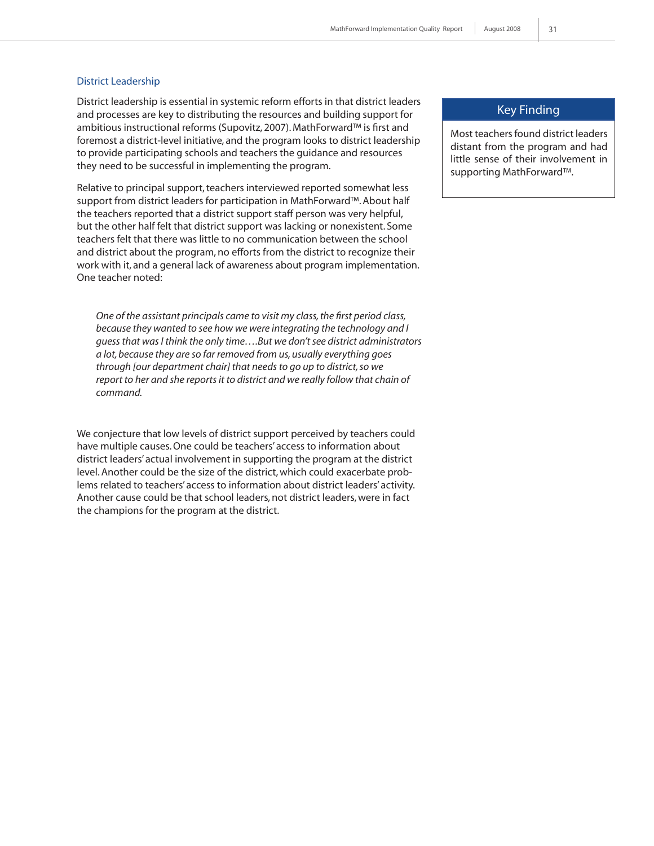#### District Leadership

District leadership is essential in systemic reform efforts in that district leaders and processes are key to distributing the resources and building support for ambitious instructional reforms (Supovitz, 2007). MathForward™ is first and foremost a district-level initiative, and the program looks to district leadership to provide participating schools and teachers the guidance and resources they need to be successful in implementing the program.

Relative to principal support, teachers interviewed reported somewhat less support from district leaders for participation in MathForward™. About half the teachers reported that a district support staff person was very helpful, but the other half felt that district support was lacking or nonexistent. Some teachers felt that there was little to no communication between the school and district about the program, no efforts from the district to recognize their work with it, and a general lack of awareness about program implementation. One teacher noted:

*One of the assistant principals came to visit my class, the first period class, because they wanted to see how we were integrating the technology and I guess that was I think the only time….But we don't see district administrators a lot, because they are so far removed from us, usually everything goes through [our department chair] that needs to go up to district, so we report to her and she reports it to district and we really follow that chain of command.* 

We conjecture that low levels of district support perceived by teachers could have multiple causes. One could be teachers' access to information about district leaders' actual involvement in supporting the program at the district level. Another could be the size of the district, which could exacerbate problems related to teachers' access to information about district leaders' activity. Another cause could be that school leaders, not district leaders, were in fact the champions for the program at the district.

#### Key Finding

Most teachers found district leaders distant from the program and had little sense of their involvement in supporting MathForward™.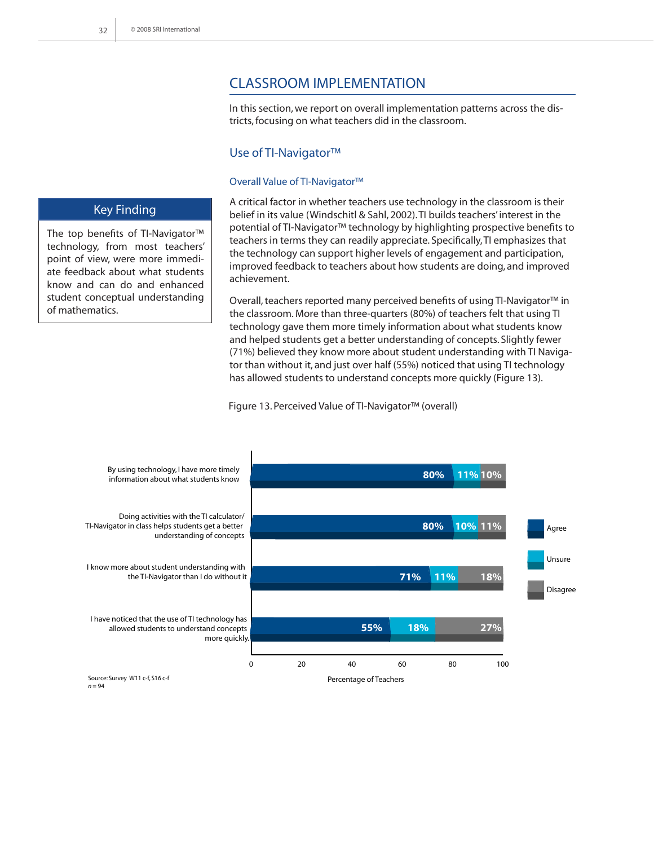# Classroom Implementation

In this section, we report on overall implementation patterns across the districts, focusing on what teachers did in the classroom.

#### Use of TI-Navigator™

#### Overall Value of TI-Navigator™

A critical factor in whether teachers use technology in the classroom is their belief in its value (Windschitl & Sahl, 2002). TI builds teachers' interest in the potential of TI-Navigator™ technology by highlighting prospective benefits to teachers in terms they can readily appreciate. Specifically, TI emphasizes that the technology can support higher levels of engagement and participation, improved feedback to teachers about how students are doing, and improved achievement.

Overall, teachers reported many perceived benefits of using TI-Navigator™ in the classroom. More than three-quarters (80%) of teachers felt that using TI technology gave them more timely information about what students know and helped students get a better understanding of concepts. Slightly fewer (71%) believed they know more about student understanding with TI Navigator than without it, and just over half (55%) noticed that using TI technology has allowed students to understand concepts more quickly (Figure 13).

Figure 13. Perceived Value of TI-Navigator™ (overall)



#### Key Finding

The top benefits of TI-Navigator™ technology, from most teachers' point of view, were more immediate feedback about what students know and can do and enhanced student conceptual understanding of mathematics.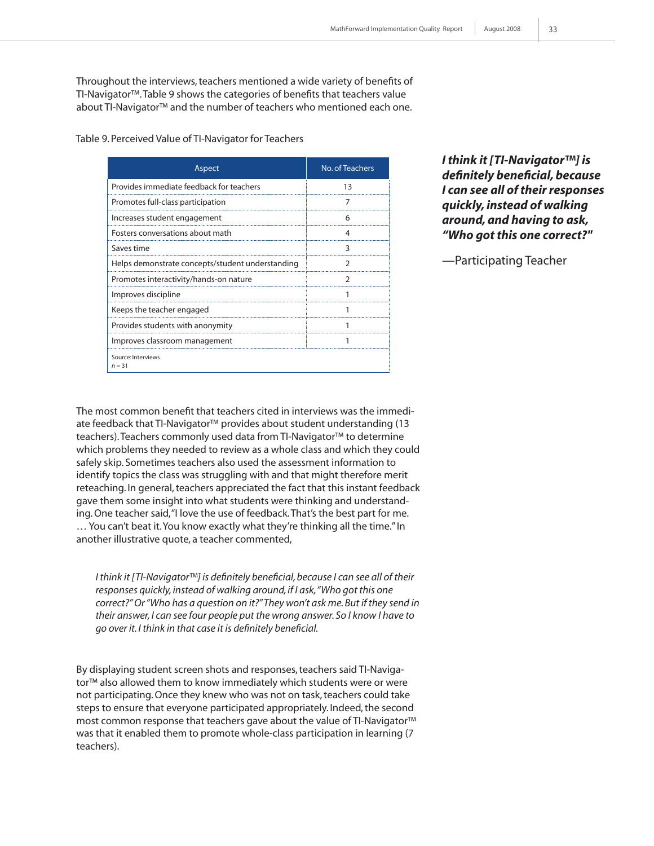Throughout the interviews, teachers mentioned a wide variety of benefits of TI-Navigator™. Table 9 shows the categories of benefits that teachers value about TI-Navigator™ and the number of teachers who mentioned each one.

Table 9. Perceived Value of TI-Navigator for Teachers

| Aspect                                           | No. of Teachers |
|--------------------------------------------------|-----------------|
| Provides immediate feedback for teachers         | 13              |
| Promotes full-class participation                |                 |
| Increases student engagement                     | 6               |
| Fosters conversations about math                 | 4               |
| Saves time                                       | 3               |
| Helps demonstrate concepts/student understanding |                 |
| Promotes interactivity/hands-on nature           | 2               |
| Improves discipline                              |                 |
| Keeps the teacher engaged                        |                 |
| Provides students with anonymity                 |                 |
| Improves classroom management                    |                 |
| Source: Interviews<br>$n = 31$                   |                 |

*I think it [TI-Navigator™] is definitely beneficial, because I can see all of their responses quickly, instead of walking around, and having to ask, "Who got this one correct?"* 

—Participating Teacher

The most common benefit that teachers cited in interviews was the immediate feedback that TI-Navigator™ provides about student understanding (13 teachers). Teachers commonly used data from TI-Navigator™ to determine which problems they needed to review as a whole class and which they could safely skip. Sometimes teachers also used the assessment information to identify topics the class was struggling with and that might therefore merit reteaching. In general, teachers appreciated the fact that this instant feedback gave them some insight into what students were thinking and understanding. One teacher said, "I love the use of feedback. That's the best part for me. … You can't beat it. You know exactly what they're thinking all the time." In another illustrative quote, a teacher commented,

*I think it [TI-Navigator™] is definitely beneficial, because I can see all of their responses quickly, instead of walking around, if I ask, "Who got this one correct?" Or "Who has a question on it?" They won't ask me. But if they send in their answer, I can see four people put the wrong answer. So I know I have to go over it. I think in that case it is definitely beneficial.*

By displaying student screen shots and responses, teachers said TI-Navigator™ also allowed them to know immediately which students were or were not participating. Once they knew who was not on task, teachers could take steps to ensure that everyone participated appropriately. Indeed, the second most common response that teachers gave about the value of TI-Navigator™ was that it enabled them to promote whole-class participation in learning (7 teachers).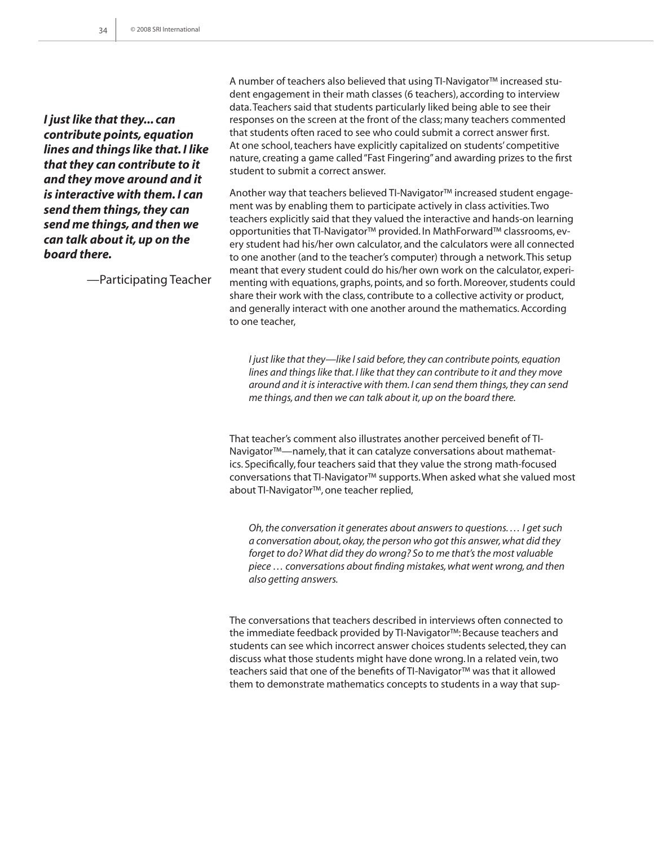*I just like that they... can contribute points, equation lines and things like that. I like that they can contribute to it and they move around and it is interactive with them. I can send them things, they can send me things, and then we can talk about it, up on the board there.* 

—Participating Teacher

A number of teachers also believed that using TI-Navigator™ increased student engagement in their math classes (6 teachers), according to interview data. Teachers said that students particularly liked being able to see their responses on the screen at the front of the class; many teachers commented that students often raced to see who could submit a correct answer first. At one school, teachers have explicitly capitalized on students' competitive nature, creating a game called "Fast Fingering" and awarding prizes to the first student to submit a correct answer.

Another way that teachers believed TI-Navigator™ increased student engagement was by enabling them to participate actively in class activities. Two teachers explicitly said that they valued the interactive and hands-on learning opportunities that TI-Navigator™ provided. In MathForward™ classrooms, every student had his/her own calculator, and the calculators were all connected to one another (and to the teacher's computer) through a network. This setup meant that every student could do his/her own work on the calculator, experimenting with equations, graphs, points, and so forth. Moreover, students could share their work with the class, contribute to a collective activity or product, and generally interact with one another around the mathematics. According to one teacher,

*I just like that they—like I said before, they can contribute points, equation lines and things like that. I like that they can contribute to it and they move around and it is interactive with them. I can send them things, they can send me things, and then we can talk about it, up on the board there.* 

That teacher's comment also illustrates another perceived benefit of TI-Navigator™—namely, that it can catalyze conversations about mathematics. Specifically, four teachers said that they value the strong math-focused conversations that TI-Navigator™ supports. When asked what she valued most about TI-Navigator™, one teacher replied,

*Oh, the conversation it generates about answers to questions. … I get such a conversation about, okay, the person who got this answer, what did they forget to do? What did they do wrong? So to me that's the most valuable piece … conversations about finding mistakes, what went wrong, and then also getting answers.*

The conversations that teachers described in interviews often connected to the immediate feedback provided by TI-Navigator™: Because teachers and students can see which incorrect answer choices students selected, they can discuss what those students might have done wrong. In a related vein, two teachers said that one of the benefits of TI-Navigator™ was that it allowed them to demonstrate mathematics concepts to students in a way that sup-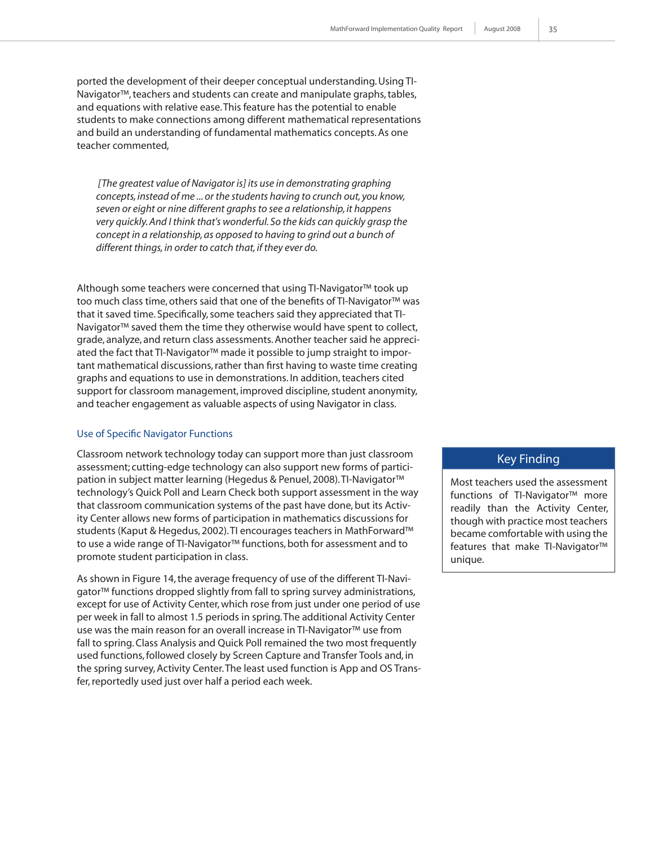ported the development of their deeper conceptual understanding. Using TI-Navigator™, teachers and students can create and manipulate graphs, tables, and equations with relative ease. This feature has the potential to enable students to make connections among different mathematical representations and build an understanding of fundamental mathematics concepts. As one teacher commented,

 *[The greatest value of Navigator is] its use in demonstrating graphing concepts, instead of me ... or the students having to crunch out, you know, seven or eight or nine different graphs to see a relationship, it happens very quickly. And I think that's wonderful. So the kids can quickly grasp the concept in a relationship, as opposed to having to grind out a bunch of different things, in order to catch that, if they ever do.* 

Although some teachers were concerned that using TI-Navigator™ took up too much class time, others said that one of the benefits of TI-Navigator™ was that it saved time. Specifically, some teachers said they appreciated that TI-Navigator™ saved them the time they otherwise would have spent to collect, grade, analyze, and return class assessments. Another teacher said he appreciated the fact that TI-Navigator™ made it possible to jump straight to important mathematical discussions, rather than first having to waste time creating graphs and equations to use in demonstrations. In addition, teachers cited support for classroom management, improved discipline, student anonymity, and teacher engagement as valuable aspects of using Navigator in class.

#### Use of Specific Navigator Functions

Classroom network technology today can support more than just classroom assessment; cutting-edge technology can also support new forms of participation in subject matter learning (Hegedus & Penuel, 2008). TI-Navigator™ technology's Quick Poll and Learn Check both support assessment in the way that classroom communication systems of the past have done, but its Activity Center allows new forms of participation in mathematics discussions for students (Kaput & Hegedus, 2002). TI encourages teachers in MathForward™ to use a wide range of TI-Navigator™ functions, both for assessment and to promote student participation in class.

As shown in Figure 14, the average frequency of use of the different TI-Navigator™ functions dropped slightly from fall to spring survey administrations, except for use of Activity Center, which rose from just under one period of use per week in fall to almost 1.5 periods in spring. The additional Activity Center use was the main reason for an overall increase in TI-Navigator™ use from fall to spring. Class Analysis and Quick Poll remained the two most frequently used functions, followed closely by Screen Capture and Transfer Tools and, in the spring survey, Activity Center. The least used function is App and OS Transfer, reportedly used just over half a period each week.

#### Key Finding

Most teachers used the assessment functions of TI-Navigator™ more readily than the Activity Center, though with practice most teachers became comfortable with using the features that make TI-Navigator™ unique.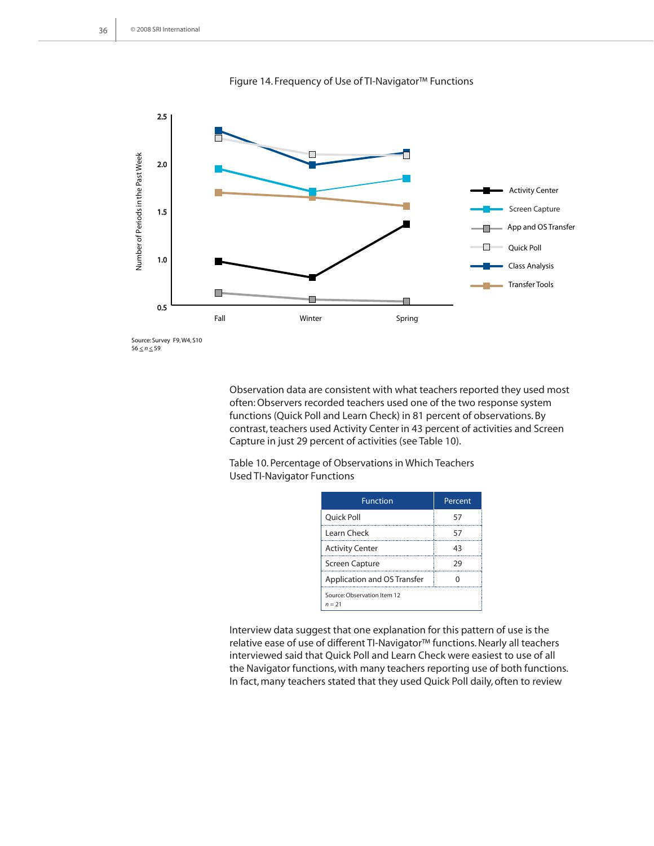

Figure 14. Frequency of Use of TI-Navigator™ Functions

 $56 \le n \le 59$ 

Observation data are consistent with what teachers reported they used most often: Observers recorded teachers used one of the two response system functions (Quick Poll and Learn Check) in 81 percent of observations. By contrast, teachers used Activity Center in 43 percent of activities and Screen Capture in just 29 percent of activities (see Table 10).

Table 10. Percentage of Observations in Which Teachers Used TI-Navigator Functions

| <b>Function</b>                         | Percent |
|-----------------------------------------|---------|
| Quick Poll                              | 57      |
| Learn Check                             | 57      |
| <b>Activity Center</b>                  | 43      |
| Screen Capture                          | 29      |
| <b>Application and OS Transfer</b>      | 0       |
| Source: Observation Item 12<br>$n = 21$ |         |

Interview data suggest that one explanation for this pattern of use is the relative ease of use of different TI-Navigator™ functions. Nearly all teachers interviewed said that Quick Poll and Learn Check were easiest to use of all the Navigator functions, with many teachers reporting use of both functions. In fact, many teachers stated that they used Quick Poll daily, often to review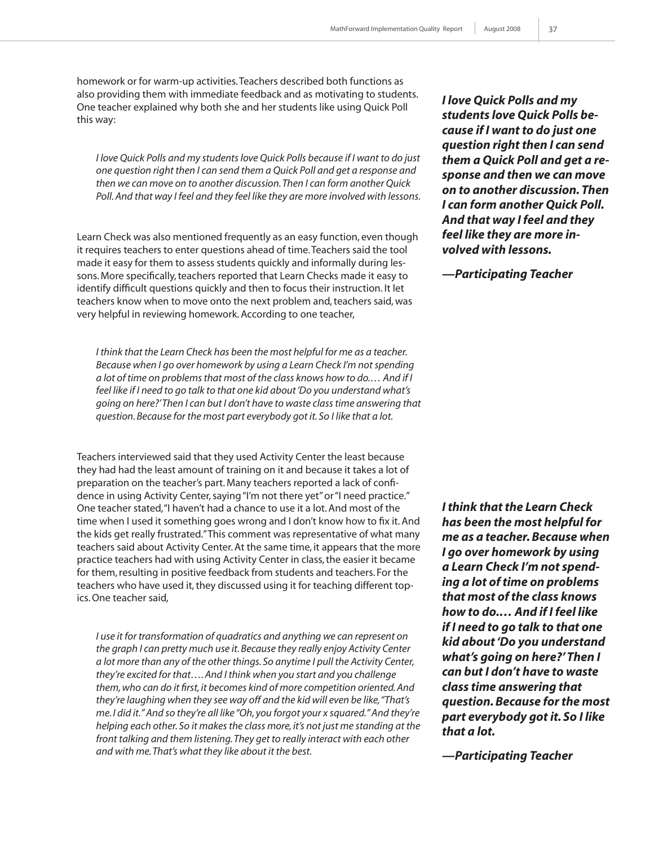homework or for warm-up activities. Teachers described both functions as also providing them with immediate feedback and as motivating to students. One teacher explained why both she and her students like using Quick Poll this way:

*I love Quick Polls and my students love Quick Polls because if I want to do just one question right then I can send them a Quick Poll and get a response and then we can move on to another discussion. Then I can form another Quick Poll. And that way I feel and they feel like they are more involved with lessons.* 

Learn Check was also mentioned frequently as an easy function, even though it requires teachers to enter questions ahead of time. Teachers said the tool made it easy for them to assess students quickly and informally during lessons. More specifically, teachers reported that Learn Checks made it easy to identify difficult questions quickly and then to focus their instruction. It let teachers know when to move onto the next problem and, teachers said, was very helpful in reviewing homework. According to one teacher,

*I think that the Learn Check has been the most helpful for me as a teacher. Because when I go over homework by using a Learn Check I'm not spending a lot of time on problems that most of the class knows how to do.… And if I feel like if I need to go talk to that one kid about 'Do you understand what's going on here?' Then I can but I don't have to waste class time answering that question. Because for the most part everybody got it. So I like that a lot.*

Teachers interviewed said that they used Activity Center the least because they had had the least amount of training on it and because it takes a lot of preparation on the teacher's part. Many teachers reported a lack of confidence in using Activity Center, saying "I'm not there yet" or "I need practice." One teacher stated, "I haven't had a chance to use it a lot. And most of the time when I used it something goes wrong and I don't know how to fix it. And the kids get really frustrated." This comment was representative of what many teachers said about Activity Center. At the same time, it appears that the more practice teachers had with using Activity Center in class, the easier it became for them, resulting in positive feedback from students and teachers. For the teachers who have used it, they discussed using it for teaching different topics. One teacher said,

*I* use it for transformation of quadratics and anything we can represent on *the graph I can pretty much use it. Because they really enjoy Activity Center a lot more than any of the other things. So anytime I pull the Activity Center, they're excited for that…. And I think when you start and you challenge them, who can do it first, it becomes kind of more competition oriented. And they're laughing when they see way off and the kid will even be like, "That's me. I did it." And so they're all like "Oh, you forgot your x squared." And they're helping each other. So it makes the class more, it's not just me standing at the front talking and them listening. They get to really interact with each other and with me. That's what they like about it the best.*

*I love Quick Polls and my students love Quick Polls because if I want to do just one question right then I can send them a Quick Poll and get a response and then we can move on to another discussion. Then I can form another Quick Poll. And that way I feel and they feel like they are more involved with lessons.*

*—Participating Teacher*

*I think that the Learn Check has been the most helpful for me as a teacher. Because when I go over homework by using a Learn Check I'm not spending a lot of time on problems that most of the class knows how to do.… And if I feel like if I need to go talk to that one kid about 'Do you understand what's going on here?' Then I can but I don't have to waste class time answering that question. Because for the most part everybody got it. So I like that a lot.*

*—Participating Teacher*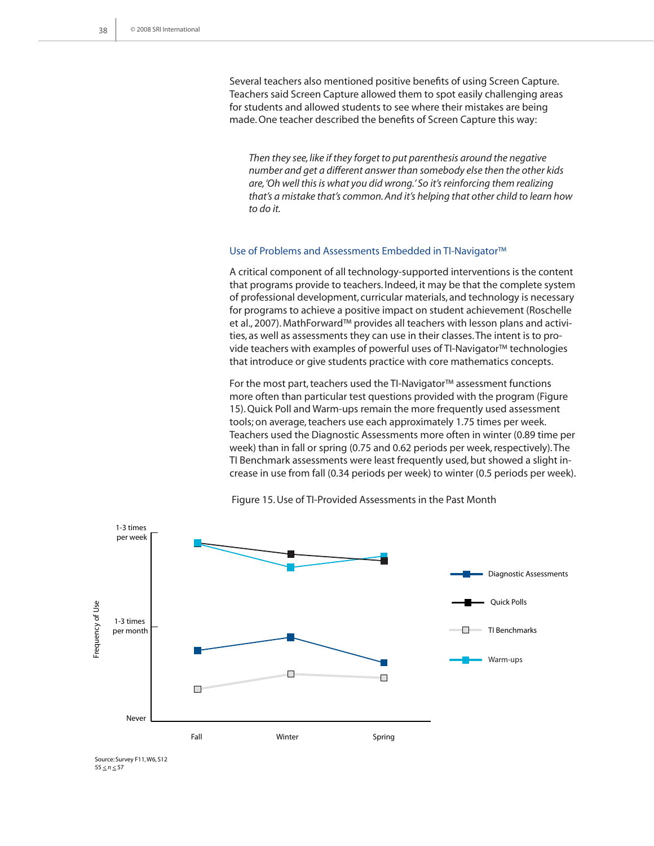Several teachers also mentioned positive benefits of using Screen Capture. Teachers said Screen Capture allowed them to spot easily challenging areas for students and allowed students to see where their mistakes are being made. One teacher described the benefits of Screen Capture this way:

*Then they see, like if they forget to put parenthesis around the negative number and get a different answer than somebody else then the other kids are, 'Oh well this is what you did wrong.' So it's reinforcing them realizing that's a mistake that's common. And it's helping that other child to learn how to do it.*

#### Use of Problems and Assessments Embedded in TI-Navigator™

A critical component of all technology-supported interventions is the content that programs provide to teachers. Indeed, it may be that the complete system of professional development, curricular materials, and technology is necessary for programs to achieve a positive impact on student achievement (Roschelle et al., 2007). MathForward™ provides all teachers with lesson plans and activities, as well as assessments they can use in their classes. The intent is to provide teachers with examples of powerful uses of TI-Navigator™ technologies that introduce or give students practice with core mathematics concepts.

For the most part, teachers used the TI-Navigator™ assessment functions more often than particular test questions provided with the program (Figure 15). Quick Poll and Warm-ups remain the more frequently used assessment tools; on average, teachers use each approximately 1.75 times per week. Teachers used the Diagnostic Assessments more often in winter (0.89 time per week) than in fall or spring (0.75 and 0.62 periods per week, respectively). The TI Benchmark assessments were least frequently used, but showed a slight increase in use from fall (0.34 periods per week) to winter (0.5 periods per week).



Figure 15. Use of TI-Provided Assessments in the Past Month

Source: Survey F11, W6, S12  $55 \le n \le 57$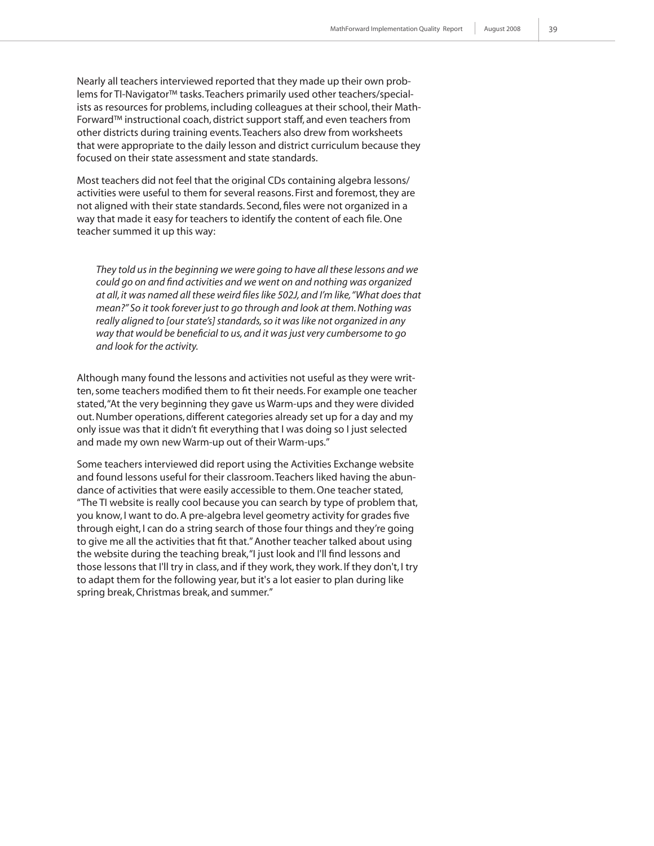Nearly all teachers interviewed reported that they made up their own problems for TI-Navigator™ tasks. Teachers primarily used other teachers/specialists as resources for problems, including colleagues at their school, their Math-Forward™ instructional coach, district support staff, and even teachers from other districts during training events. Teachers also drew from worksheets that were appropriate to the daily lesson and district curriculum because they focused on their state assessment and state standards.

Most teachers did not feel that the original CDs containing algebra lessons/ activities were useful to them for several reasons. First and foremost, they are not aligned with their state standards. Second, files were not organized in a way that made it easy for teachers to identify the content of each file. One teacher summed it up this way:

*They told us in the beginning we were going to have all these lessons and we could go on and find activities and we went on and nothing was organized at all, it was named all these weird files like 502J, and I'm like, "What does that mean?" So it took forever just to go through and look at them. Nothing was really aligned to [our state's] standards, so it was like not organized in any way that would be beneficial to us, and it was just very cumbersome to go and look for the activity.*

Although many found the lessons and activities not useful as they were written, some teachers modified them to fit their needs. For example one teacher stated, "At the very beginning they gave us Warm-ups and they were divided out. Number operations, different categories already set up for a day and my only issue was that it didn't fit everything that I was doing so I just selected and made my own new Warm-up out of their Warm-ups."

Some teachers interviewed did report using the Activities Exchange website and found lessons useful for their classroom. Teachers liked having the abundance of activities that were easily accessible to them. One teacher stated, "The TI website is really cool because you can search by type of problem that, you know, I want to do. A pre-algebra level geometry activity for grades five through eight, I can do a string search of those four things and they're going to give me all the activities that fit that." Another teacher talked about using the website during the teaching break, "I just look and I'll find lessons and those lessons that I'll try in class, and if they work, they work. If they don't, I try to adapt them for the following year, but it's a lot easier to plan during like spring break, Christmas break, and summer."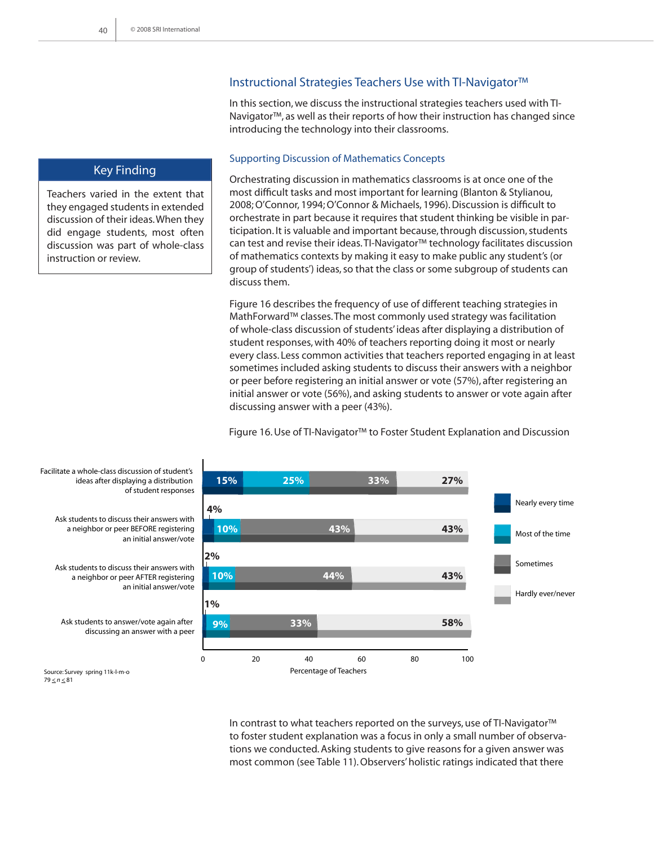## Instructional Strategies Teachers Use with TI-Navigator™

In this section, we discuss the instructional strategies teachers used with TI-Navigator™, as well as their reports of how their instruction has changed since introducing the technology into their classrooms.

#### Supporting Discussion of Mathematics Concepts

Orchestrating discussion in mathematics classrooms is at once one of the most difficult tasks and most important for learning (Blanton & Stylianou, 2008; O'Connor, 1994; O'Connor & Michaels, 1996). Discussion is difficult to orchestrate in part because it requires that student thinking be visible in participation. It is valuable and important because, through discussion, students can test and revise their ideas. TI-Navigator™ technology facilitates discussion of mathematics contexts by making it easy to make public any student's (or group of students') ideas, so that the class or some subgroup of students can discuss them.

Figure 16 describes the frequency of use of different teaching strategies in MathForward™ classes. The most commonly used strategy was facilitation of whole-class discussion of students' ideas after displaying a distribution of student responses, with 40% of teachers reporting doing it most or nearly every class. Less common activities that teachers reported engaging in at least sometimes included asking students to discuss their answers with a neighbor or peer before registering an initial answer or vote (57%), after registering an initial answer or vote (56%), and asking students to answer or vote again after discussing answer with a peer (43%).

Figure 16. Use of TI-Navigator™ to Foster Student Explanation and Discussion



Facilitate a whole-class discussion of student's ideas after displaying a distribution of student responses

Ask students to discuss their answers with a neighbor or peer BEFORE registering an initial answer/vote

Ask students to discuss their answers with a neighbor or peer AFTER registering an initial answer/vote

Ask students to answer/vote again after discussing an answer with a peer

Source: Survey spring 11k-l-m-o  $79 \le n \le 81$ 

> In contrast to what teachers reported on the surveys, use of TI-Navigator™ to foster student explanation was a focus in only a small number of observations we conducted. Asking students to give reasons for a given answer was most common (see Table 11). Observers' holistic ratings indicated that there

Teachers varied in the extent that they engaged students in extended discussion of their ideas. When they did engage students, most often discussion was part of whole-class

Key Finding

instruction or review.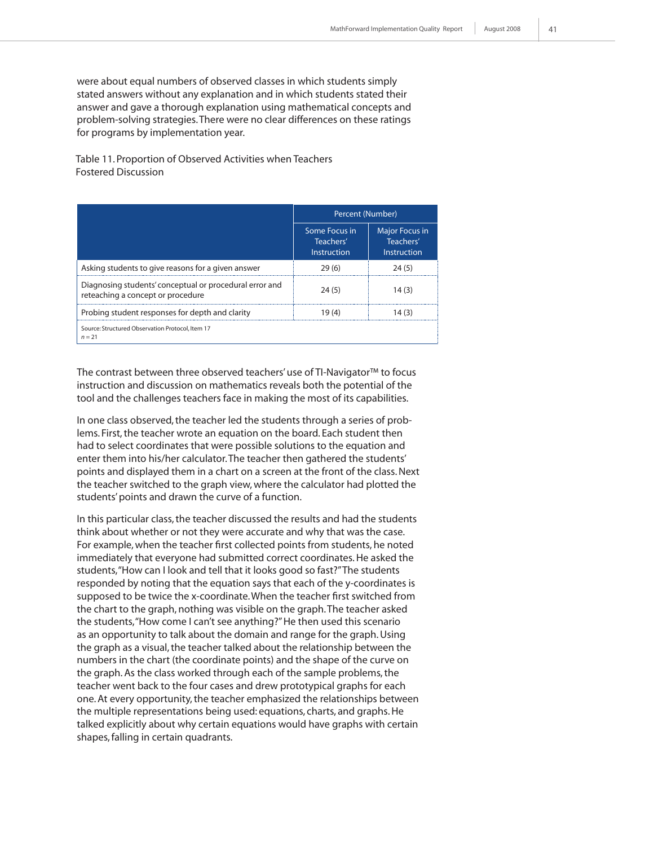were about equal numbers of observed classes in which students simply stated answers without any explanation and in which students stated their answer and gave a thorough explanation using mathematical concepts and problem-solving strategies. There were no clear differences on these ratings for programs by implementation year.

Table 11. Proportion of Observed Activities when Teachers Fostered Discussion

|                                                                                              | Percent (Number)                          |                                                   |
|----------------------------------------------------------------------------------------------|-------------------------------------------|---------------------------------------------------|
|                                                                                              | Some Focus in<br>Teachers'<br>Instruction | <b>Major Focus in</b><br>Teachers'<br>Instruction |
| Asking students to give reasons for a given answer                                           | 29(6)                                     | 24(5)                                             |
| Diagnosing students' conceptual or procedural error and<br>reteaching a concept or procedure | 24(5)                                     | 14(3)                                             |
| Probing student responses for depth and clarity                                              | 19(4)                                     | 14 (3)                                            |
| Source: Structured Observation Protocol, Item 17<br>$n = 21$                                 |                                           |                                                   |

The contrast between three observed teachers' use of TI-Navigator™ to focus instruction and discussion on mathematics reveals both the potential of the tool and the challenges teachers face in making the most of its capabilities.

In one class observed, the teacher led the students through a series of problems. First, the teacher wrote an equation on the board. Each student then had to select coordinates that were possible solutions to the equation and enter them into his/her calculator. The teacher then gathered the students' points and displayed them in a chart on a screen at the front of the class. Next the teacher switched to the graph view, where the calculator had plotted the students' points and drawn the curve of a function.

In this particular class, the teacher discussed the results and had the students think about whether or not they were accurate and why that was the case. For example, when the teacher first collected points from students, he noted immediately that everyone had submitted correct coordinates. He asked the students, "How can I look and tell that it looks good so fast?" The students responded by noting that the equation says that each of the y-coordinates is supposed to be twice the x-coordinate. When the teacher first switched from the chart to the graph, nothing was visible on the graph. The teacher asked the students, "How come I can't see anything?" He then used this scenario as an opportunity to talk about the domain and range for the graph. Using the graph as a visual, the teacher talked about the relationship between the numbers in the chart (the coordinate points) and the shape of the curve on the graph. As the class worked through each of the sample problems, the teacher went back to the four cases and drew prototypical graphs for each one. At every opportunity, the teacher emphasized the relationships between the multiple representations being used: equations, charts, and graphs. He talked explicitly about why certain equations would have graphs with certain shapes, falling in certain quadrants.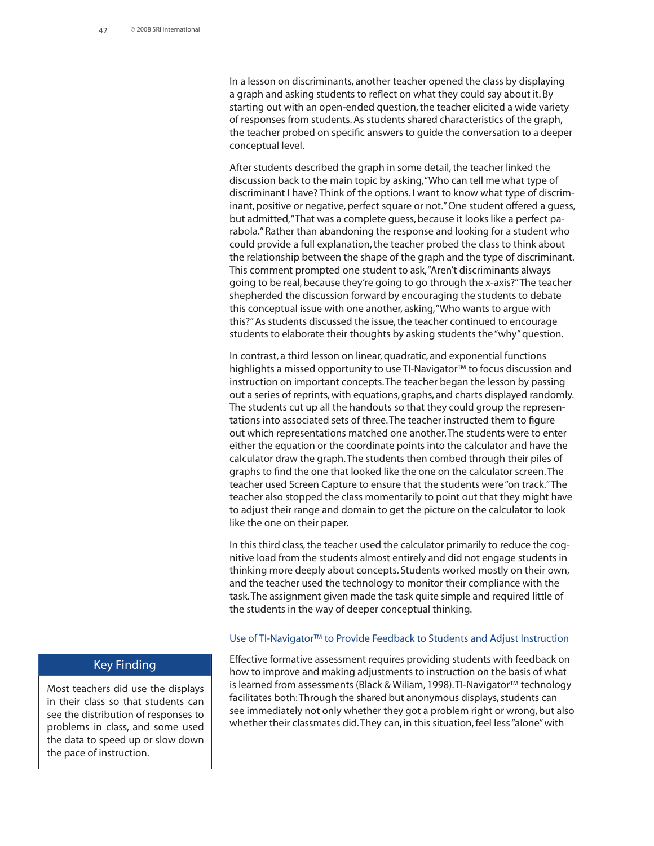In a lesson on discriminants, another teacher opened the class by displaying a graph and asking students to reflect on what they could say about it. By starting out with an open-ended question, the teacher elicited a wide variety of responses from students. As students shared characteristics of the graph, the teacher probed on specific answers to guide the conversation to a deeper conceptual level.

After students described the graph in some detail, the teacher linked the discussion back to the main topic by asking, "Who can tell me what type of discriminant I have? Think of the options. I want to know what type of discriminant, positive or negative, perfect square or not." One student offered a guess, but admitted, "That was a complete guess, because it looks like a perfect parabola." Rather than abandoning the response and looking for a student who could provide a full explanation, the teacher probed the class to think about the relationship between the shape of the graph and the type of discriminant. This comment prompted one student to ask, "Aren't discriminants always going to be real, because they're going to go through the x-axis?" The teacher shepherded the discussion forward by encouraging the students to debate this conceptual issue with one another, asking, "Who wants to argue with this?" As students discussed the issue, the teacher continued to encourage students to elaborate their thoughts by asking students the "why" question.

In contrast, a third lesson on linear, quadratic, and exponential functions highlights a missed opportunity to use TI-Navigator™ to focus discussion and instruction on important concepts. The teacher began the lesson by passing out a series of reprints, with equations, graphs, and charts displayed randomly. The students cut up all the handouts so that they could group the representations into associated sets of three. The teacher instructed them to figure out which representations matched one another. The students were to enter either the equation or the coordinate points into the calculator and have the calculator draw the graph. The students then combed through their piles of graphs to find the one that looked like the one on the calculator screen. The teacher used Screen Capture to ensure that the students were "on track." The teacher also stopped the class momentarily to point out that they might have to adjust their range and domain to get the picture on the calculator to look like the one on their paper.

In this third class, the teacher used the calculator primarily to reduce the cognitive load from the students almost entirely and did not engage students in thinking more deeply about concepts. Students worked mostly on their own, and the teacher used the technology to monitor their compliance with the task. The assignment given made the task quite simple and required little of the students in the way of deeper conceptual thinking.

#### Use of TI-Navigator™ to Provide Feedback to Students and Adjust Instruction

Effective formative assessment requires providing students with feedback on how to improve and making adjustments to instruction on the basis of what is learned from assessments (Black & Wiliam, 1998). TI-Navigator™ technology facilitates both: Through the shared but anonymous displays, students can see immediately not only whether they got a problem right or wrong, but also whether their classmates did. They can, in this situation, feel less "alone" with

## Key Finding

Most teachers did use the displays in their class so that students can see the distribution of responses to problems in class, and some used the data to speed up or slow down the pace of instruction.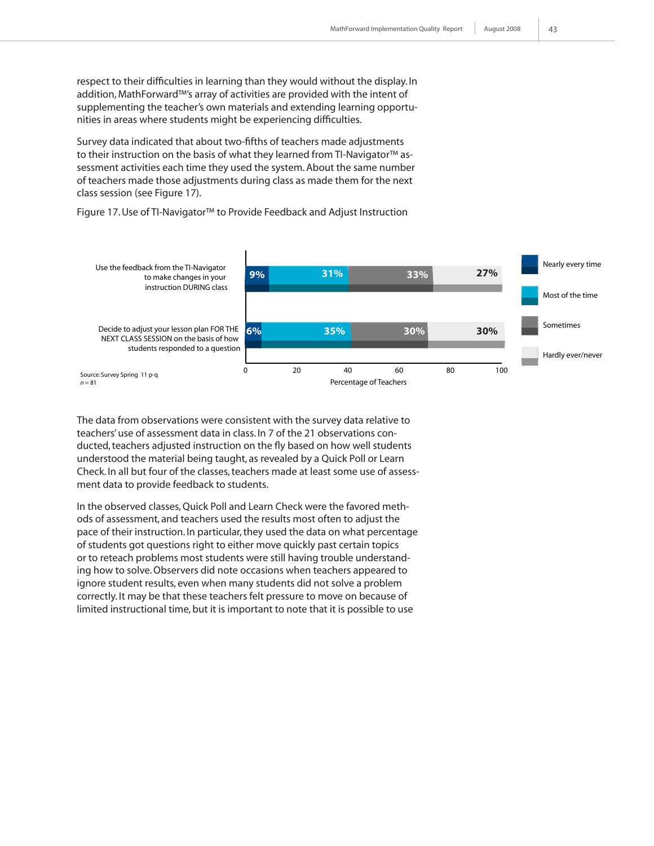respect to their difficulties in learning than they would without the display. In addition, MathForward™'s array of activities are provided with the intent of supplementing the teacher's own materials and extending learning opportunities in areas where students might be experiencing difficulties.

Survey data indicated that about two-fifths of teachers made adjustments to their instruction on the basis of what they learned from TI-Navigator™ assessment activities each time they used the system. About the same number of teachers made those adjustments during class as made them for the next class session (see Figure 17).

Figure 17. Use of TI-Navigator™ to Provide Feedback and Adjust Instruction



The data from observations were consistent with the survey data relative to teachers' use of assessment data in class. In 7 of the 21 observations conducted, teachers adjusted instruction on the fly based on how well students understood the material being taught, as revealed by a Quick Poll or Learn Check. In all but four of the classes, teachers made at least some use of assessment data to provide feedback to students.

In the observed classes, Quick Poll and Learn Check were the favored methods of assessment, and teachers used the results most often to adjust the pace of their instruction. In particular, they used the data on what percentage of students got questions right to either move quickly past certain topics or to reteach problems most students were still having trouble understanding how to solve. Observers did note occasions when teachers appeared to ignore student results, even when many students did not solve a problem correctly. It may be that these teachers felt pressure to move on because of limited instructional time, but it is important to note that it is possible to use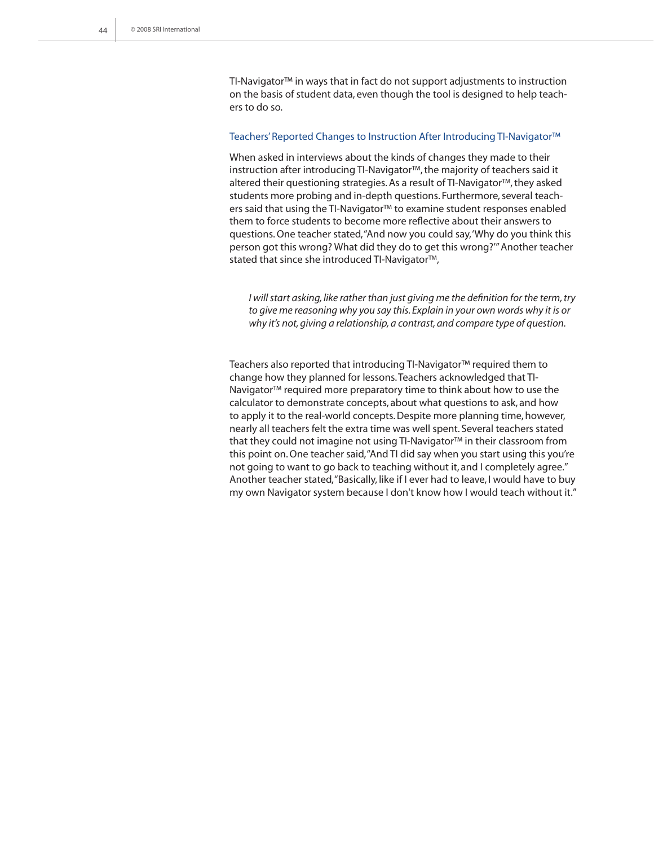TI-Navigator™ in ways that in fact do not support adjustments to instruction on the basis of student data, even though the tool is designed to help teachers to do so.

#### Teachers' Reported Changes to Instruction After Introducing TI-Navigator™

When asked in interviews about the kinds of changes they made to their instruction after introducing TI-Navigator™, the majority of teachers said it altered their questioning strategies. As a result of TI-Navigator™, they asked students more probing and in-depth questions. Furthermore, several teachers said that using the TI-Navigator™ to examine student responses enabled them to force students to become more reflective about their answers to questions. One teacher stated, "And now you could say, 'Why do you think this person got this wrong? What did they do to get this wrong?'" Another teacher stated that since she introduced TI-Navigator™,

*I will start asking, like rather than just giving me the definition for the term, try to give me reasoning why you say this. Explain in your own words why it is or why it's not, giving a relationship, a contrast, and compare type of question.*

Teachers also reported that introducing TI-Navigator™ required them to change how they planned for lessons. Teachers acknowledged that TI-Navigator™ required more preparatory time to think about how to use the calculator to demonstrate concepts, about what questions to ask, and how to apply it to the real-world concepts. Despite more planning time, however, nearly all teachers felt the extra time was well spent. Several teachers stated that they could not imagine not using TI-Navigator™ in their classroom from this point on. One teacher said, "And TI did say when you start using this you're not going to want to go back to teaching without it, and I completely agree." Another teacher stated, "Basically, like if I ever had to leave, I would have to buy my own Navigator system because I don't know how I would teach without it."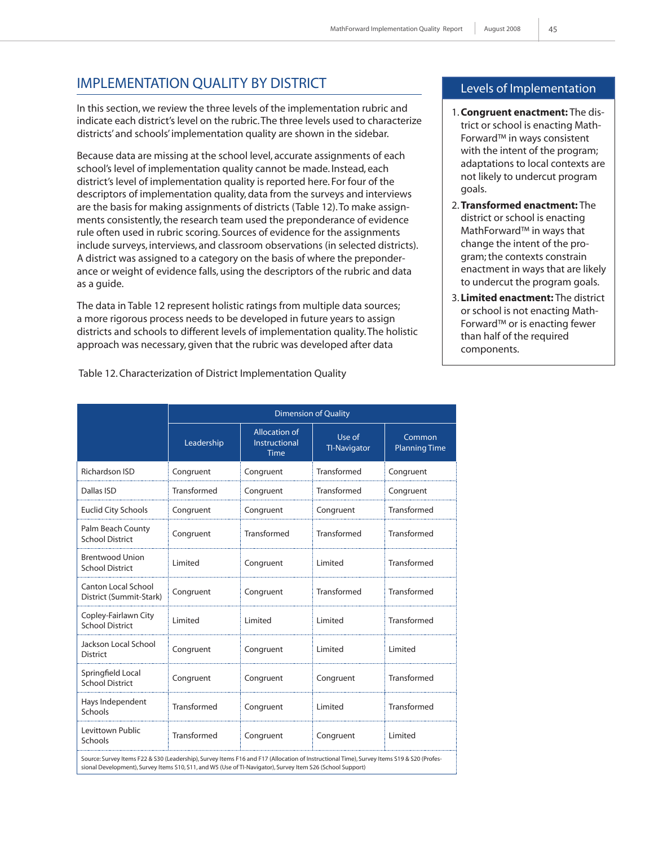# Implementation Quality by District

In this section, we review the three levels of the implementation rubric and indicate each district's level on the rubric. The three levels used to characterize districts' and schools' implementation quality are shown in the sidebar.

Because data are missing at the school level, accurate assignments of each school's level of implementation quality cannot be made. Instead, each district's level of implementation quality is reported here. For four of the descriptors of implementation quality, data from the surveys and interviews are the basis for making assignments of districts (Table 12). To make assignments consistently, the research team used the preponderance of evidence rule often used in rubric scoring. Sources of evidence for the assignments include surveys, interviews, and classroom observations (in selected districts). A district was assigned to a category on the basis of where the preponderance or weight of evidence falls, using the descriptors of the rubric and data as a guide.

The data in Table 12 represent holistic ratings from multiple data sources; a more rigorous process needs to be developed in future years to assign districts and schools to different levels of implementation quality. The holistic approach was necessary, given that the rubric was developed after data

## Levels of Implementation

- 1. **Congruent enactment:** The district or school is enacting Math-Forward™ in ways consistent with the intent of the program; adaptations to local contexts are not likely to undercut program goals.
- 2. **Transformed enactment:** The district or school is enacting MathForward™ in ways that change the intent of the program; the contexts constrain enactment in ways that are likely to undercut the program goals.
- 3. **Limited enactment:** The district or school is not enacting Math-Forward™ or is enacting fewer than half of the required components.

|                                                                                                                                                                                                                                                         | <b>Dimension of Quality</b> |                                               |                               |                                |  |  |
|---------------------------------------------------------------------------------------------------------------------------------------------------------------------------------------------------------------------------------------------------------|-----------------------------|-----------------------------------------------|-------------------------------|--------------------------------|--|--|
|                                                                                                                                                                                                                                                         | Leadership                  | <b>Allocation of</b><br>Instructional<br>Time | Use of<br><b>TI-Navigator</b> | Common<br><b>Planning Time</b> |  |  |
| Richardson ISD                                                                                                                                                                                                                                          | Congruent                   | Congruent                                     | Transformed                   | Congruent                      |  |  |
| Dallas ISD                                                                                                                                                                                                                                              | Transformed                 | Congruent                                     | Transformed                   | Congruent                      |  |  |
| <b>Euclid City Schools</b>                                                                                                                                                                                                                              | Congruent                   | Congruent                                     | Congruent                     | Transformed                    |  |  |
| Palm Beach County<br><b>School District</b>                                                                                                                                                                                                             | Congruent                   | Transformed                                   | Transformed                   | Transformed                    |  |  |
| <b>Brentwood Union</b><br><b>School District</b>                                                                                                                                                                                                        | Limited                     | Congruent                                     | Limited                       | Transformed                    |  |  |
| Canton Local School<br>District (Summit-Stark)                                                                                                                                                                                                          | Congruent                   | Congruent                                     | Transformed                   | Transformed                    |  |  |
| Copley-Fairlawn City<br><b>School District</b>                                                                                                                                                                                                          | Limited                     | Limited                                       | Limited                       | Transformed                    |  |  |
| Jackson Local School<br><b>District</b>                                                                                                                                                                                                                 | Congruent                   | Congruent                                     | Limited                       | Limited                        |  |  |
| Springfield Local<br><b>School District</b>                                                                                                                                                                                                             | Congruent                   | Congruent                                     | Congruent                     | Transformed                    |  |  |
| Hays Independent<br>Schools                                                                                                                                                                                                                             | Transformed                 | Congruent                                     | Limited                       | Transformed                    |  |  |
| Levittown Public<br>Schools                                                                                                                                                                                                                             | Transformed                 | Congruent                                     | Congruent                     | Limited                        |  |  |
| Source: Survey Items F22 & S30 (Leadership), Survey Items F16 and F17 (Allocation of Instructional Time), Survey Items S19 & S20 (Profes-<br>sional Development), Survey Items S10, S11, and W5 (Use of TI-Navigator), Survey Item S26 (School Support) |                             |                                               |                               |                                |  |  |

Table 12. Characterization of District Implementation Quality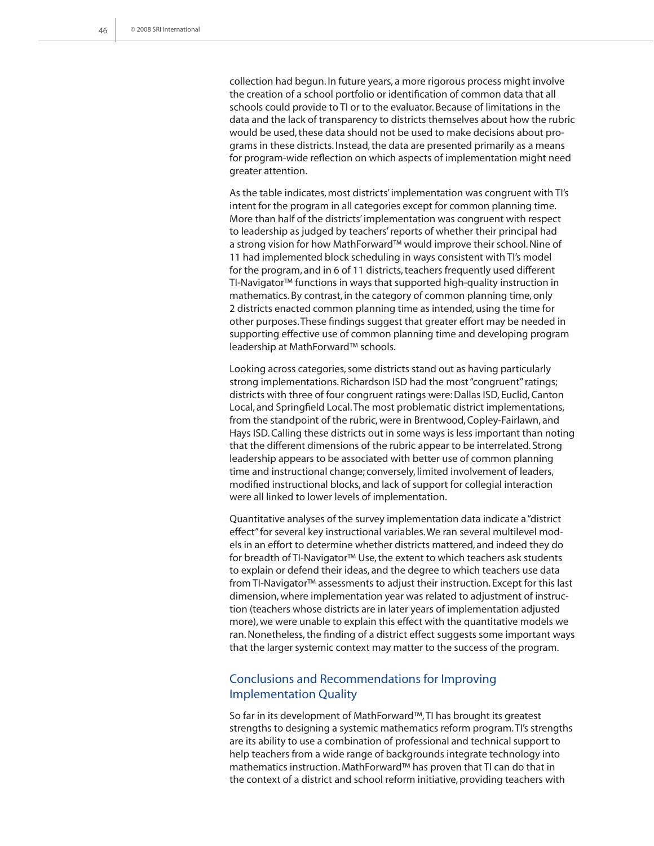collection had begun. In future years, a more rigorous process might involve the creation of a school portfolio or identification of common data that all schools could provide to TI or to the evaluator. Because of limitations in the data and the lack of transparency to districts themselves about how the rubric would be used, these data should not be used to make decisions about programs in these districts. Instead, the data are presented primarily as a means for program-wide reflection on which aspects of implementation might need greater attention.

As the table indicates, most districts' implementation was congruent with TI's intent for the program in all categories except for common planning time. More than half of the districts' implementation was congruent with respect to leadership as judged by teachers' reports of whether their principal had a strong vision for how MathForward™ would improve their school. Nine of 11 had implemented block scheduling in ways consistent with TI's model for the program, and in 6 of 11 districts, teachers frequently used different TI-Navigator™ functions in ways that supported high-quality instruction in mathematics. By contrast, in the category of common planning time, only 2 districts enacted common planning time as intended, using the time for other purposes. These findings suggest that greater effort may be needed in supporting effective use of common planning time and developing program leadership at MathForward™ schools.

Looking across categories, some districts stand out as having particularly strong implementations. Richardson ISD had the most "congruent" ratings; districts with three of four congruent ratings were: Dallas ISD, Euclid, Canton Local, and Springfield Local. The most problematic district implementations, from the standpoint of the rubric, were in Brentwood, Copley-Fairlawn, and Hays ISD. Calling these districts out in some ways is less important than noting that the different dimensions of the rubric appear to be interrelated. Strong leadership appears to be associated with better use of common planning time and instructional change; conversely, limited involvement of leaders, modified instructional blocks, and lack of support for collegial interaction were all linked to lower levels of implementation.

Quantitative analyses of the survey implementation data indicate a "district effect" for several key instructional variables. We ran several multilevel models in an effort to determine whether districts mattered, and indeed they do for breadth of TI-Navigator™ Use, the extent to which teachers ask students to explain or defend their ideas, and the degree to which teachers use data from TI-Navigator™ assessments to adjust their instruction. Except for this last dimension, where implementation year was related to adjustment of instruction (teachers whose districts are in later years of implementation adjusted more), we were unable to explain this effect with the quantitative models we ran. Nonetheless, the finding of a district effect suggests some important ways that the larger systemic context may matter to the success of the program.

## Conclusions and Recommendations for Improving Implementation Quality

So far in its development of MathForward™, TI has brought its greatest strengths to designing a systemic mathematics reform program. TI's strengths are its ability to use a combination of professional and technical support to help teachers from a wide range of backgrounds integrate technology into mathematics instruction. MathForward™ has proven that TI can do that in the context of a district and school reform initiative, providing teachers with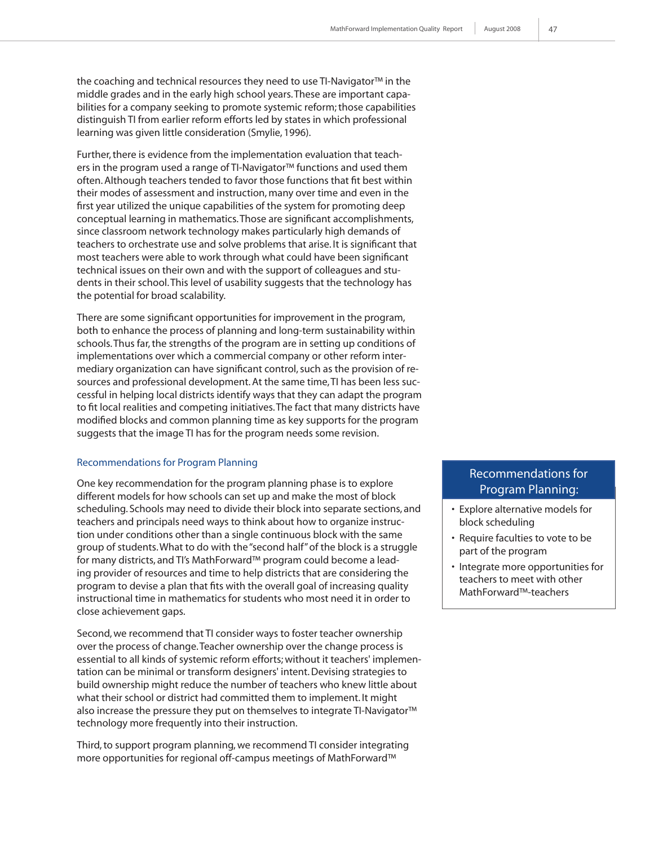the coaching and technical resources they need to use TI-Navigator™ in the middle grades and in the early high school years. These are important capabilities for a company seeking to promote systemic reform; those capabilities distinguish TI from earlier reform efforts led by states in which professional learning was given little consideration (Smylie, 1996).

Further, there is evidence from the implementation evaluation that teachers in the program used a range of TI-Navigator™ functions and used them often. Although teachers tended to favor those functions that fit best within their modes of assessment and instruction, many over time and even in the first year utilized the unique capabilities of the system for promoting deep conceptual learning in mathematics. Those are significant accomplishments, since classroom network technology makes particularly high demands of teachers to orchestrate use and solve problems that arise. It is significant that most teachers were able to work through what could have been significant technical issues on their own and with the support of colleagues and students in their school. This level of usability suggests that the technology has the potential for broad scalability.

There are some significant opportunities for improvement in the program, both to enhance the process of planning and long-term sustainability within schools. Thus far, the strengths of the program are in setting up conditions of implementations over which a commercial company or other reform intermediary organization can have significant control, such as the provision of resources and professional development. At the same time, TI has been less successful in helping local districts identify ways that they can adapt the program to fit local realities and competing initiatives. The fact that many districts have modified blocks and common planning time as key supports for the program suggests that the image TI has for the program needs some revision.

#### Recommendations for Program Planning

One key recommendation for the program planning phase is to explore different models for how schools can set up and make the most of block scheduling. Schools may need to divide their block into separate sections, and teachers and principals need ways to think about how to organize instruction under conditions other than a single continuous block with the same group of students. What to do with the "second half" of the block is a struggle for many districts, and TI's MathForward™ program could become a leading provider of resources and time to help districts that are considering the program to devise a plan that fits with the overall goal of increasing quality instructional time in mathematics for students who most need it in order to close achievement gaps.

Second, we recommend that TI consider ways to foster teacher ownership over the process of change. Teacher ownership over the change process is essential to all kinds of systemic reform efforts; without it teachers' implementation can be minimal or transform designers' intent. Devising strategies to build ownership might reduce the number of teachers who knew little about what their school or district had committed them to implement. It might also increase the pressure they put on themselves to integrate TI-Navigator™ technology more frequently into their instruction.

Third, to support program planning, we recommend TI consider integrating more opportunities for regional off-campus meetings of MathForward™

## Recommendations for Program Planning:

- Explore alternative models for block scheduling
- Require faculties to vote to be part of the program
- Integrate more opportunities for teachers to meet with other MathForward™-teachers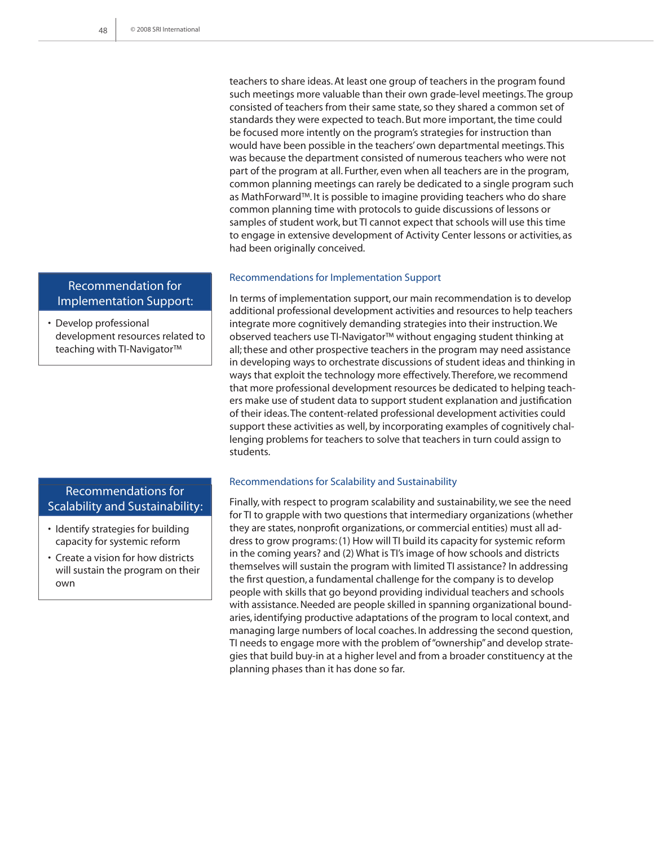teachers to share ideas. At least one group of teachers in the program found such meetings more valuable than their own grade-level meetings. The group consisted of teachers from their same state, so they shared a common set of standards they were expected to teach. But more important, the time could be focused more intently on the program's strategies for instruction than would have been possible in the teachers' own departmental meetings. This was because the department consisted of numerous teachers who were not part of the program at all. Further, even when all teachers are in the program, common planning meetings can rarely be dedicated to a single program such as MathForward™. It is possible to imagine providing teachers who do share common planning time with protocols to guide discussions of lessons or samples of student work, but TI cannot expect that schools will use this time to engage in extensive development of Activity Center lessons or activities, as had been originally conceived.

#### Recommendations for Implementation Support

In terms of implementation support, our main recommendation is to develop additional professional development activities and resources to help teachers integrate more cognitively demanding strategies into their instruction. We observed teachers use TI-Navigator™ without engaging student thinking at all; these and other prospective teachers in the program may need assistance in developing ways to orchestrate discussions of student ideas and thinking in ways that exploit the technology more effectively. Therefore, we recommend that more professional development resources be dedicated to helping teachers make use of student data to support student explanation and justification of their ideas. The content-related professional development activities could support these activities as well, by incorporating examples of cognitively challenging problems for teachers to solve that teachers in turn could assign to students.

#### Recommendations for Scalability and Sustainability

Finally, with respect to program scalability and sustainability, we see the need for TI to grapple with two questions that intermediary organizations (whether they are states, nonprofit organizations, or commercial entities) must all address to grow programs: (1) How will TI build its capacity for systemic reform in the coming years? and (2) What is TI's image of how schools and districts themselves will sustain the program with limited TI assistance? In addressing the first question, a fundamental challenge for the company is to develop people with skills that go beyond providing individual teachers and schools with assistance. Needed are people skilled in spanning organizational boundaries, identifying productive adaptations of the program to local context, and managing large numbers of local coaches. In addressing the second question, TI needs to engage more with the problem of "ownership" and develop strategies that build buy-in at a higher level and from a broader constituency at the planning phases than it has done so far.

## Recommendation for Implementation Support:

• Develop professional development resources related to teaching with TI-Navigator™

## Recommendations for Scalability and Sustainability:

- Identify strategies for building capacity for systemic reform
- Create a vision for how districts will sustain the program on their own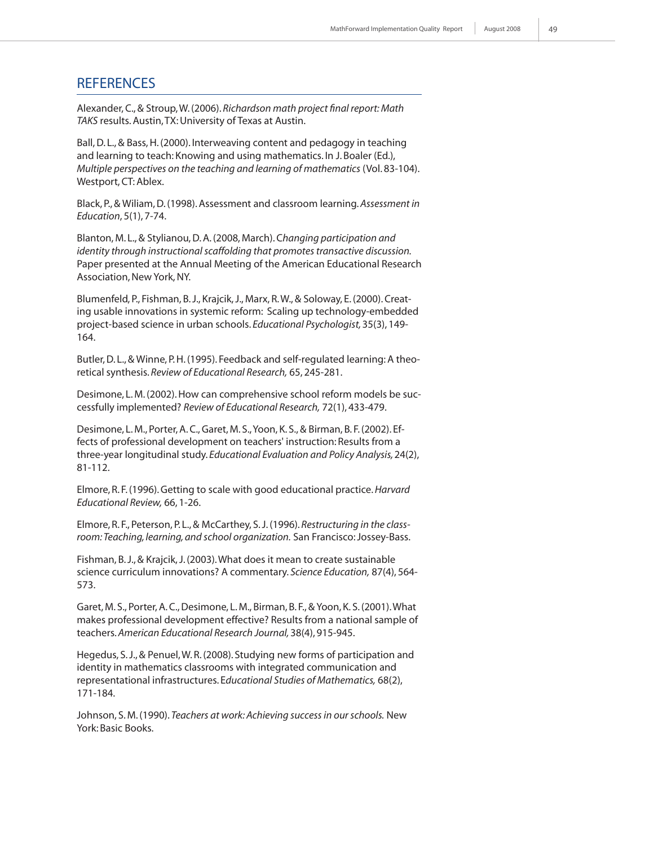## **REFERENCES**

Alexander, C., & Stroup, W. (2006). *Richardson math project final report: Math TAKS* results. Austin, TX: University of Texas at Austin.

Ball, D. L., & Bass, H. (2000). Interweaving content and pedagogy in teaching and learning to teach: Knowing and using mathematics. In J. Boaler (Ed.), *Multiple perspectives on the teaching and learning of mathematics* (Vol. 83-104). Westport, CT: Ablex.

Black, P., & Wiliam, D. (1998). Assessment and classroom learning. *Assessment in Education*, 5(1), 7-74.

Blanton, M. L., & Stylianou, D. A. (2008, March). C*hanging participation and identity through instructional scaffolding that promotes transactive discussion.* Paper presented at the Annual Meeting of the American Educational Research Association, New York, NY.

Blumenfeld, P., Fishman, B. J., Krajcik, J., Marx, R. W., & Soloway, E. (2000). Creating usable innovations in systemic reform: Scaling up technology-embedded project-based science in urban schools. *Educational Psychologist,* 35(3), 149- 164.

Butler, D. L., & Winne, P. H. (1995). Feedback and self-regulated learning: A theoretical synthesis. *Review of Educational Research,* 65, 245-281.

Desimone, L. M. (2002). How can comprehensive school reform models be successfully implemented? *Review of Educational Research,* 72(1), 433-479.

Desimone, L. M., Porter, A. C., Garet, M. S., Yoon, K. S., & Birman, B. F. (2002). Effects of professional development on teachers' instruction: Results from a three-year longitudinal study. *Educational Evaluation and Policy Analysis,* 24(2), 81-112.

Elmore, R. F. (1996). Getting to scale with good educational practice. *Harvard Educational Review,* 66, 1-26.

Elmore, R. F., Peterson, P. L., & McCarthey, S. J. (1996). *Restructuring in the classroom: Teaching, learning, and school organization.* San Francisco: Jossey-Bass.

Fishman, B. J., & Krajcik, J. (2003). What does it mean to create sustainable science curriculum innovations? A commentary. *Science Education,* 87(4), 564- 573.

Garet, M. S., Porter, A. C., Desimone, L. M., Birman, B. F., & Yoon, K. S. (2001). What makes professional development effective? Results from a national sample of teachers. *American Educational Research Journal,* 38(4), 915-945.

Hegedus, S. J., & Penuel, W. R. (2008). Studying new forms of participation and identity in mathematics classrooms with integrated communication and representational infrastructures. E*ducational Studies of Mathematics,* 68(2), 171-184.

Johnson, S. M. (1990). *Teachers at work: Achieving success in our schools.* New York: Basic Books.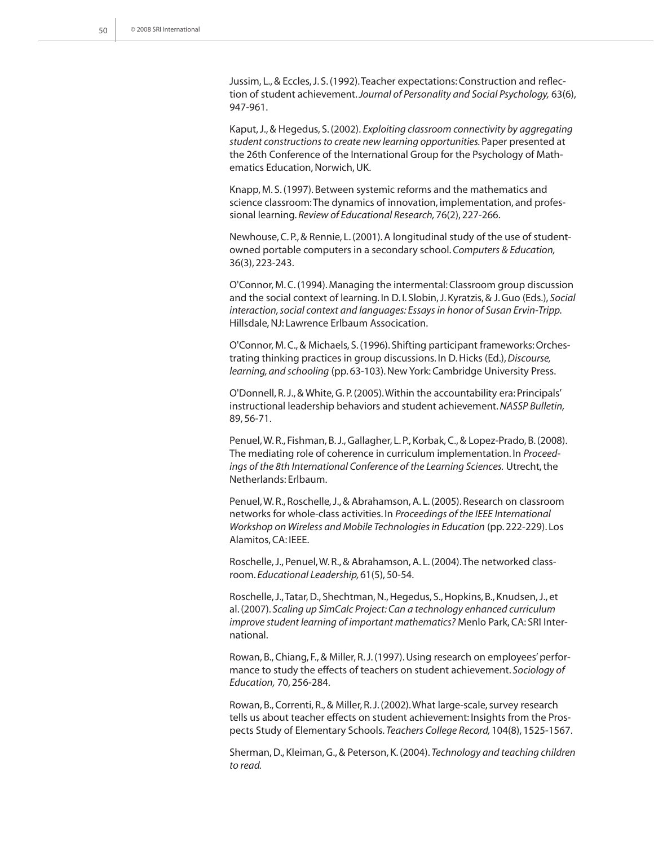Jussim, L., & Eccles, J. S. (1992). Teacher expectations: Construction and reflection of student achievement. *Journal of Personality and Social Psychology,* 63(6), 947-961.

Kaput, J., & Hegedus, S. (2002). *Exploiting classroom connectivity by aggregating student constructions to create new learning opportunities.* Paper presented at the 26th Conference of the International Group for the Psychology of Mathematics Education, Norwich, UK.

Knapp, M. S. (1997). Between systemic reforms and the mathematics and science classroom: The dynamics of innovation, implementation, and professional learning. *Review of Educational Research,* 76(2), 227-266.

Newhouse, C. P., & Rennie, L. (2001). A longitudinal study of the use of studentowned portable computers in a secondary school. *Computers & Education,*  36(3), 223-243.

O'Connor, M. C. (1994). Managing the intermental: Classroom group discussion and the social context of learning. In D. I. Slobin, J. Kyratzis, & J. Guo (Eds.), *Social interaction, social context and languages: Essays in honor of Susan Ervin-Tripp.* Hillsdale, NJ: Lawrence Erlbaum Assocication.

O'Connor, M. C., & Michaels, S. (1996). Shifting participant frameworks: Orchestrating thinking practices in group discussions. In D. Hicks (Ed.), *Discourse, learning, and schooling* (pp. 63-103). New York: Cambridge University Press.

O'Donnell, R. J., & White, G. P. (2005). Within the accountability era: Principals' instructional leadership behaviors and student achievement. *NASSP Bulletin,* 89, 56-71.

Penuel, W. R., Fishman, B. J., Gallagher, L. P., Korbak, C., & Lopez-Prado, B. (2008). The mediating role of coherence in curriculum implementation. In *Proceedings of the 8th International Conference of the Learning Sciences.* Utrecht, the Netherlands: Erlbaum.

Penuel, W. R., Roschelle, J., & Abrahamson, A. L. (2005). Research on classroom networks for whole-class activities. In *Proceedings of the IEEE International Workshop on Wireless and Mobile Technologies in Education* (pp. 222-229). Los Alamitos, CA: IEEE.

Roschelle, J., Penuel, W. R., & Abrahamson, A. L. (2004). The networked classroom. *Educational Leadership,* 61(5), 50-54.

Roschelle, J., Tatar, D., Shechtman, N., Hegedus, S., Hopkins, B., Knudsen, J., et al. (2007). *Scaling up SimCalc Project: Can a technology enhanced curriculum improve student learning of important mathematics?* Menlo Park, CA: SRI International.

Rowan, B., Chiang, F., & Miller, R. J. (1997). Using research on employees' performance to study the effects of teachers on student achievement. *Sociology of Education,* 70, 256-284.

Rowan, B., Correnti, R., & Miller, R. J. (2002). What large-scale, survey research tells us about teacher effects on student achievement: Insights from the Prospects Study of Elementary Schools. *Teachers College Record,* 104(8), 1525-1567.

Sherman, D., Kleiman, G., & Peterson, K. (2004). *Technology and teaching children to read.*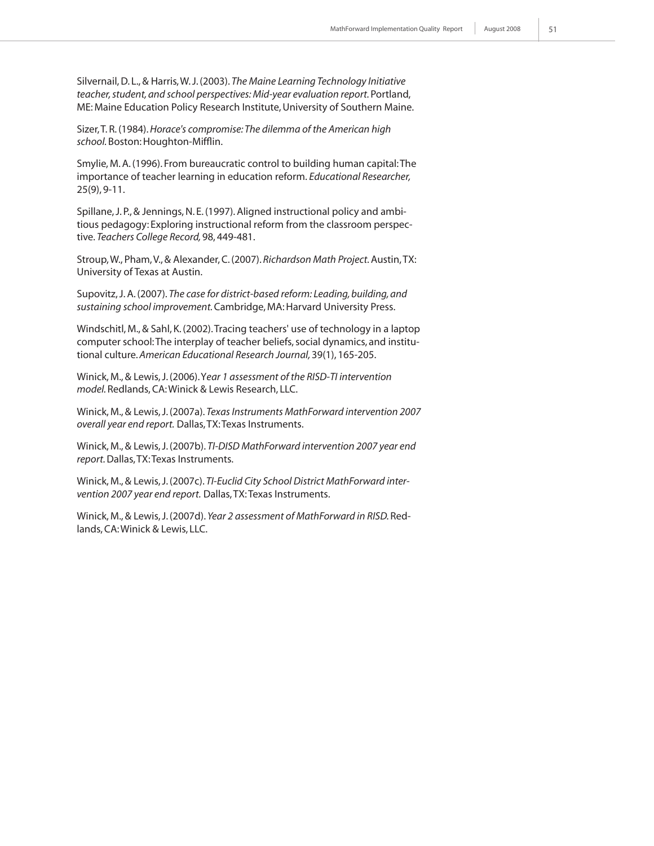Silvernail, D. L., & Harris, W. J. (2003). *The Maine Learning Technology Initiative teacher, student, and school perspectives: Mid-year evaluation report.* Portland, ME: Maine Education Policy Research Institute, University of Southern Maine.

Sizer, T. R. (1984). *Horace's compromise: The dilemma of the American high school.* Boston: Houghton-Mifflin.

Smylie, M. A. (1996). From bureaucratic control to building human capital: The importance of teacher learning in education reform. *Educational Researcher,*  25(9), 9-11.

Spillane, J. P., & Jennings, N. E. (1997). Aligned instructional policy and ambitious pedagogy: Exploring instructional reform from the classroom perspective. *Teachers College Record,* 98, 449-481.

Stroup, W., Pham, V., & Alexander, C. (2007). *Richardson Math Project.* Austin, TX: University of Texas at Austin.

Supovitz, J. A. (2007). *The case for district-based reform: Leading, building, and sustaining school improvement.* Cambridge, MA: Harvard University Press.

Windschitl, M., & Sahl, K. (2002). Tracing teachers' use of technology in a laptop computer school: The interplay of teacher beliefs, social dynamics, and institutional culture. *American Educational Research Journal,* 39(1), 165-205.

Winick, M., & Lewis, J. (2006). Y*ear 1 assessment of the RISD-TI intervention model.* Redlands, CA: Winick & Lewis Research, LLC.

Winick, M., & Lewis, J. (2007a). *Texas Instruments MathForward intervention 2007 overall year end report.* Dallas, TX: Texas Instruments.

Winick, M., & Lewis, J. (2007b). *TI-DISD MathForward intervention 2007 year end report.* Dallas, TX: Texas Instruments.

Winick, M., & Lewis, J. (2007c). *TI-Euclid City School District MathForward intervention 2007 year end report.* Dallas, TX: Texas Instruments.

Winick, M., & Lewis, J. (2007d). *Year 2 assessment of MathForward in RISD.* Redlands, CA: Winick & Lewis, LLC.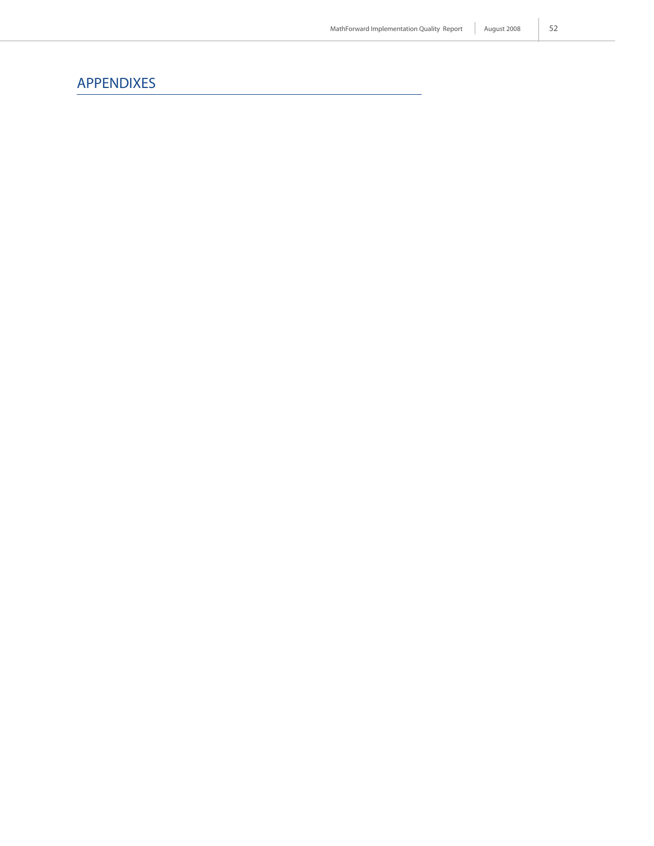52

# APPENDIXES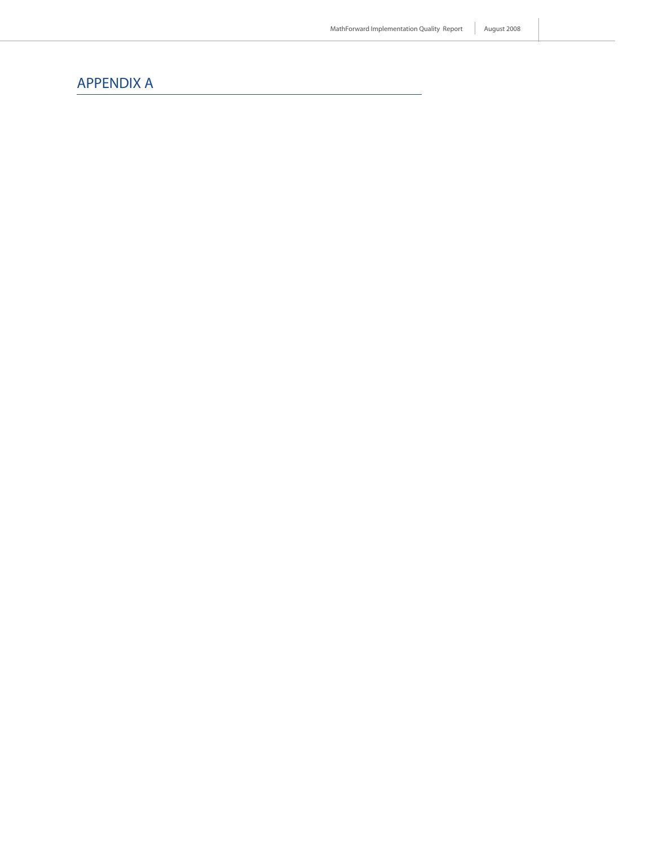## APPENDIX A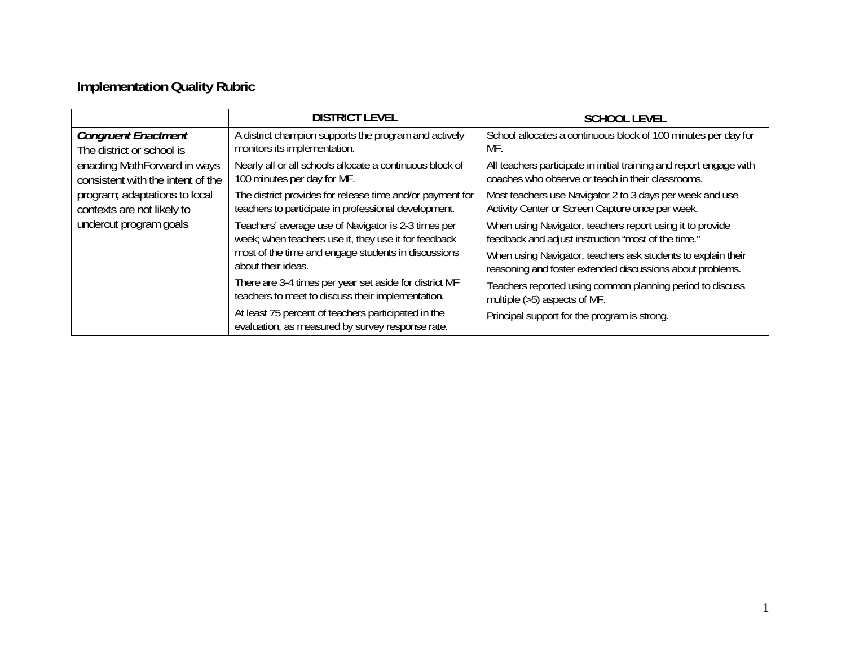# **Implementation Quality Rubric**

|                                                                   | <b>DISTRICT LEVEL</b>                                                                                             | <b>SCHOOL LEVEL</b>                                                                                                       |
|-------------------------------------------------------------------|-------------------------------------------------------------------------------------------------------------------|---------------------------------------------------------------------------------------------------------------------------|
| <b>Congruent Enactment</b><br>The district or school is           | A district champion supports the program and actively<br>monitors its implementation.                             | School allocates a continuous block of 100 minutes per day for<br>MF.                                                     |
| enacting MathForward in ways<br>consistent with the intent of the | Nearly all or all schools allocate a continuous block of<br>100 minutes per day for MF.                           | All teachers participate in initial training and report engage with<br>coaches who observe or teach in their classrooms.  |
| program; adaptations to local<br>contexts are not likely to       | The district provides for release time and/or payment for<br>teachers to participate in professional development. | Most teachers use Navigator 2 to 3 days per week and use<br>Activity Center or Screen Capture once per week.              |
| undercut program goals                                            | Teachers' average use of Navigator is 2-3 times per<br>week; when teachers use it, they use it for feedback       | When using Navigator, teachers report using it to provide<br>feedback and adjust instruction "most of the time."          |
|                                                                   | most of the time and engage students in discussions<br>about their ideas.                                         | When using Navigator, teachers ask students to explain their<br>reasoning and foster extended discussions about problems. |
|                                                                   | There are 3-4 times per year set aside for district MF<br>teachers to meet to discuss their implementation.       | Teachers reported using common planning period to discuss<br>multiple (>5) aspects of MF.                                 |
|                                                                   | At least 75 percent of teachers participated in the<br>evaluation, as measured by survey response rate.           | Principal support for the program is strong.                                                                              |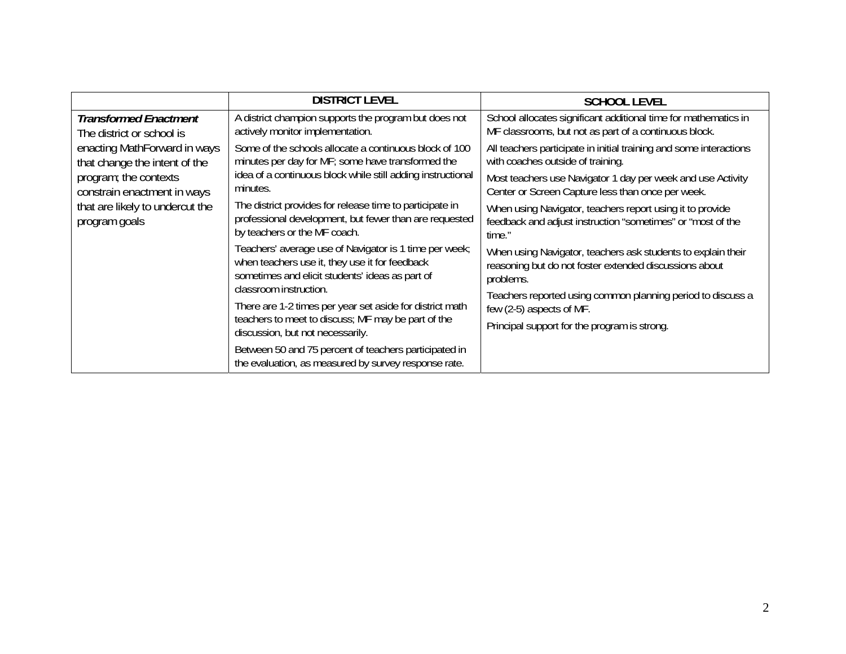|                                                                                                                                                                                       | <b>DISTRICT LEVEL</b>                                                                                                                                                                              | <b>SCHOOL LEVEL</b>                                                                                                                |
|---------------------------------------------------------------------------------------------------------------------------------------------------------------------------------------|----------------------------------------------------------------------------------------------------------------------------------------------------------------------------------------------------|------------------------------------------------------------------------------------------------------------------------------------|
| <b>Transformed Enactment</b><br>The district or school is                                                                                                                             | A district champion supports the program but does not<br>actively monitor implementation.                                                                                                          | School allocates significant additional time for mathematics in<br>MF classrooms, but not as part of a continuous block.           |
| enacting MathForward in ways<br>Some of the schools allocate a continuous block of 100<br>minutes per day for MF; some have transformed the<br>that change the intent of the          | All teachers participate in initial training and some interactions<br>with coaches outside of training.                                                                                            |                                                                                                                                    |
| program; the contexts<br>constrain enactment in ways                                                                                                                                  | idea of a continuous block while still adding instructional<br>minutes.                                                                                                                            | Most teachers use Navigator 1 day per week and use Activity<br>Center or Screen Capture less than once per week.                   |
| that are likely to undercut the<br>program goals                                                                                                                                      | The district provides for release time to participate in<br>professional development, but fewer than are requested<br>by teachers or the MF coach.                                                 | When using Navigator, teachers report using it to provide<br>feedback and adjust instruction "sometimes" or "most of the<br>time." |
| Teachers' average use of Navigator is 1 time per week;<br>when teachers use it, they use it for feedback<br>sometimes and elicit students' ideas as part of<br>classroom instruction. | When using Navigator, teachers ask students to explain their<br>reasoning but do not foster extended discussions about<br>problems.<br>Teachers reported using common planning period to discuss a |                                                                                                                                    |
|                                                                                                                                                                                       | There are 1-2 times per year set aside for district math<br>teachers to meet to discuss; MF may be part of the<br>discussion, but not necessarily.                                                 | few (2-5) aspects of MF.<br>Principal support for the program is strong.                                                           |
|                                                                                                                                                                                       | Between 50 and 75 percent of teachers participated in<br>the evaluation, as measured by survey response rate.                                                                                      |                                                                                                                                    |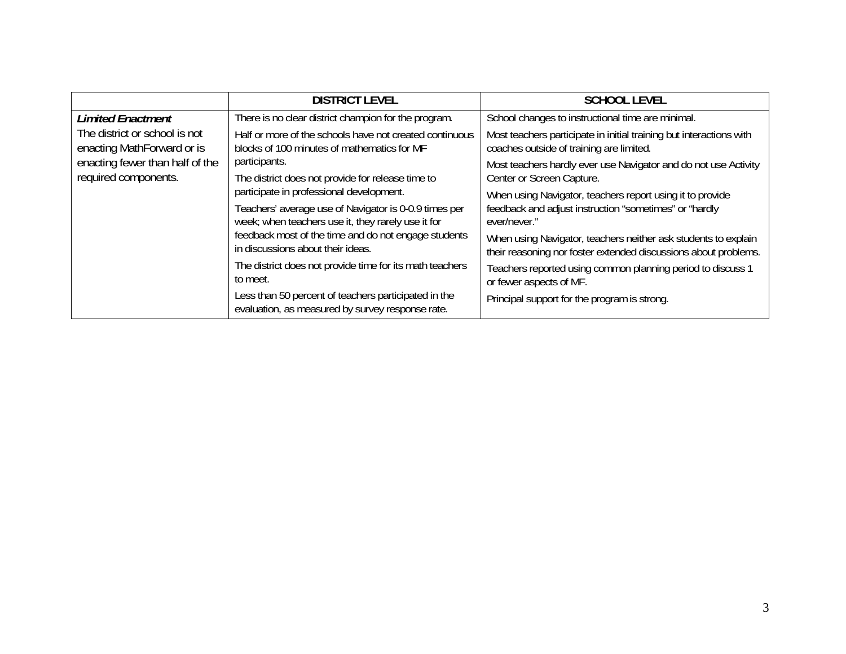|                                                             | <b>DISTRICT LEVEL</b>                                                                                       | <b>SCHOOL LEVEL</b>                                                                                                               |
|-------------------------------------------------------------|-------------------------------------------------------------------------------------------------------------|-----------------------------------------------------------------------------------------------------------------------------------|
| <b>Limited Enactment</b>                                    | There is no clear district champion for the program.                                                        | School changes to instructional time are minimal.                                                                                 |
| The district or school is not<br>enacting MathForward or is | Half or more of the schools have not created continuous<br>blocks of 100 minutes of mathematics for MF      | Most teachers participate in initial training but interactions with<br>coaches outside of training are limited.                   |
| enacting fewer than half of the<br>required components.     | participants.<br>The district does not provide for release time to                                          | Most teachers hardly ever use Navigator and do not use Activity<br>Center or Screen Capture.                                      |
|                                                             | participate in professional development.                                                                    | When using Navigator, teachers report using it to provide                                                                         |
|                                                             | Teachers' average use of Navigator is 0-0.9 times per<br>week; when teachers use it, they rarely use it for | feedback and adjust instruction "sometimes" or "hardly<br>ever/never."                                                            |
|                                                             | feedback most of the time and do not engage students<br>in discussions about their ideas.                   | When using Navigator, teachers neither ask students to explain<br>their reasoning nor foster extended discussions about problems. |
|                                                             | The district does not provide time for its math teachers<br>to meet.                                        | Teachers reported using common planning period to discuss 1<br>or fewer aspects of MF.                                            |
|                                                             | Less than 50 percent of teachers participated in the<br>evaluation, as measured by survey response rate.    | Principal support for the program is strong.                                                                                      |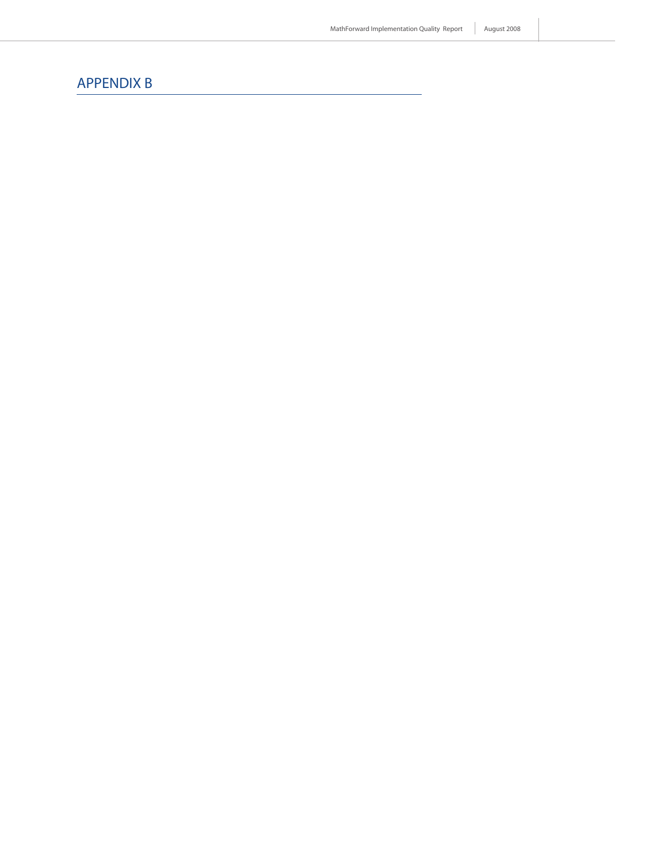# APPENDIX B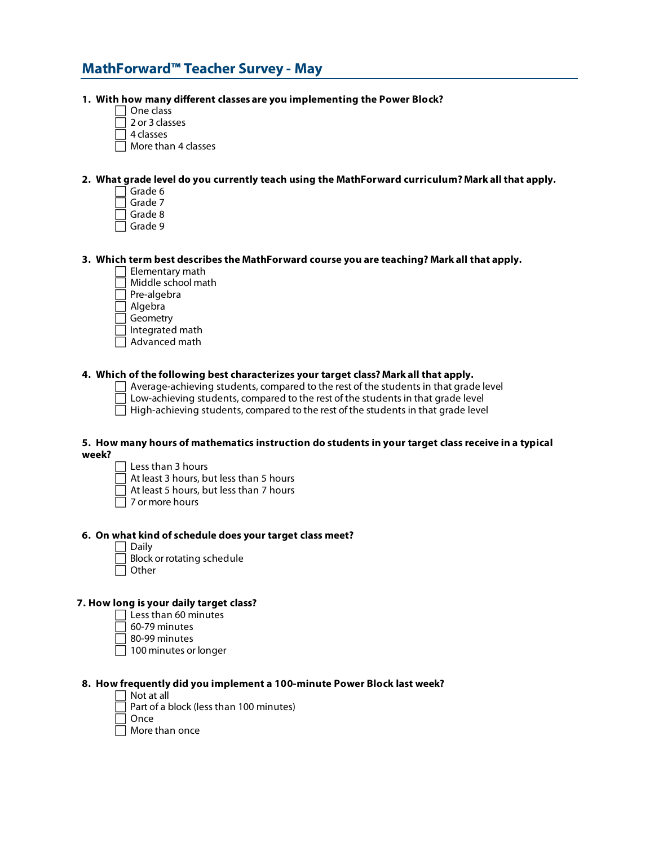## **MathForward™ Teacher Survey - May**

#### **1. With how many different classes are you implementing the Power Block?**

- One class
- 2 or 3 classes
- $\bar{1}$  4 classes
- More than 4 classes

## **2. What grade level do you currently teach using the MathForward curriculum? Mark all that apply.**

- Grade 6
- Grade 7
- Grade 8
- Grade 9

## **3. Which term best describes the MathForward course you are teaching? Mark all that apply.**

- Elementary math
- Middle school math

Pre-algebra

Algebra

Geometry

- Integrated math Advanced math
- 

### **4. Which of the following best characterizes your target class? Mark all that apply.**

Average-achieving students, compared to the rest of the students in that grade level

Low-achieving students, compared to the rest of the students in that grade level

 $\Box$  High-achieving students, compared to the rest of the students in that grade level

#### **5. How many hours of mathematics instruction do students in your target class receive in a typical week?**

 $\Box$  Less than 3 hours

At least 3 hours, but less than 5 hours

- At least 5 hours, but less than 7 hours
- 7 or more hours

## **6. On what kind of schedule does your target class meet?**

- Daily
- Block or rotating schedule
- $\Box$  Other

#### **7. How long is your daily target class?**

- $\Box$  Less than 60 minutes
- 60-79 minutes
- $\Box$  80-99 minutes
- $\Box$  100 minutes or longer

## **8. How frequently did you implement a 100-minute Power Block last week?**

 $\Box$  Not at all

Part of a block (less than 100 minutes)

Once

More than once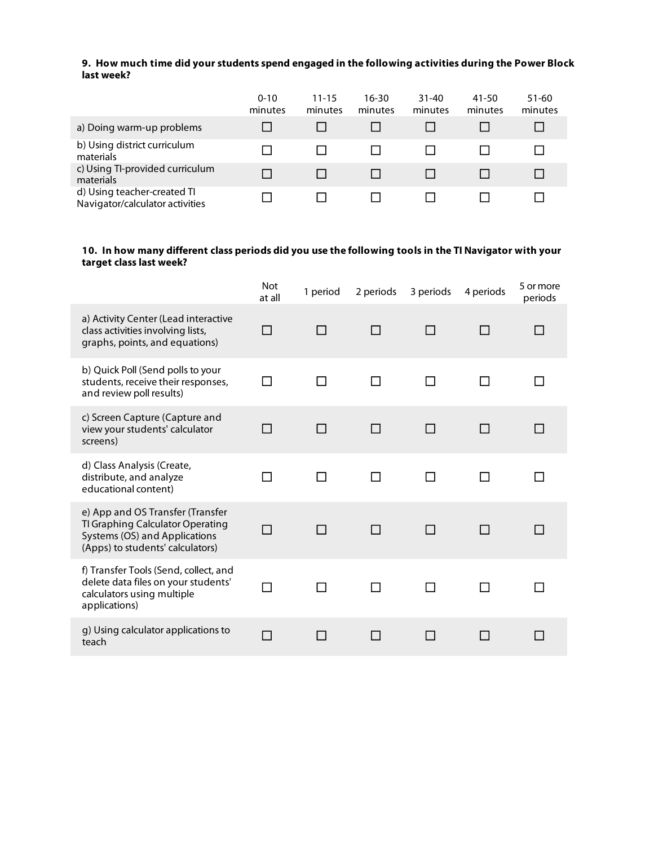## **9. How much time did your students spend engaged in the following activities during the Power Block last week?**

|                                                                | $0 - 10$<br>minutes | $11 - 15$<br>minutes | 16-30<br>minutes | 31-40<br>minutes | 41-50<br>minutes | $51 - 60$<br>minutes |
|----------------------------------------------------------------|---------------------|----------------------|------------------|------------------|------------------|----------------------|
| a) Doing warm-up problems                                      |                     |                      |                  |                  |                  |                      |
| b) Using district curriculum<br>materials                      |                     |                      |                  |                  |                  |                      |
| c) Using TI-provided curriculum<br>materials                   |                     |                      |                  |                  |                  |                      |
| d) Using teacher-created TI<br>Navigator/calculator activities |                     |                      |                  |                  |                  |                      |

## **10. In how many different class periods did you use the following tools in the TI Navigator with your target class last week?**

|                                                                                                                                           | <b>Not</b><br>at all | 1 period     | 2 periods | 3 periods    | 4 periods    | 5 or more<br>periods |
|-------------------------------------------------------------------------------------------------------------------------------------------|----------------------|--------------|-----------|--------------|--------------|----------------------|
| a) Activity Center (Lead interactive<br>class activities involving lists,<br>graphs, points, and equations)                               |                      |              | П         | $\Box$       |              |                      |
| b) Quick Poll (Send polls to your<br>students, receive their responses,<br>and review poll results)                                       | - 1                  | $\mathbf{I}$ | П         | П            |              |                      |
| c) Screen Capture (Capture and<br>view your students' calculator<br>screens)                                                              |                      |              | П         | П            |              |                      |
| d) Class Analysis (Create,<br>distribute, and analyze<br>educational content)                                                             | - 1                  | П            | П         | П            | $\mathbf{I}$ |                      |
| e) App and OS Transfer (Transfer<br>TI Graphing Calculator Operating<br>Systems (OS) and Applications<br>(Apps) to students' calculators) |                      | П            | П         | $\mathsf{L}$ |              |                      |
| f) Transfer Tools (Send, collect, and<br>delete data files on your students'<br>calculators using multiple<br>applications)               |                      | l I          | ⊓         | H            |              |                      |
| g) Using calculator applications to<br>teach                                                                                              |                      |              |           |              |              |                      |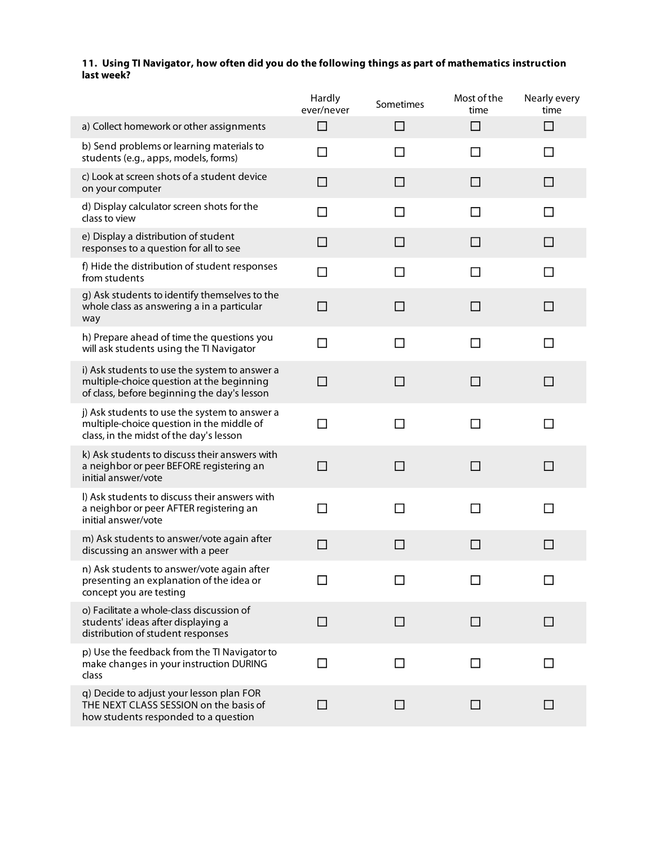## **11. Using TI Navigator, how often did you do the following things as part of mathematics instruction last week?**

|                                                                                                                                           | Hardly<br>ever/never | Sometimes | Most of the<br>time | Nearly every<br>time |
|-------------------------------------------------------------------------------------------------------------------------------------------|----------------------|-----------|---------------------|----------------------|
| a) Collect homework or other assignments                                                                                                  | П                    | $\Box$    | □                   | □                    |
| b) Send problems or learning materials to<br>students (e.g., apps, models, forms)                                                         | ΙI                   | П         | ΙI                  | l 1                  |
| c) Look at screen shots of a student device<br>on your computer                                                                           | LΙ                   | $\Box$    | $\Box$              | LΙ                   |
| d) Display calculator screen shots for the<br>class to view                                                                               | $\Box$               | $\Box$    | □                   | $\Box$               |
| e) Display a distribution of student<br>responses to a question for all to see                                                            | $\mathsf{L}$         | $\Box$    | ப                   | $\perp$              |
| f) Hide the distribution of student responses<br>from students                                                                            | П                    | П         |                     |                      |
| g) Ask students to identify themselves to the<br>whole class as answering a in a particular<br>way                                        | П                    | $\Box$    | П                   | П                    |
| h) Prepare ahead of time the questions you<br>will ask students using the TI Navigator                                                    | ΙI                   | П         | l 1                 | $\mathsf{L}$         |
| i) Ask students to use the system to answer a<br>multiple-choice question at the beginning<br>of class, before beginning the day's lesson |                      | П         | l 1                 | $\Box$               |
| j) Ask students to use the system to answer a<br>multiple-choice question in the middle of<br>class, in the midst of the day's lesson     | П                    | П         | П                   | п                    |
| k) Ask students to discuss their answers with<br>a neighbor or peer BEFORE registering an<br>initial answer/vote                          | $\mathsf{L}$         | П         | П                   | LΙ                   |
| I) Ask students to discuss their answers with<br>a neighbor or peer AFTER registering an<br>initial answer/vote                           | П                    | П         | П                   |                      |
| m) Ask students to answer/vote again after<br>discussing an answer with a peer                                                            | $\Box$               | □         | □                   | $\Box$               |
| n) Ask students to answer/vote again after<br>presenting an explanation of the idea or<br>concept you are testing                         |                      |           |                     |                      |
| o) Facilitate a whole-class discussion of<br>students' ideas after displaying a<br>distribution of student responses                      | $\Box$               | $\Box$    | $\Box$              | $\perp$              |
| p) Use the feedback from the TI Navigator to<br>make changes in your instruction DURING<br>class                                          |                      | $\Box$    |                     |                      |
| q) Decide to adjust your lesson plan FOR<br>THE NEXT CLASS SESSION on the basis of<br>how students responded to a question                | ΙI                   | □         | $\Box$              | $\mathsf{L}$         |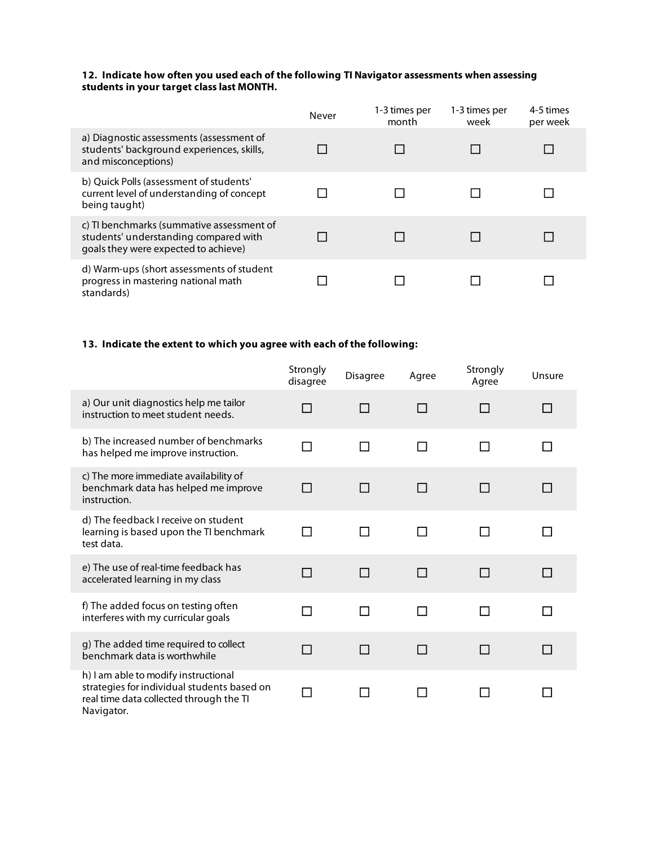## **12. Indicate how often you used each of the following TI Navigator assessments when assessing students in your target class last MONTH.**

|                                                                                                                            | Never | 1-3 times per<br>month | 1-3 times per<br>week | 4-5 times<br>per week |
|----------------------------------------------------------------------------------------------------------------------------|-------|------------------------|-----------------------|-----------------------|
| a) Diagnostic assessments (assessment of<br>students' background experiences, skills,<br>and misconceptions)               |       |                        |                       |                       |
| b) Quick Polls (assessment of students'<br>current level of understanding of concept<br>being taught)                      |       |                        |                       |                       |
| c) TI benchmarks (summative assessment of<br>students' understanding compared with<br>goals they were expected to achieve) |       |                        |                       |                       |
| d) Warm-ups (short assessments of student<br>progress in mastering national math<br>standards)                             |       |                        |                       |                       |

## **13. Indicate the extent to which you agree with each of the following:**

|                                                                                                                                              | Strongly<br>disagree | Disagree      | Agree           | Strongly<br>Agree | Unsure |
|----------------------------------------------------------------------------------------------------------------------------------------------|----------------------|---------------|-----------------|-------------------|--------|
| a) Our unit diagnostics help me tailor<br>instruction to meet student needs.                                                                 |                      |               | П               |                   |        |
| b) The increased number of benchmarks<br>has helped me improve instruction.                                                                  | П                    | П             | П               | П                 | П      |
| c) The more immediate availability of<br>benchmark data has helped me improve<br>instruction.                                                | П                    | П             | П               |                   |        |
| d) The feedback I receive on student<br>learning is based upon the TI benchmark<br>test data.                                                | П                    | П             | П               | l 1               |        |
| e) The use of real-time feedback has<br>accelerated learning in my class                                                                     | П                    | H             | П               |                   |        |
| f) The added focus on testing often<br>interferes with my curricular goals                                                                   | П                    | П             | П               | П                 |        |
| g) The added time required to collect<br>benchmark data is worthwhile                                                                        | П                    | H             | П               |                   |        |
| h) I am able to modify instructional<br>strategies for individual students based on<br>real time data collected through the TI<br>Navigator. | П                    | <b>Tallet</b> | <b>Contract</b> |                   |        |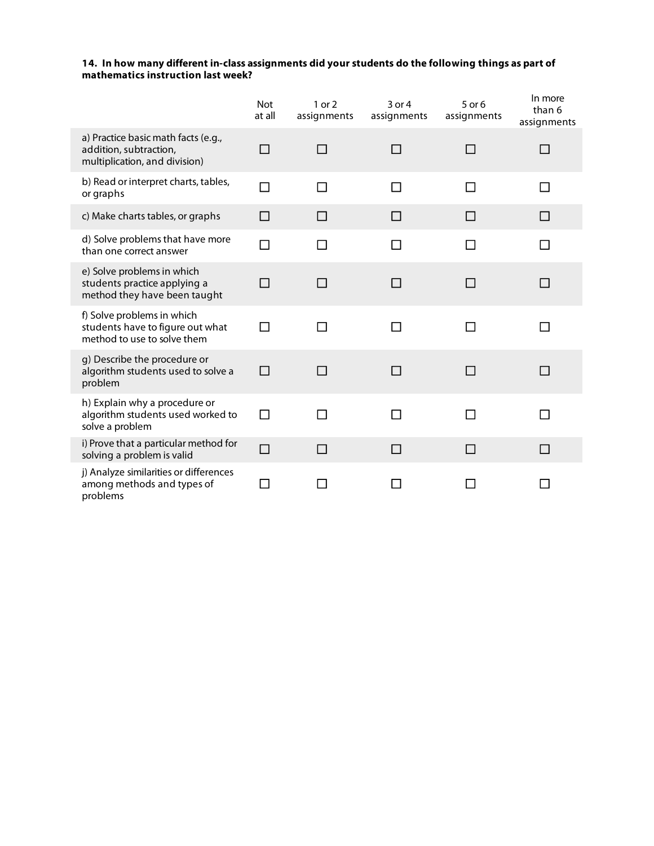## **14. In how many different in-class assignments did your students do the following things as part of mathematics instruction last week?**

|                                                                                                | <b>Not</b><br>at all | 1 or 2<br>assignments | 3 or 4<br>assignments | 5 or 6<br>assignments | In more<br>than 6<br>assignments |
|------------------------------------------------------------------------------------------------|----------------------|-----------------------|-----------------------|-----------------------|----------------------------------|
| a) Practice basic math facts (e.g.,<br>addition, subtraction,<br>multiplication, and division) | П                    | П                     | П                     | П                     | . .                              |
| b) Read or interpret charts, tables,<br>or graphs                                              | П                    | П                     | П                     |                       |                                  |
| c) Make charts tables, or graphs                                                               | $\Box$               | П                     | П                     | $\perp$               | $\perp$                          |
| d) Solve problems that have more<br>than one correct answer                                    | П                    | $\blacksquare$        | П                     | $\mathbf{I}$          | ΙI                               |
| e) Solve problems in which<br>students practice applying a<br>method they have been taught     | П                    | П                     | П                     | П                     | П                                |
| f) Solve problems in which<br>students have to figure out what<br>method to use to solve them  | П                    | П                     | П                     | П                     | П                                |
| g) Describe the procedure or<br>algorithm students used to solve a<br>problem                  | $\Box$               | П                     | П                     | П                     | П                                |
| h) Explain why a procedure or<br>algorithm students used worked to<br>solve a problem          | $\Box$               | П                     | П                     | П                     | $\Box$                           |
| i) Prove that a particular method for<br>solving a problem is valid                            | $\Box$               | П                     | П                     | ΙI                    | ΙI                               |
| j) Analyze similarities or differences<br>among methods and types of<br>problems               | П                    |                       |                       |                       |                                  |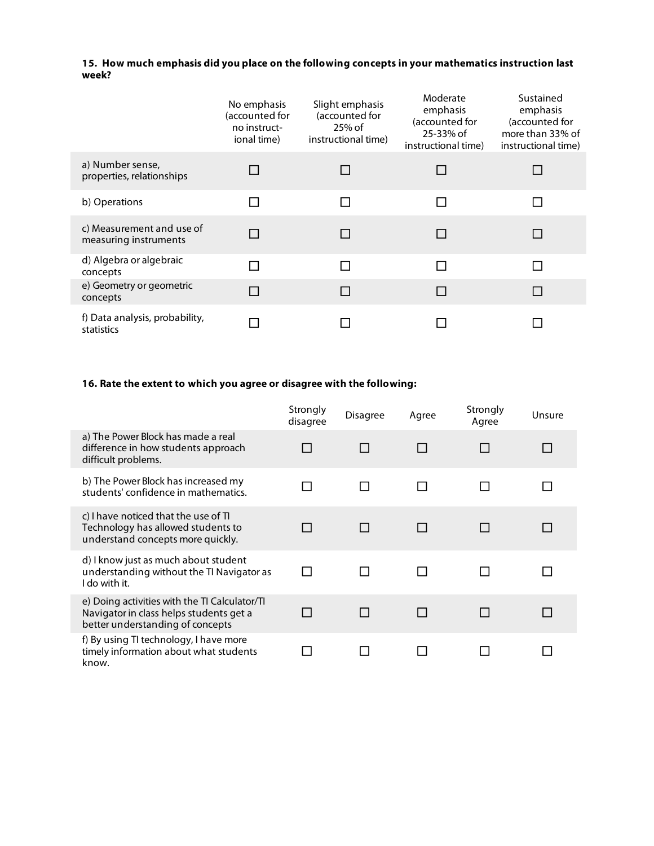## **15. How much emphasis did you place on the following concepts in your mathematics instruction last week?**

|                                                    | No emphasis<br>(accounted for<br>no instruct-<br>ional time) | Slight emphasis<br>(accounted for<br>25% of<br>instructional time) | Moderate<br>emphasis<br>(accounted for<br>25-33% of<br>instructional time) | Sustained<br>emphasis<br>(accounted for<br>more than 33% of<br>instructional time) |
|----------------------------------------------------|--------------------------------------------------------------|--------------------------------------------------------------------|----------------------------------------------------------------------------|------------------------------------------------------------------------------------|
| a) Number sense,<br>properties, relationships      |                                                              |                                                                    |                                                                            |                                                                                    |
| b) Operations                                      |                                                              |                                                                    |                                                                            |                                                                                    |
| c) Measurement and use of<br>measuring instruments | $\Box$                                                       |                                                                    |                                                                            |                                                                                    |
| d) Algebra or algebraic<br>concepts                | П                                                            |                                                                    |                                                                            |                                                                                    |
| e) Geometry or geometric<br>concepts               | П                                                            |                                                                    |                                                                            |                                                                                    |
| f) Data analysis, probability,<br>statistics       |                                                              |                                                                    |                                                                            |                                                                                    |

## **16. Rate the extent to which you agree or disagree with the following:**

|                                                                                                                              | Strongly<br>disagree | Disagree | Agree | Strongly<br>Agree | Unsure |
|------------------------------------------------------------------------------------------------------------------------------|----------------------|----------|-------|-------------------|--------|
| a) The Power Block has made a real<br>difference in how students approach<br>difficult problems.                             |                      |          |       |                   |        |
| b) The Power Block has increased my<br>students' confidence in mathematics.                                                  |                      |          |       |                   |        |
| c) I have noticed that the use of TI<br>Technology has allowed students to<br>understand concepts more quickly.              |                      |          |       |                   |        |
| d) I know just as much about student<br>understanding without the TI Navigator as<br>I do with it.                           |                      |          |       |                   |        |
| e) Doing activities with the TI Calculator/TI<br>Navigator in class helps students get a<br>better understanding of concepts |                      |          |       |                   |        |
| f) By using TI technology, I have more<br>timely information about what students<br>know.                                    |                      |          |       |                   |        |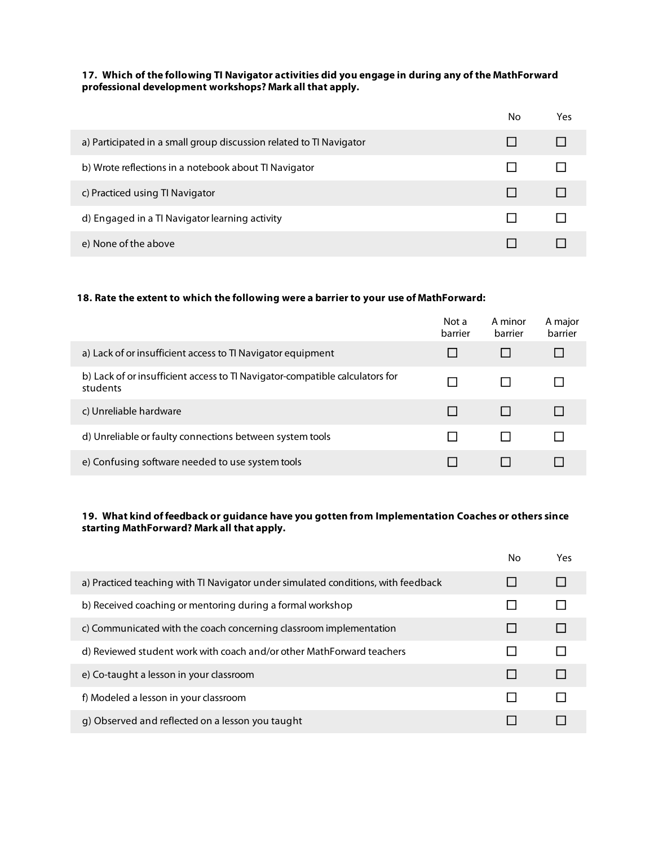## **17. Which of the following TI Navigator activities did you engage in during any of the MathForward professional development workshops? Mark all that apply.**

|                                                                     | No | Yes |
|---------------------------------------------------------------------|----|-----|
| a) Participated in a small group discussion related to TI Navigator |    |     |
| b) Wrote reflections in a notebook about TI Navigator               |    |     |
| c) Practiced using TI Navigator                                     |    |     |
| d) Engaged in a TI Navigator learning activity                      |    |     |
| e) None of the above                                                |    |     |

## **18. Rate the extent to which the following were a barrier to your use of MathForward:**

|                                                                                          | Not a<br>barrier | A minor<br>barrier | A major<br>barrier |
|------------------------------------------------------------------------------------------|------------------|--------------------|--------------------|
| a) Lack of or insufficient access to TI Navigator equipment                              |                  |                    |                    |
| b) Lack of or insufficient access to TI Navigator-compatible calculators for<br>students |                  |                    |                    |
| c) Unreliable hardware                                                                   |                  |                    |                    |
| d) Unreliable or faulty connections between system tools                                 |                  |                    |                    |
| e) Confusing software needed to use system tools                                         |                  |                    |                    |

## **19. What kind of feedback or guidance have you gotten from Implementation Coaches or others since starting MathForward? Mark all that apply.**

|                                                                                   | No | Yes |
|-----------------------------------------------------------------------------------|----|-----|
| a) Practiced teaching with TI Navigator under simulated conditions, with feedback |    |     |
| b) Received coaching or mentoring during a formal workshop                        |    |     |
| c) Communicated with the coach concerning classroom implementation                |    |     |
| d) Reviewed student work with coach and/or other MathForward teachers             |    |     |
| e) Co-taught a lesson in your classroom                                           |    |     |
| f) Modeled a lesson in your classroom                                             |    |     |
| g) Observed and reflected on a lesson you taught                                  |    |     |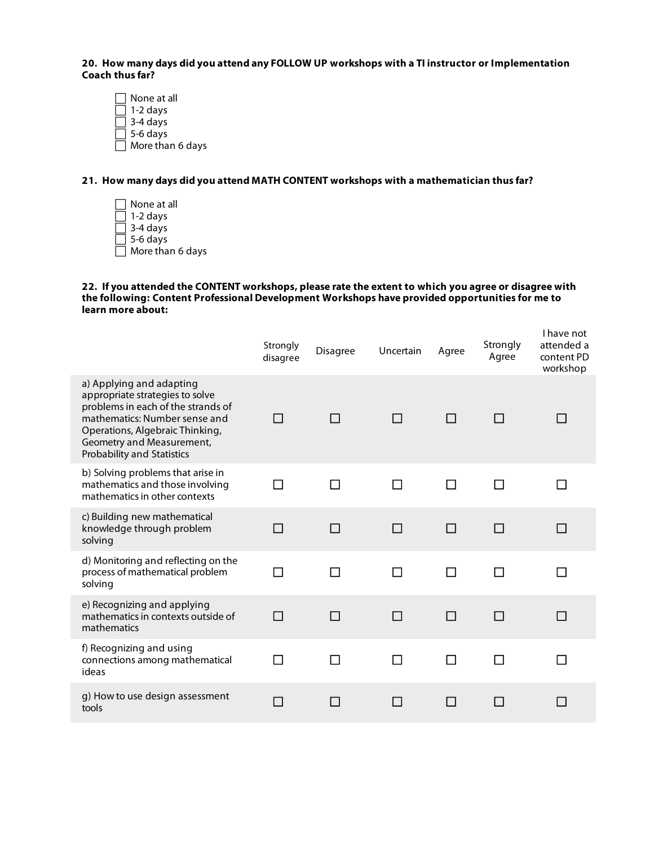**20. How many days did you attend any FOLLOW UP workshops with a TI instructor or Implementation Coach thus far?**

 None at all  $\Box$  1-2 days 3-4 days  $\overline{\phantom{a}}$  5-6 days More than 6 days

## **21. How many days did you attend MATH CONTENT workshops with a mathematician thus far?**

 None at all 1-2 days 3-4 days  $\overline{$  5-6 days  $\Box$  More than 6 days

## **22. If you attended the CONTENT workshops, please rate the extent to which you agree or disagree with the following: Content Professional Development Workshops have provided opportunities for me to learn more about:**

|                                                                                                                                                                                                                                         | Strongly<br>disagree | <b>Disagree</b> | Uncertain | Agree          | Strongly<br>Agree | I have not<br>attended a<br>content PD<br>workshop |
|-----------------------------------------------------------------------------------------------------------------------------------------------------------------------------------------------------------------------------------------|----------------------|-----------------|-----------|----------------|-------------------|----------------------------------------------------|
| a) Applying and adapting<br>appropriate strategies to solve<br>problems in each of the strands of<br>mathematics: Number sense and<br>Operations, Algebraic Thinking,<br>Geometry and Measurement,<br><b>Probability and Statistics</b> | $\mathsf{L}$         | $\blacksquare$  | П         | <b>Tara</b>    | $\perp$           |                                                    |
| b) Solving problems that arise in<br>mathematics and those involving<br>mathematics in other contexts                                                                                                                                   |                      |                 | П         |                |                   |                                                    |
| c) Building new mathematical<br>knowledge through problem<br>solving                                                                                                                                                                    | П                    | П               | П         | П              | П                 |                                                    |
| d) Monitoring and reflecting on the<br>process of mathematical problem<br>solving                                                                                                                                                       | l I                  | $\blacksquare$  | П         | $\blacksquare$ | ΙI                | $\mathbf{I}$                                       |
| e) Recognizing and applying<br>mathematics in contexts outside of<br>mathematics                                                                                                                                                        | П                    | <b>Talent</b>   | П         | П              | П                 | <b>The State</b>                                   |
| f) Recognizing and using<br>connections among mathematical<br>ideas                                                                                                                                                                     |                      |                 |           |                |                   |                                                    |
| g) How to use design assessment<br>tools                                                                                                                                                                                                | П                    |                 | . .       |                |                   |                                                    |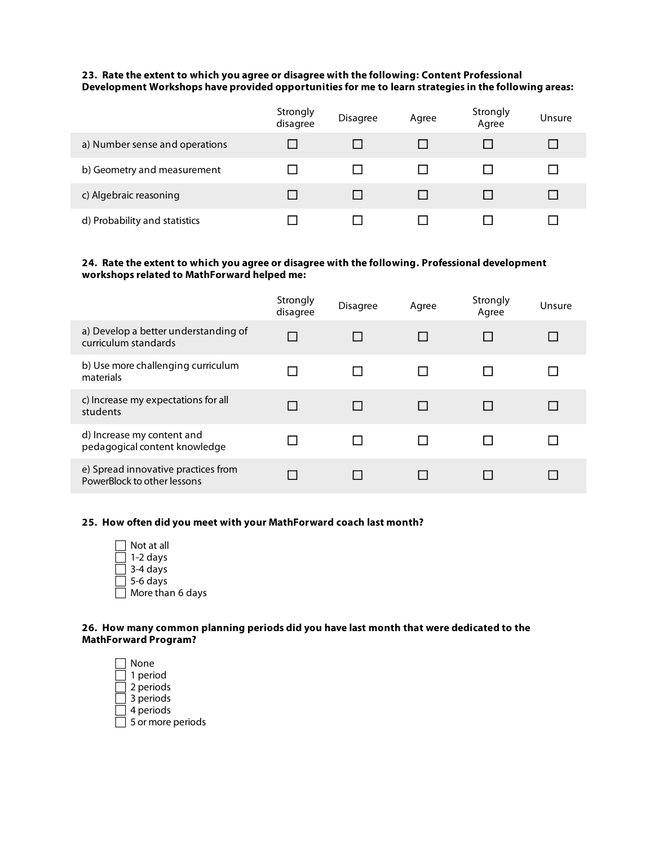## **23. Rate the extent to which you agree or disagree with the following: Content Professional Development Workshops have provided opportunities for me to learn strategies in the following areas:**

|                                | Strongly<br>disagree | <b>Disagree</b> | Agree | Strongly<br>Agree | Unsure |
|--------------------------------|----------------------|-----------------|-------|-------------------|--------|
| a) Number sense and operations |                      |                 |       |                   |        |
| b) Geometry and measurement    |                      |                 |       |                   |        |
| c) Algebraic reasoning         |                      |                 |       |                   |        |
| d) Probability and statistics  |                      |                 |       |                   |        |

## **24. Rate the extent to which you agree or disagree with the following. Professional development workshops related to MathForward helped me:**

|                                                                    | Strongly<br>disagree | <b>Disagree</b> | Agree  | Strongly<br>Agree | Unsure |
|--------------------------------------------------------------------|----------------------|-----------------|--------|-------------------|--------|
| a) Develop a better understanding of<br>curriculum standards       | П                    |                 | $\Box$ |                   |        |
| b) Use more challenging curriculum<br>materials                    |                      |                 |        |                   |        |
| c) Increase my expectations for all<br>students                    | $\mathsf{L}$         |                 | $\Box$ |                   | ΙI     |
| d) Increase my content and<br>pedagogical content knowledge        |                      |                 |        |                   |        |
| e) Spread innovative practices from<br>PowerBlock to other lessons |                      |                 |        |                   |        |

## **25. How often did you meet with your MathForward coach last month?**

| Not at all       |
|------------------|
| 1-2 days         |
| 3-4 days         |
| 5-6 days         |
| More than 6 days |

#### **26. How many common planning periods did you have last month that were dedicated to the MathForward Program?**

 $\Box$  None  $\Box$  1 period 2 periods  $\Box$  3 periods  $\Box$  4 periods  $\Box$  5 or more periods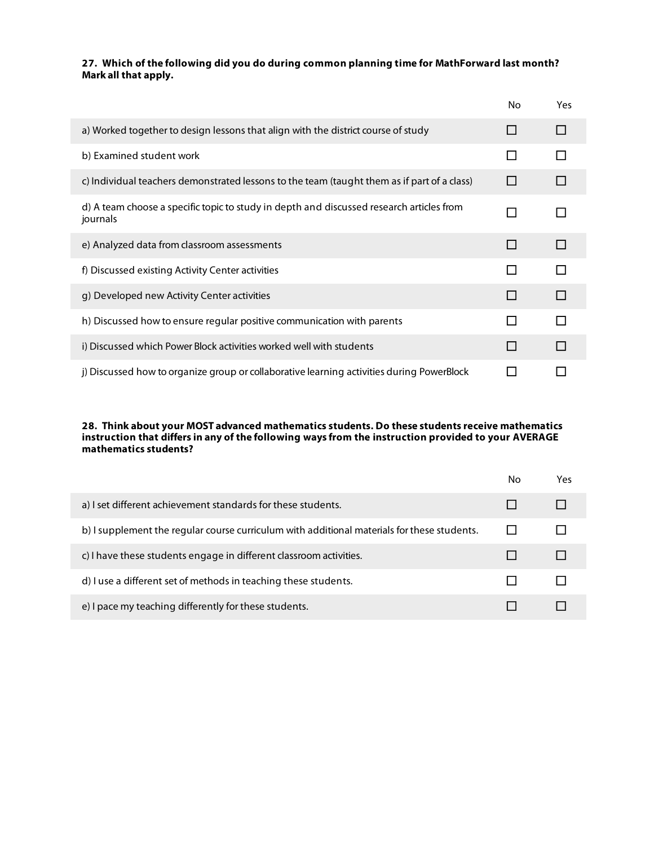## **27. Which of the following did you do during common planning time for MathForward last month? Mark all that apply.**

|                                                                                                      | No. | Yes |
|------------------------------------------------------------------------------------------------------|-----|-----|
| a) Worked together to design lessons that align with the district course of study                    |     |     |
| b) Examined student work                                                                             |     |     |
| c) Individual teachers demonstrated lessons to the team (taught them as if part of a class)          |     |     |
| d) A team choose a specific topic to study in depth and discussed research articles from<br>journals | l I |     |
| e) Analyzed data from classroom assessments                                                          |     |     |
| f) Discussed existing Activity Center activities                                                     |     |     |
| g) Developed new Activity Center activities                                                          |     |     |
| h) Discussed how to ensure regular positive communication with parents                               |     |     |
| i) Discussed which Power Block activities worked well with students                                  | H   |     |
| j) Discussed how to organize group or collaborative learning activities during PowerBlock            |     |     |

#### **28. Think about your MOST advanced mathematics students. Do these students receive mathematics instruction that differs in any of the following ways from the instruction provided to your AVERAGE mathematics students?**

|                                                                                             | No | Yes |
|---------------------------------------------------------------------------------------------|----|-----|
| a) I set different achievement standards for these students.                                |    |     |
| b) I supplement the regular course curriculum with additional materials for these students. |    |     |
| c) I have these students engage in different classroom activities.                          |    |     |
| d) I use a different set of methods in teaching these students.                             |    |     |
| e) I pace my teaching differently for these students.                                       |    |     |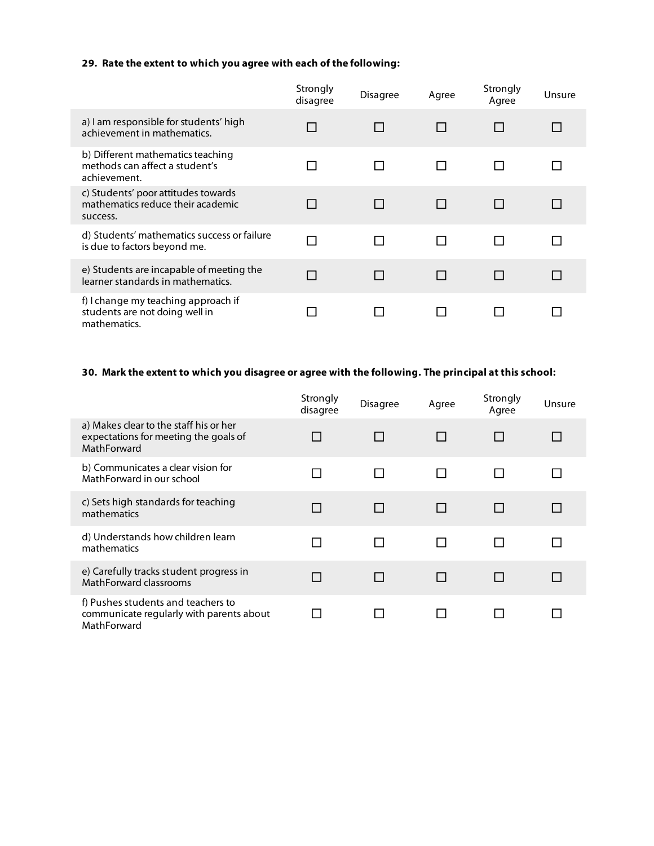## **29. Rate the extent to which you agree with each of the following:**

|                                                                                       | Strongly<br>disagree | <b>Disagree</b> | Agree        | Strongly<br>Agree | Unsure       |
|---------------------------------------------------------------------------------------|----------------------|-----------------|--------------|-------------------|--------------|
| a) I am responsible for students' high<br>achievement in mathematics.                 | $\mathbf{I}$         |                 |              |                   |              |
| b) Different mathematics teaching<br>methods can affect a student's<br>achievement.   | ГΙ                   |                 |              |                   |              |
| c) Students' poor attitudes towards<br>mathematics reduce their academic<br>success.  | $\mathbf{I}$         |                 |              |                   |              |
| d) Students' mathematics success or failure<br>is due to factors beyond me.           | П                    |                 |              |                   |              |
| e) Students are incapable of meeting the<br>learner standards in mathematics.         | П                    | ΙI              | $\mathsf{L}$ |                   | $\mathsf{L}$ |
| f) I change my teaching approach if<br>students are not doing well in<br>mathematics. |                      |                 |              |                   |              |

## **30. Mark the extent to which you disagree or agree with the following. The principal at this school:**

|                                                                                                | Strongly<br>disagree | <b>Disagree</b> | Agree | Strongly<br>Agree | Unsure |
|------------------------------------------------------------------------------------------------|----------------------|-----------------|-------|-------------------|--------|
| a) Makes clear to the staff his or her<br>expectations for meeting the goals of<br>MathForward |                      |                 |       |                   |        |
| b) Communicates a clear vision for<br>MathForward in our school                                |                      |                 |       |                   |        |
| c) Sets high standards for teaching<br>mathematics                                             |                      |                 |       |                   |        |
| d) Understands how children learn<br>mathematics                                               |                      | $\mathsf{L}$    |       |                   |        |
| e) Carefully tracks student progress in<br>MathForward classrooms                              |                      |                 |       |                   |        |
| f) Pushes students and teachers to<br>communicate regularly with parents about<br>MathForward  |                      |                 |       |                   |        |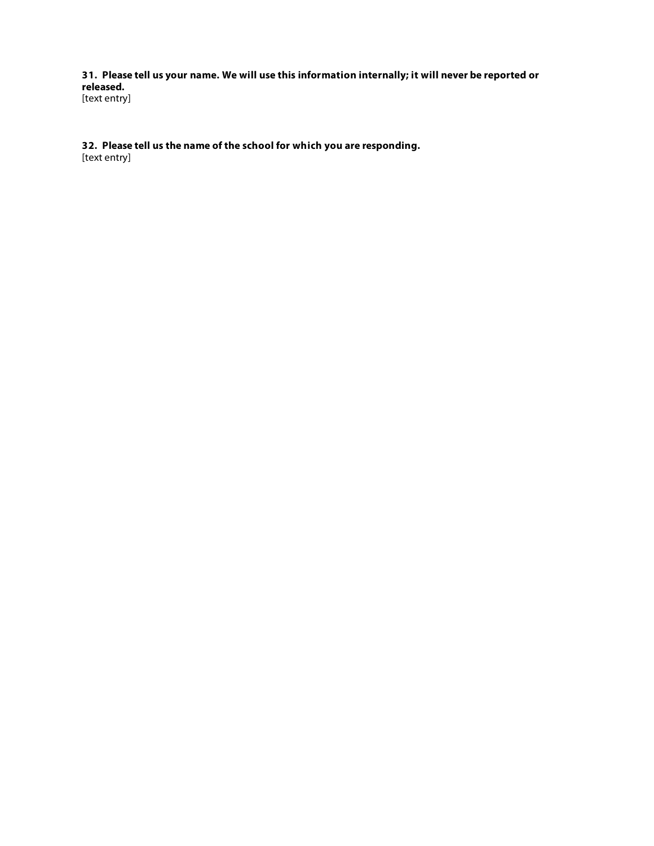**31. Please tell us your name. We will use this information internally; it will never be reported or released.** [text entry]

**32. Please tell us the name of the school for which you are responding.**

[text entry]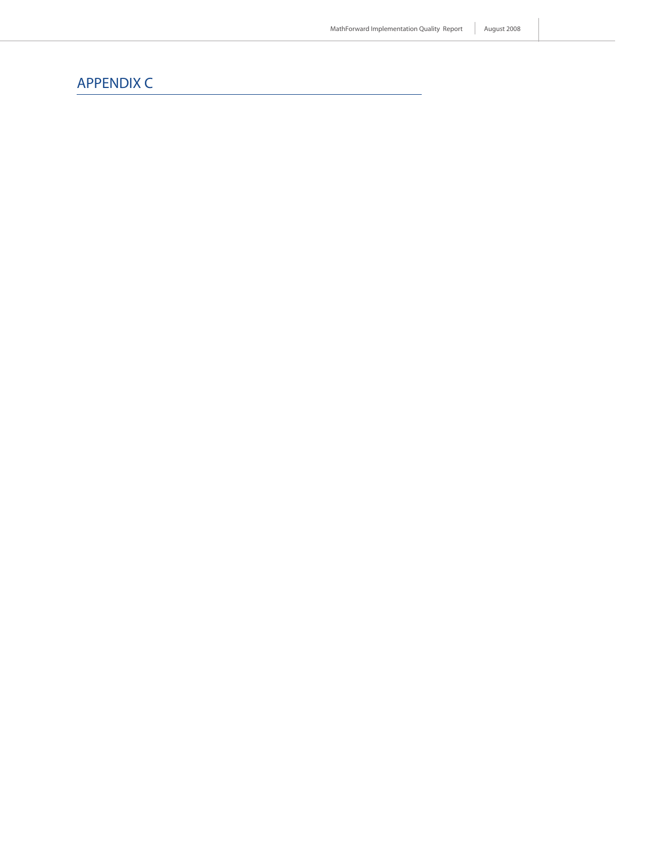# APPENDIX C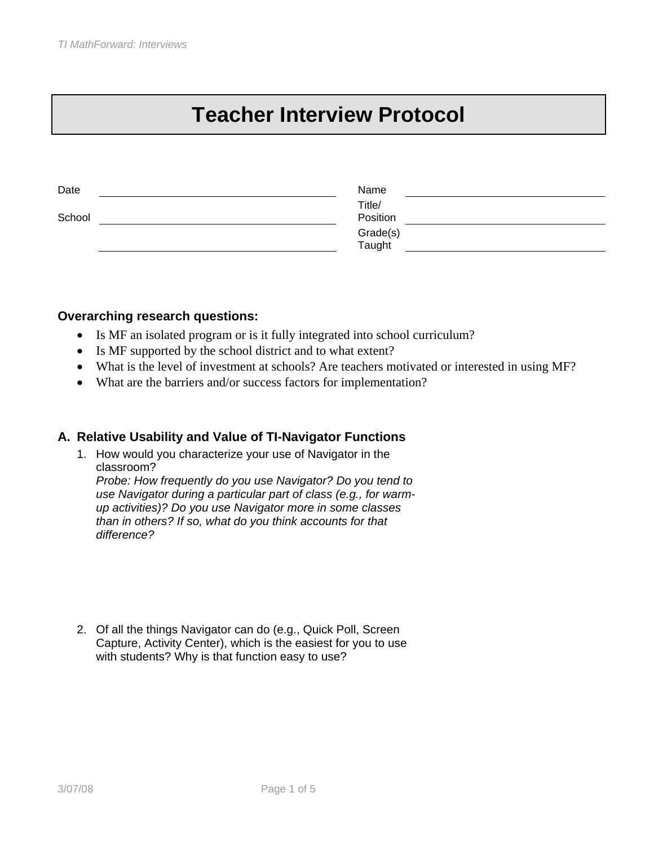# **Teacher Interview Protocol**

| Name   |                                |
|--------|--------------------------------|
| Title/ |                                |
|        |                                |
|        |                                |
|        |                                |
|        | Position<br>Grade(s)<br>Taught |

## **Overarching research questions:**

- Is MF an isolated program or is it fully integrated into school curriculum?
- Is MF supported by the school district and to what extent?
- What is the level of investment at schools? Are teachers motivated or interested in using MF?
- What are the barriers and/or success factors for implementation?

## **A. Relative Usability and Value of TI-Navigator Functions**

1. How would you characterize your use of Navigator in the classroom?

*Probe: How frequently do you use Navigator? Do you tend to use Navigator during a particular part of class (e.g., for warmup activities)? Do you use Navigator more in some classes than in others? If so, what do you think accounts for that difference?*

2. Of all the things Navigator can do (e.g., Quick Poll, Screen Capture, Activity Center), which is the easiest for you to use with students? Why is that function easy to use?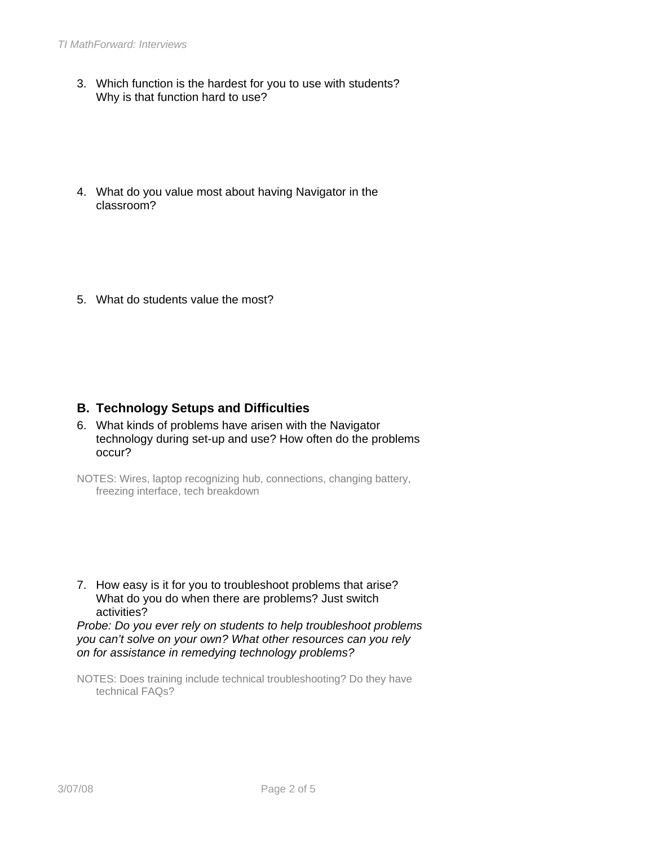- 3. Which function is the hardest for you to use with students? Why is that function hard to use?
- 4. What do you value most about having Navigator in the classroom?
- 5. What do students value the most?

## **B. Technology Setups and Difficulties**

- 6. What kinds of problems have arisen with the Navigator technology during set-up and use? How often do the problems occur?
- NOTES: Wires, laptop recognizing hub, connections, changing battery, freezing interface, tech breakdown
- 7. How easy is it for you to troubleshoot problems that arise? What do you do when there are problems? Just switch activities?

*Probe: Do you ever rely on students to help troubleshoot problems you can't solve on your own? What other resources can you rely on for assistance in remedying technology problems?*

NOTES: Does training include technical troubleshooting? Do they have technical FAQs?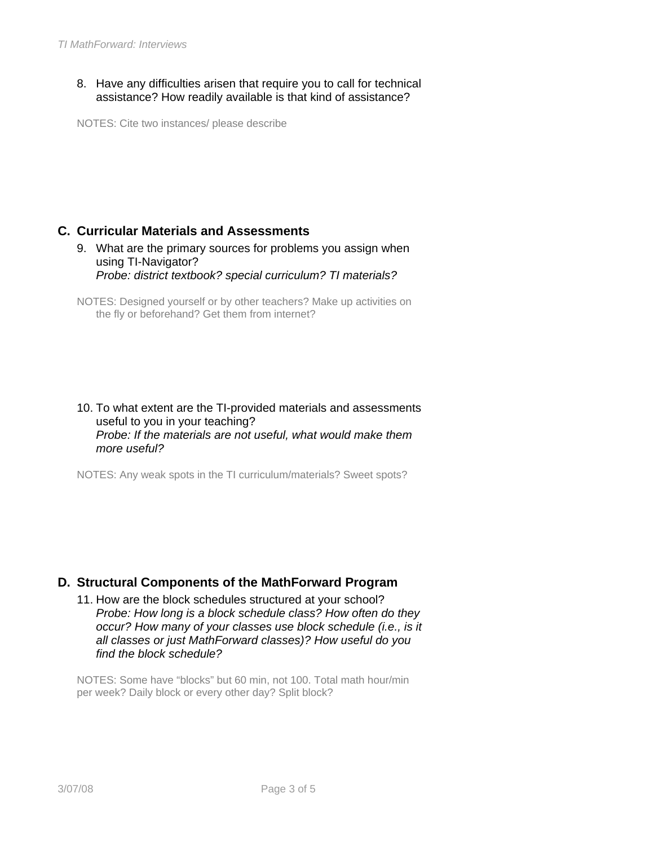8. Have any difficulties arisen that require you to call for technical assistance? How readily available is that kind of assistance?

NOTES: Cite two instances/ please describe

# **C. Curricular Materials and Assessments**

9. What are the primary sources for problems you assign when using TI-Navigator? *Probe: district textbook? special curriculum? TI materials?*

#### 10. To what extent are the TI-provided materials and assessments useful to you in your teaching? *Probe: If the materials are not useful, what would make them more useful?*

NOTES: Any weak spots in the TI curriculum/materials? Sweet spots?

# **D. Structural Components of the MathForward Program**

11. How are the block schedules structured at your school? *Probe: How long is a block schedule class? How often do they occur? How many of your classes use block schedule (i.e., is it all classes or just MathForward classes)? How useful do you find the block schedule?*

NOTES: Some have "blocks" but 60 min, not 100. Total math hour/min per week? Daily block or every other day? Split block?

NOTES: Designed yourself or by other teachers? Make up activities on the fly or beforehand? Get them from internet?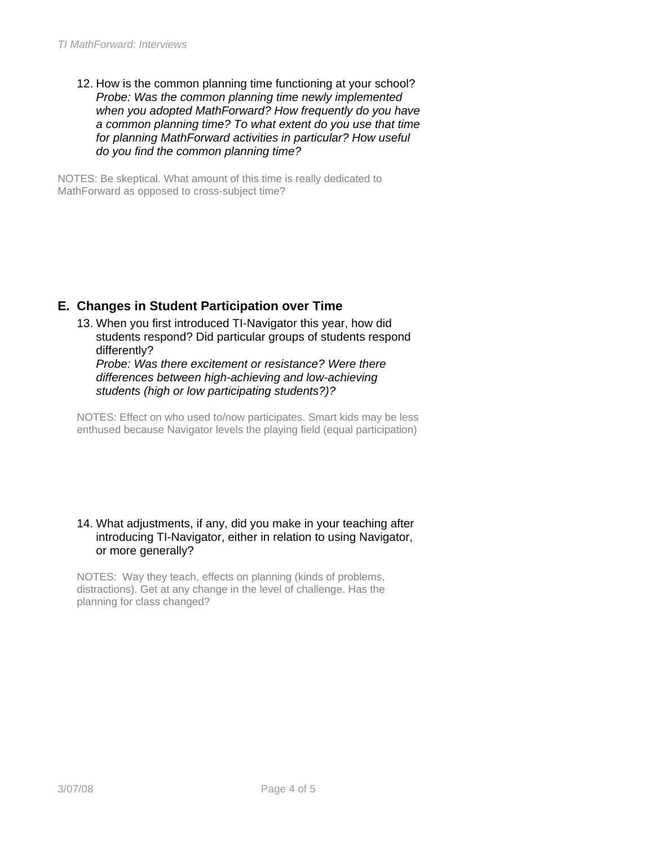12. How is the common planning time functioning at your school? *Probe: Was the common planning time newly implemented when you adopted MathForward? How frequently do you have a common planning time? To what extent do you use that time for planning MathForward activities in particular? How useful do you find the common planning time?* 

NOTES: Be skeptical. What amount of this time is really dedicated to MathForward as opposed to cross-subject time?

# **E. Changes in Student Participation over Time**

13. When you first introduced TI-Navigator this year, how did students respond? Did particular groups of students respond differently?

*Probe: Was there excitement or resistance? Were there differences between high-achieving and low-achieving students (high or low participating students?)?* 

NOTES: Effect on who used to/now participates. Smart kids may be less enthused because Navigator levels the playing field (equal participation)

#### 14. What adjustments, if any, did you make in your teaching after introducing TI-Navigator, either in relation to using Navigator, or more generally?

NOTES: Way they teach, effects on planning (kinds of problems, distractions). Get at any change in the level of challenge. Has the planning for class changed?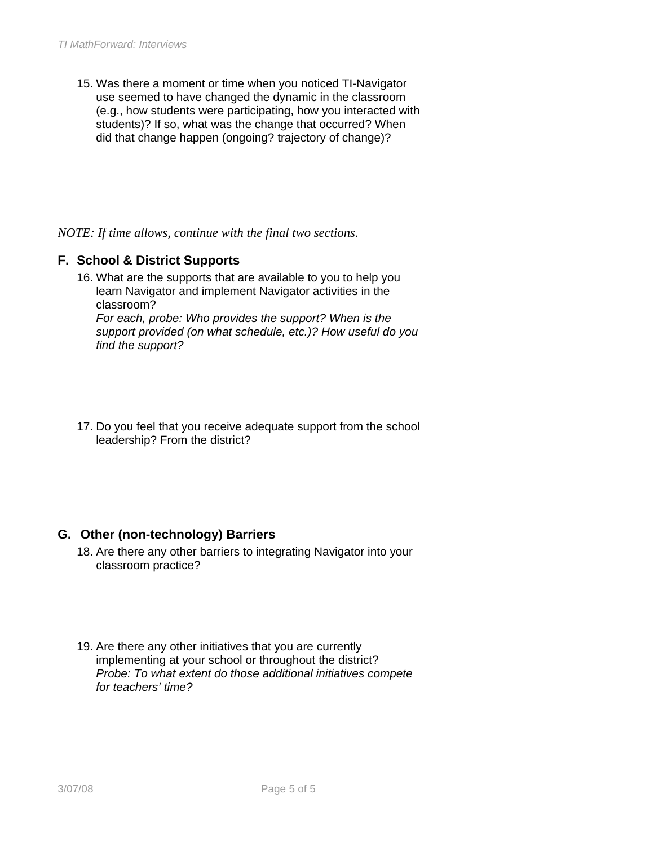15. Was there a moment or time when you noticed TI-Navigator use seemed to have changed the dynamic in the classroom (e.g., how students were participating, how you interacted with students)? If so, what was the change that occurred? When did that change happen (ongoing? trajectory of change)?

*NOTE: If time allows, continue with the final two sections.* 

# **F. School & District Supports**

- 16. What are the supports that are available to you to help you learn Navigator and implement Navigator activities in the classroom? *For each, probe: Who provides the support? When is the support provided (on what schedule, etc.)? How useful do you find the support?*
- 17. Do you feel that you receive adequate support from the school leadership? From the district?

# **G. Other (non-technology) Barriers**

- 18. Are there any other barriers to integrating Navigator into your classroom practice?
- 19. Are there any other initiatives that you are currently implementing at your school or throughout the district? *Probe: To what extent do those additional initiatives compete for teachers' time?*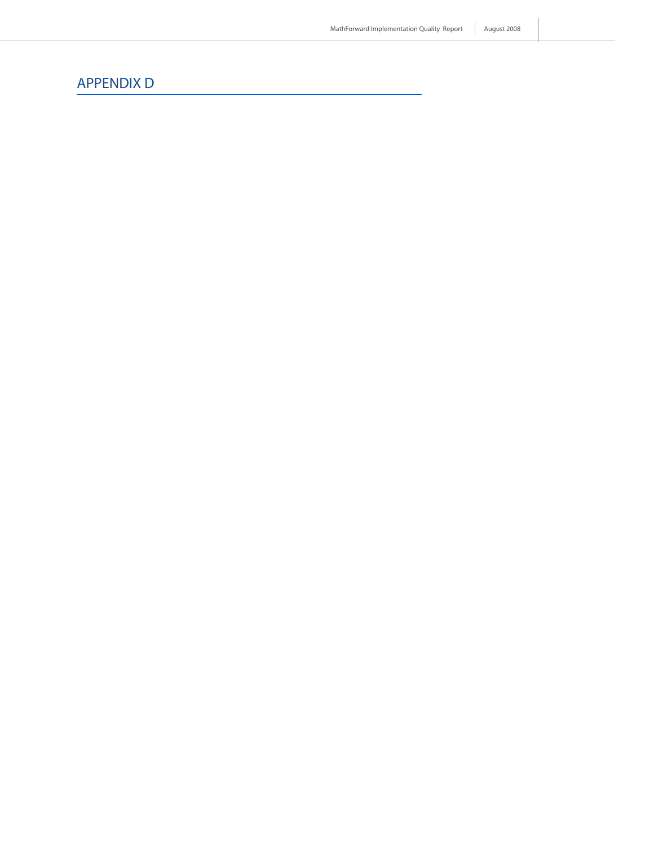# APPENDIX D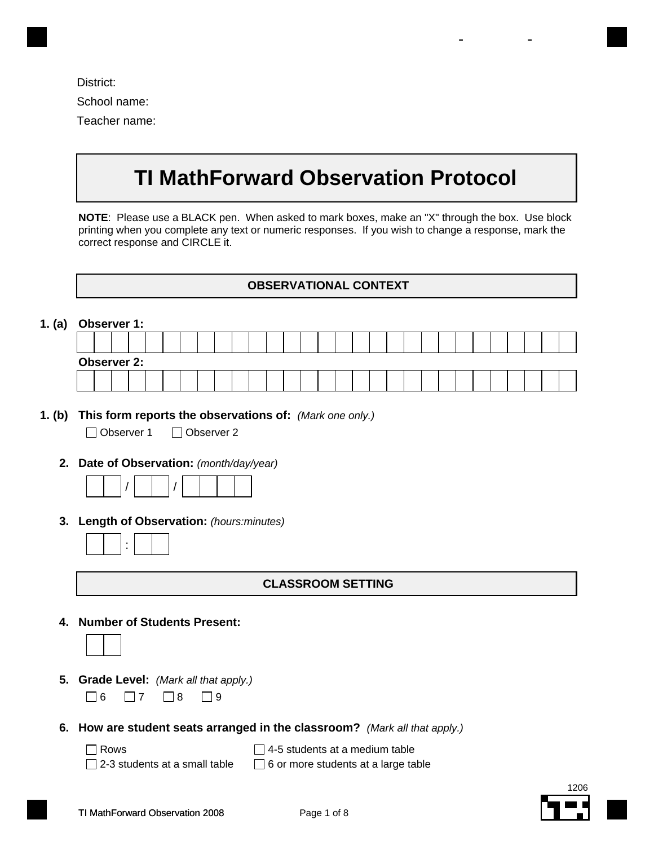| District:     |
|---------------|
| School name:  |
| Teacher name: |

# **TI MathForward Observation Protocol**

- -

**NOTE**: Please use a BLACK pen. When asked to mark boxes, make an "X" through the box. Use block printing when you complete any text or numeric responses. If you wish to change a response, mark the correct response and CIRCLE it.

#### **OBSERVATIONAL CONTEXT**

| 1. (a) |  | Observer 1:        |  |  |  |  |  |  |  |  |  |  |  |  |  |
|--------|--|--------------------|--|--|--|--|--|--|--|--|--|--|--|--|--|
|        |  |                    |  |  |  |  |  |  |  |  |  |  |  |  |  |
|        |  | <b>Observer 2:</b> |  |  |  |  |  |  |  |  |  |  |  |  |  |
|        |  |                    |  |  |  |  |  |  |  |  |  |  |  |  |  |

**1. (b) This form reports the observations of:** *(Mark one only.)*

Observer 1 Observer 2

**2. Date of Observation:** *(month/day/year)*

|--|--|

**3. Length of Observation:** *(hours:minutes)*

#### **CLASSROOM SETTING**

**4. Number of Students Present:**



- **5. Grade Level:** *(Mark all that apply.)*  $\Box$ 6  $\Box$ 7  $\Box$ 8  $\Box$ 9
	-
- **6. How are student seats arranged in the classroom?** *(Mark all that apply.)*
	- Rows
	- $\Box$  2-3 students at a small table

 $\Box$  4-5 students at a medium table  $\Box$  6 or more students at a large table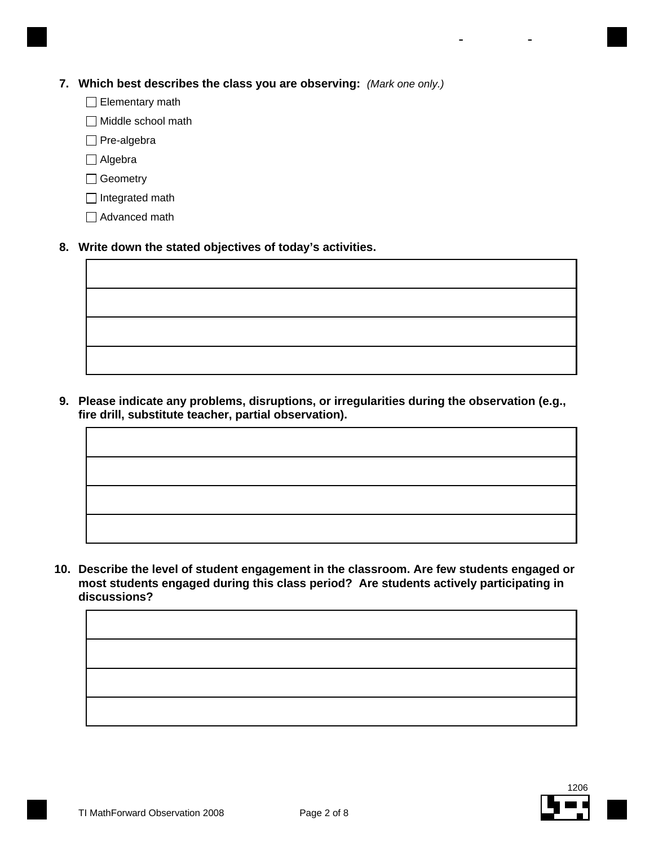#### **7. Which best describes the class you are observing:** *(Mark one only.)*

- Elementary math
- $\Box$  Middle school math
- □ Pre-algebra
- □ Algebra
- □ Geometry
- $\Box$  Integrated math
- □ Advanced math

#### **8. Write down the stated objectives of today's activities.**

**Please indicate any problems, disruptions, or irregularities during the observation (e.g., 9. fire drill, substitute teacher, partial observation).**

**10. Describe the level of student engagement in the classroom. Are few students engaged or most students engaged during this class period? Are students actively participating in discussions?**



- -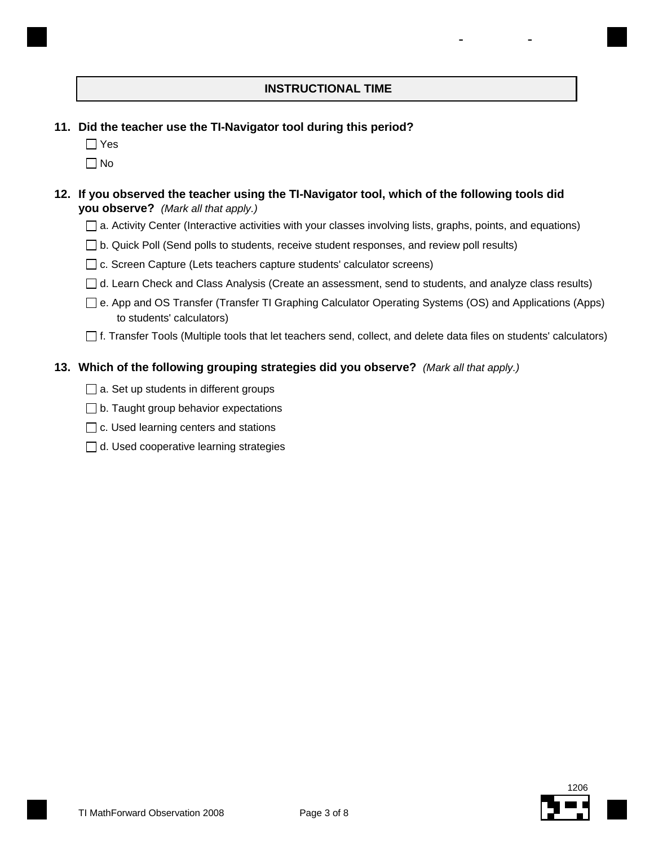# **INSTRUCTIONAL TIME**

- -

- **11. Did the teacher use the TI-Navigator tool during this period?**
	- $\Box$  Yes
	- $\Box$  No

#### **12. If you observed the teacher using the TI-Navigator tool, which of the following tools did you observe?** *(Mark all that apply.)*

- □ a. Activity Center (Interactive activities with your classes involving lists, graphs, points, and equations)
- $\Box$  b. Quick Poll (Send polls to students, receive student responses, and review poll results)
- $\Box$  c. Screen Capture (Lets teachers capture students' calculator screens)
- $\Box$  d. Learn Check and Class Analysis (Create an assessment, send to students, and analyze class results)
- e. App and OS Transfer (Transfer TI Graphing Calculator Operating Systems (OS) and Applications (Apps) to students' calculators)
- f. Transfer Tools (Multiple tools that let teachers send, collect, and delete data files on students' calculators)

# **13. Which of the following grouping strategies did you observe?** *(Mark all that apply.)*

- $\Box$  a. Set up students in different groups
- $\Box$  b. Taught group behavior expectations
- $\Box$  c. Used learning centers and stations
- $\Box$  d. Used cooperative learning strategies

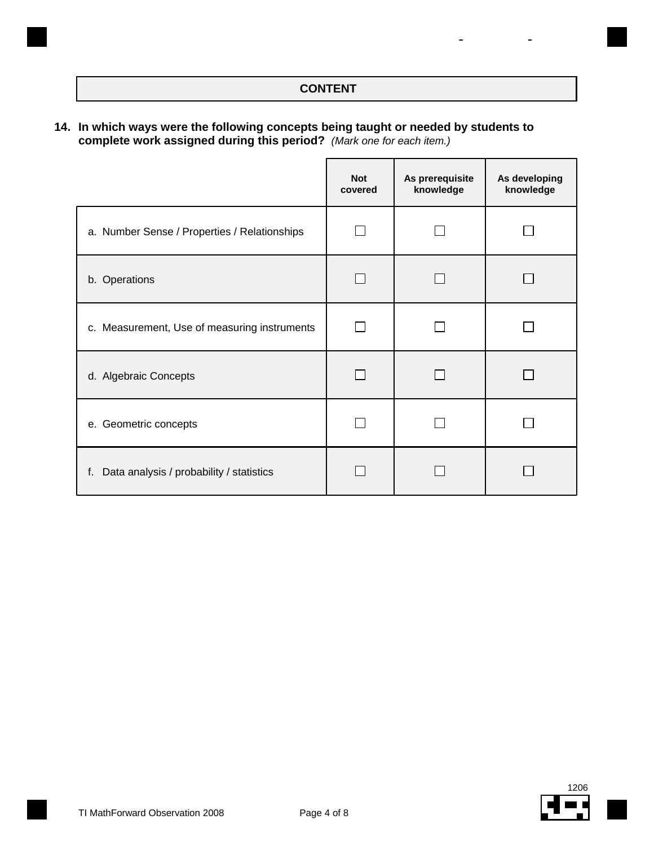# **CONTENT**

- -

#### **In which ways were the following concepts being taught or needed by students to 14. complete work assigned during this period?** *(Mark one for each item.)*

|                                                | <b>Not</b><br>covered | As prerequisite<br>knowledge | As developing<br>knowledge |
|------------------------------------------------|-----------------------|------------------------------|----------------------------|
| a. Number Sense / Properties / Relationships   |                       |                              |                            |
| b. Operations                                  |                       |                              |                            |
| c. Measurement, Use of measuring instruments   |                       |                              |                            |
| d. Algebraic Concepts                          |                       |                              |                            |
| e. Geometric concepts                          |                       |                              |                            |
| Data analysis / probability / statistics<br>f. |                       |                              |                            |

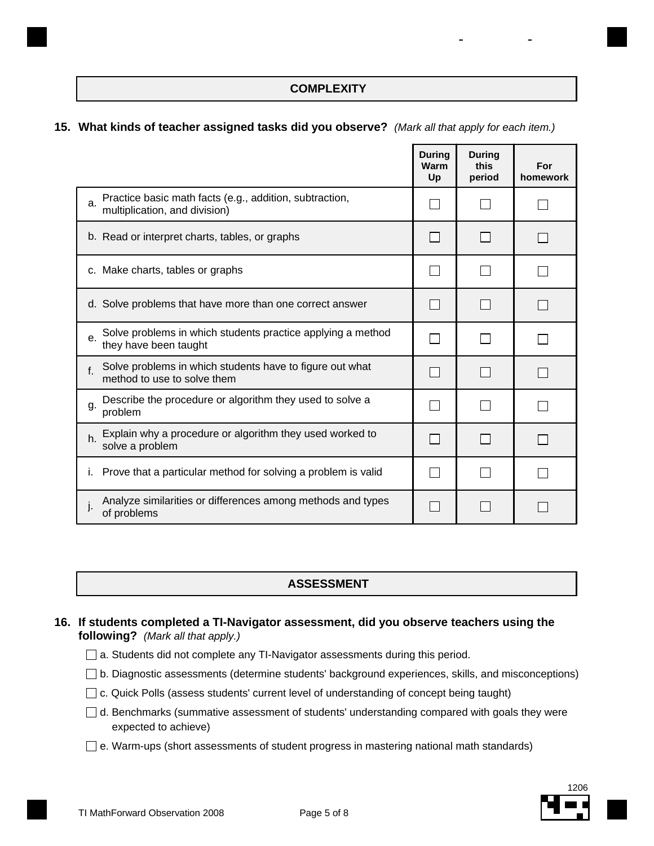# **COMPLEXITY**

- -

#### **15. What kinds of teacher assigned tasks did you observe?** *(Mark all that apply for each item.)*

|                                                                                                | <b>During</b><br>Warm<br>Up | <b>During</b><br>this<br>period | For<br>homework |
|------------------------------------------------------------------------------------------------|-----------------------------|---------------------------------|-----------------|
| Practice basic math facts (e.g., addition, subtraction,<br>a.<br>multiplication, and division) |                             |                                 |                 |
| b. Read or interpret charts, tables, or graphs                                                 |                             |                                 |                 |
| c. Make charts, tables or graphs                                                               |                             |                                 |                 |
| d. Solve problems that have more than one correct answer                                       |                             |                                 |                 |
| Solve problems in which students practice applying a method<br>e.<br>they have been taught     |                             |                                 |                 |
| Solve problems in which students have to figure out what<br>f.<br>method to use to solve them  |                             |                                 |                 |
| Describe the procedure or algorithm they used to solve a<br>g.<br>problem                      |                             |                                 |                 |
| Explain why a procedure or algorithm they used worked to<br>h.<br>solve a problem              |                             |                                 |                 |
| Prove that a particular method for solving a problem is valid<br>$\mathbf{L}$                  |                             |                                 |                 |
| Analyze similarities or differences among methods and types<br>of problems                     |                             |                                 |                 |

#### **ASSESSMENT**

#### **If students completed a TI-Navigator assessment, did you observe teachers using the 16. following?** *(Mark all that apply.)*

- □ a. Students did not complete any TI-Navigator assessments during this period.
- $\Box$  b. Diagnostic assessments (determine students' background experiences, skills, and misconceptions)
- c. Quick Polls (assess students' current level of understanding of concept being taught)
- $\Box$  d. Benchmarks (summative assessment of students' understanding compared with goals they were expected to achieve)
- $\square$  e. Warm-ups (short assessments of student progress in mastering national math standards)

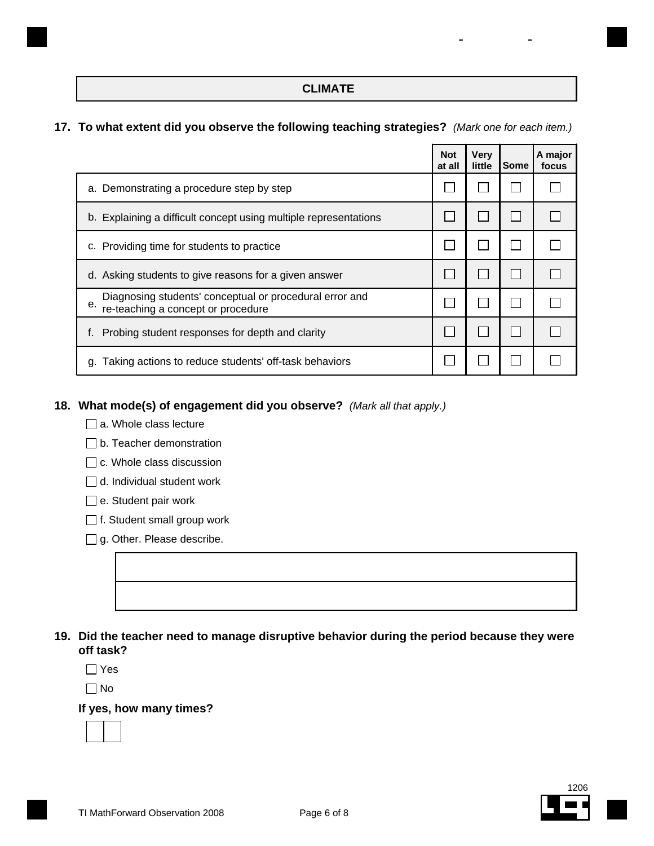# **CLIMATE**

- -

#### **17. To what extent did you observe the following teaching strategies?** *(Mark one for each item.)*

|                                                                                                     | <b>Not</b><br>at all | <b>Very</b><br>little | Some | A major<br>focus |
|-----------------------------------------------------------------------------------------------------|----------------------|-----------------------|------|------------------|
| a. Demonstrating a procedure step by step                                                           |                      |                       |      |                  |
| b. Explaining a difficult concept using multiple representations                                    |                      |                       |      |                  |
| c. Providing time for students to practice                                                          |                      |                       |      |                  |
| d. Asking students to give reasons for a given answer                                               |                      |                       |      |                  |
| Diagnosing students' conceptual or procedural error and<br>е.<br>re-teaching a concept or procedure |                      |                       |      |                  |
| Probing student responses for depth and clarity                                                     |                      |                       |      |                  |
| g. Taking actions to reduce students' off-task behaviors                                            |                      |                       |      |                  |

# **18. What mode(s) of engagement did you observe?** *(Mark all that apply.)*

- a. Whole class lecture
- □ b. Teacher demonstration
- $\Box$  c. Whole class discussion
- d. Individual student work
- e. Student pair work
- □ f. Student small group work
- $\Box$  g. Other. Please describe.

| 19. Did the teacher need to manage disruptive behavior during the period because they were |
|--------------------------------------------------------------------------------------------|
| off task?                                                                                  |

Yes

No

#### **If yes, how many times?**

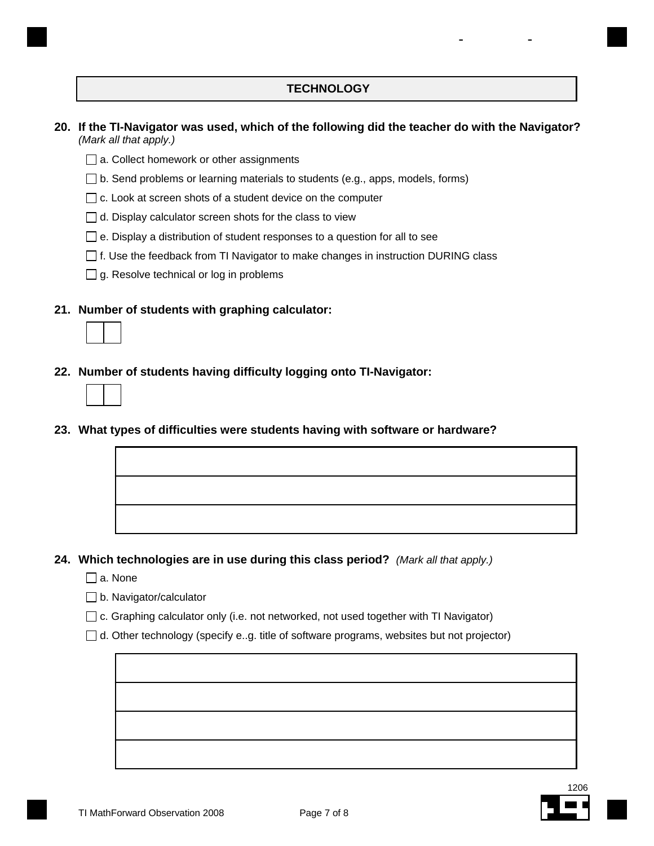# **TECHNOLOGY**

- -

#### **If the TI-Navigator was used, which of the following did the teacher do with the Navigator? 20.** *(Mark all that apply.)*

- □ a. Collect homework or other assignments
- $\Box$  b. Send problems or learning materials to students (e.g., apps, models, forms)
- $\Box$  c. Look at screen shots of a student device on the computer
- $\Box$  d. Display calculator screen shots for the class to view
- $\Box$  e. Display a distribution of student responses to a question for all to see
- $\Box$  f. Use the feedback from TI Navigator to make changes in instruction DURING class
- $\Box$  g. Resolve technical or log in problems
- **21. Number of students with graphing calculator:**



**23. What types of difficulties were students having with software or hardware?**



**24. Which technologies are in use during this class period?** *(Mark all that apply.)*

- $\Box$  a. None
- **b.** Navigator/calculator
- $\Box$  c. Graphing calculator only (i.e. not networked, not used together with TI Navigator)
- $\Box$  d. Other technology (specify e..g. title of software programs, websites but not projector)